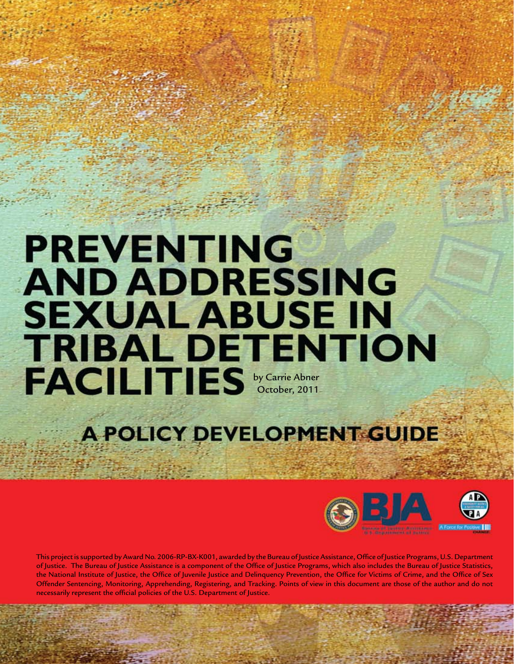# **PREVENTING AND ADDRESSING SEXUAL ABUSE IN TRIBAL DETENTION** by Carrie Abner October, 2011

# **A POLICY DEVELOPMENT GUIDE**



This project is supported by Award No. 2006-RP-BX-K001, awarded by the Bureau of Justice Assistance, Office of Justice Programs, U.S. Department of Justice. The Bureau of Justice Assistance is a component of the Office of Justice Programs, which also includes the Bureau of Justice Statistics, the National Institute of Justice, the Office of Juvenile Justice and Delinquency Prevention, the Office for Victims of Crime, and the Office of Sex Offender Sentencing, Monitoring, Apprehending, Registering, and Tracking. Points of view in this document are those of the author and do not necessarily represent the official policies of the U.S. Department of Justice.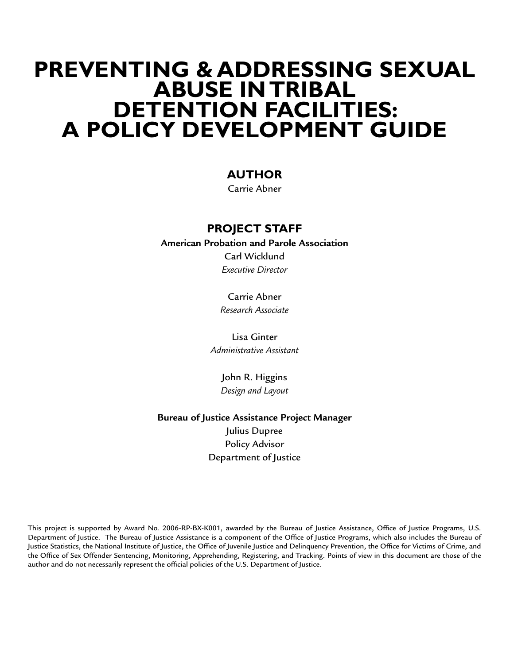# **Preventing & Addressing Sexual Abuse in Tribal Detention Facilities: A POLICY development guide**

### **AUTHOR**

Carrie Abner

#### **PROJECT STAFF**

**American Probation and Parole Association** Carl Wicklund *Executive Director*

> Carrie Abner *Research Associate*

Lisa Ginter *Administrative Assistant*

> John R. Higgins *Design and Layout*

**Bureau of Justice Assistance Project Manager** Julius Dupree Policy Advisor Department of Justice

This project is supported by Award No. 2006-RP-BX-K001, awarded by the Bureau of Justice Assistance, Office of Justice Programs, U.S. Department of Justice. The Bureau of Justice Assistance is a component of the Office of Justice Programs, which also includes the Bureau of Justice Statistics, the National Institute of Justice, the Office of Juvenile Justice and Delinquency Prevention, the Office for Victims of Crime, and the Office of Sex Offender Sentencing, Monitoring, Apprehending, Registering, and Tracking. Points of view in this document are those of the author and do not necessarily represent the official policies of the U.S. Department of Justice.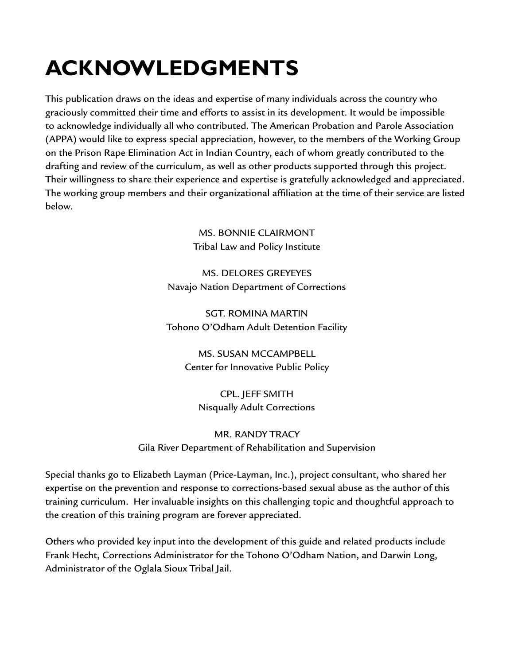# **Acknowledgments**

This publication draws on the ideas and expertise of many individuals across the country who graciously committed their time and efforts to assist in its development. It would be impossible to acknowledge individually all who contributed. The American Probation and Parole Association (APPA) would like to express special appreciation, however, to the members of the Working Group on the Prison Rape Elimination Act in Indian Country, each of whom greatly contributed to the drafting and review of the curriculum, as well as other products supported through this project. Their willingness to share their experience and expertise is gratefully acknowledged and appreciated. The working group members and their organizational affiliation at the time of their service are listed below.

> MS. BONNIE CLAIRMONT Tribal Law and Policy Institute

MS. DELORES GREYEYES Navajo Nation Department of Corrections

SGT. ROMINA MARTIN Tohono O'Odham Adult Detention Facility

MS. SUSAN MCCAMPBELL Center for Innovative Public Policy

### CPL. JEFF SMITH Nisqually Adult Corrections

MR. RANDY TRACY Gila River Department of Rehabilitation and Supervision

Special thanks go to Elizabeth Layman (Price-Layman, Inc.), project consultant, who shared her expertise on the prevention and response to corrections-based sexual abuse as the author of this training curriculum. Her invaluable insights on this challenging topic and thoughtful approach to the creation of this training program are forever appreciated.

Others who provided key input into the development of this guide and related products include Frank Hecht, Corrections Administrator for the Tohono O'Odham Nation, and Darwin Long, Administrator of the Oglala Sioux Tribal Jail.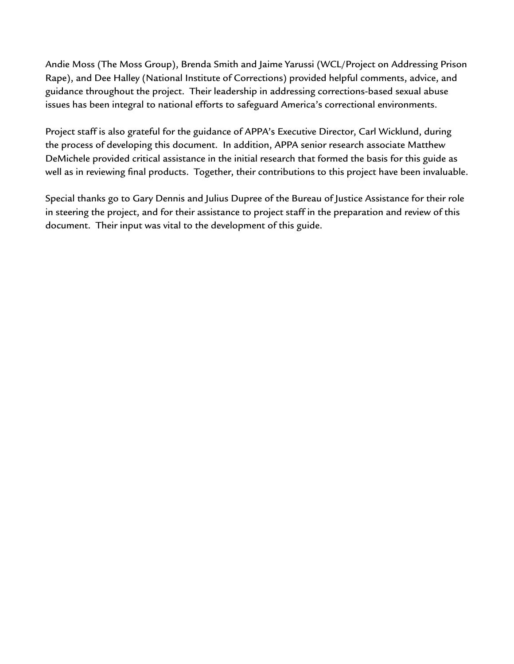Andie Moss (The Moss Group), Brenda Smith and Jaime Yarussi (WCL/Project on Addressing Prison Rape), and Dee Halley (National Institute of Corrections) provided helpful comments, advice, and guidance throughout the project. Their leadership in addressing corrections-based sexual abuse issues has been integral to national efforts to safeguard America's correctional environments.

Project staff is also grateful for the guidance of APPA's Executive Director, Carl Wicklund, during the process of developing this document. In addition, APPA senior research associate Matthew DeMichele provided critical assistance in the initial research that formed the basis for this guide as well as in reviewing final products. Together, their contributions to this project have been invaluable.

Special thanks go to Gary Dennis and Julius Dupree of the Bureau of Justice Assistance for their role in steering the project, and for their assistance to project staff in the preparation and review of this document. Their input was vital to the development of this guide.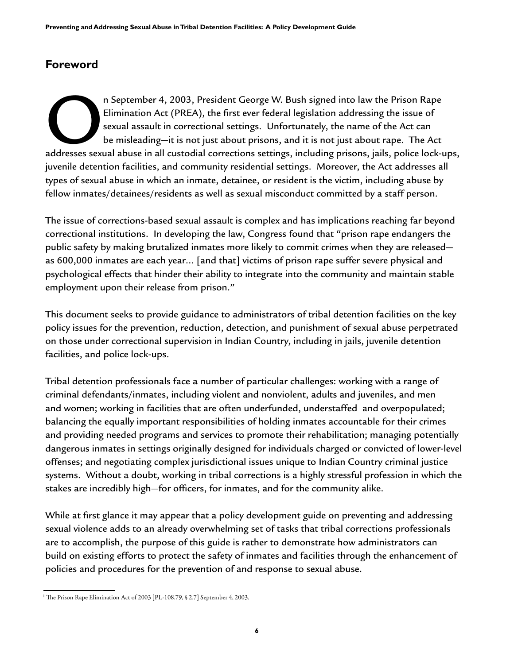# **Foreword**

n September 4, 2003, President George W. Bush signed into law the Prison Rape<br>
Elimination Act (PREA), the first ever federal legislation addressing the issue of<br>
sexual assault in correctional settings. Unfortunately, the Elimination Act (PREA), the first ever federal legislation addressing the issue of sexual assault in correctional settings. Unfortunately, the name of the Act can be misleading—it is not just about prisons, and it is not just about rape. The Act juvenile detention facilities, and community residential settings. Moreover, the Act addresses all types of sexual abuse in which an inmate, detainee, or resident is the victim, including abuse by fellow inmates/detainees/residents as well as sexual misconduct committed by a staff person.

The issue of corrections-based sexual assault is complex and has implications reaching far beyond correctional institutions. In developing the law, Congress found that "prison rape endangers the public safety by making brutalized inmates more likely to commit crimes when they are released as 600,000 inmates are each year… [and that] victims of prison rape suffer severe physical and psychological effects that hinder their ability to integrate into the community and maintain stable employment upon their release from prison."

This document seeks to provide guidance to administrators of tribal detention facilities on the key policy issues for the prevention, reduction, detection, and punishment of sexual abuse perpetrated on those under correctional supervision in Indian Country, including in jails, juvenile detention facilities, and police lock-ups.

Tribal detention professionals face a number of particular challenges: working with a range of criminal defendants/inmates, including violent and nonviolent, adults and juveniles, and men and women; working in facilities that are often underfunded, understaffed and overpopulated; balancing the equally important responsibilities of holding inmates accountable for their crimes and providing needed programs and services to promote their rehabilitation; managing potentially dangerous inmates in settings originally designed for individuals charged or convicted of lower-level offenses; and negotiating complex jurisdictional issues unique to Indian Country criminal justice systems. Without a doubt, working in tribal corrections is a highly stressful profession in which the stakes are incredibly high—for officers, for inmates, and for the community alike.

While at first glance it may appear that a policy development guide on preventing and addressing sexual violence adds to an already overwhelming set of tasks that tribal corrections professionals are to accomplish, the purpose of this guide is rather to demonstrate how administrators can build on existing efforts to protect the safety of inmates and facilities through the enhancement of policies and procedures for the prevention of and response to sexual abuse.

<sup>&</sup>lt;sup>1</sup> The Prison Rape Elimination Act of 2003 [PL-108.79, § 2.7] September 4, 2003.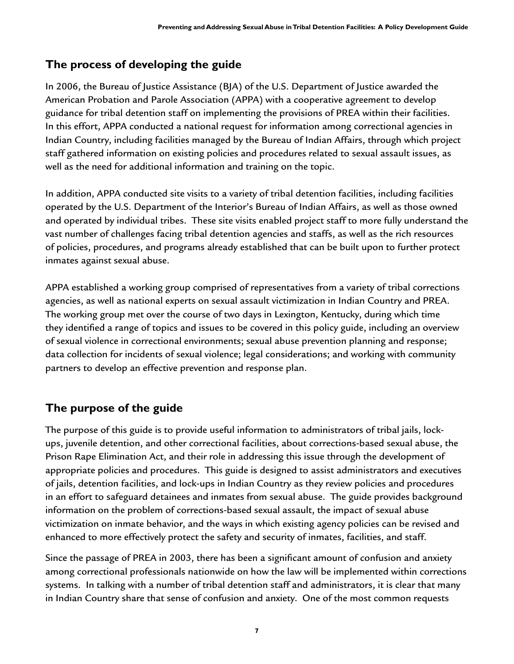# **The process of developing the guide**

In 2006, the Bureau of Justice Assistance (BJA) of the U.S. Department of Justice awarded the American Probation and Parole Association (APPA) with a cooperative agreement to develop guidance for tribal detention staff on implementing the provisions of PREA within their facilities. In this effort, APPA conducted a national request for information among correctional agencies in Indian Country, including facilities managed by the Bureau of Indian Affairs, through which project staff gathered information on existing policies and procedures related to sexual assault issues, as well as the need for additional information and training on the topic.

In addition, APPA conducted site visits to a variety of tribal detention facilities, including facilities operated by the U.S. Department of the Interior's Bureau of Indian Affairs, as well as those owned and operated by individual tribes. These site visits enabled project staff to more fully understand the vast number of challenges facing tribal detention agencies and staffs, as well as the rich resources of policies, procedures, and programs already established that can be built upon to further protect inmates against sexual abuse.

APPA established a working group comprised of representatives from a variety of tribal corrections agencies, as well as national experts on sexual assault victimization in Indian Country and PREA. The working group met over the course of two days in Lexington, Kentucky, during which time they identified a range of topics and issues to be covered in this policy guide, including an overview of sexual violence in correctional environments; sexual abuse prevention planning and response; data collection for incidents of sexual violence; legal considerations; and working with community partners to develop an effective prevention and response plan.

# **The purpose of the guide**

The purpose of this guide is to provide useful information to administrators of tribal jails, lockups, juvenile detention, and other correctional facilities, about corrections-based sexual abuse, the Prison Rape Elimination Act, and their role in addressing this issue through the development of appropriate policies and procedures. This guide is designed to assist administrators and executives of jails, detention facilities, and lock-ups in Indian Country as they review policies and procedures in an effort to safeguard detainees and inmates from sexual abuse. The guide provides background information on the problem of corrections-based sexual assault, the impact of sexual abuse victimization on inmate behavior, and the ways in which existing agency policies can be revised and enhanced to more effectively protect the safety and security of inmates, facilities, and staff.

Since the passage of PREA in 2003, there has been a significant amount of confusion and anxiety among correctional professionals nationwide on how the law will be implemented within corrections systems. In talking with a number of tribal detention staff and administrators, it is clear that many in Indian Country share that sense of confusion and anxiety. One of the most common requests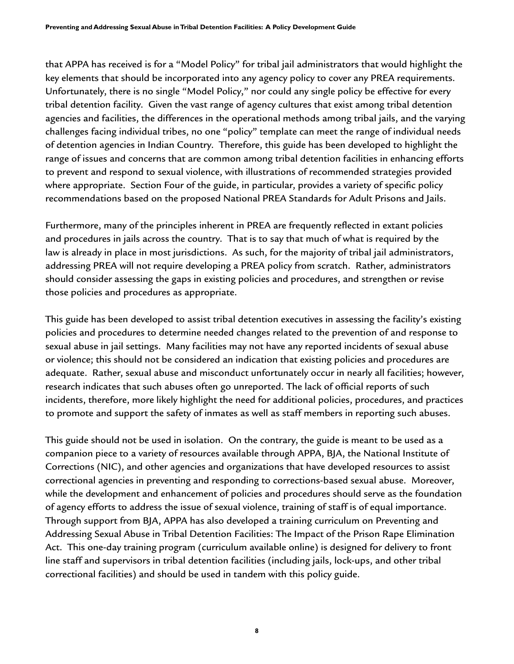that APPA has received is for a "Model Policy" for tribal jail administrators that would highlight the key elements that should be incorporated into any agency policy to cover any PREA requirements. Unfortunately, there is no single "Model Policy," nor could any single policy be effective for every tribal detention facility. Given the vast range of agency cultures that exist among tribal detention agencies and facilities, the differences in the operational methods among tribal jails, and the varying challenges facing individual tribes, no one "policy" template can meet the range of individual needs of detention agencies in Indian Country. Therefore, this guide has been developed to highlight the range of issues and concerns that are common among tribal detention facilities in enhancing efforts to prevent and respond to sexual violence, with illustrations of recommended strategies provided where appropriate. Section Four of the guide, in particular, provides a variety of specific policy recommendations based on the proposed National PREA Standards for Adult Prisons and Jails.

Furthermore, many of the principles inherent in PREA are frequently reflected in extant policies and procedures in jails across the country. That is to say that much of what is required by the law is already in place in most jurisdictions. As such, for the majority of tribal jail administrators, addressing PREA will not require developing a PREA policy from scratch. Rather, administrators should consider assessing the gaps in existing policies and procedures, and strengthen or revise those policies and procedures as appropriate.

This guide has been developed to assist tribal detention executives in assessing the facility's existing policies and procedures to determine needed changes related to the prevention of and response to sexual abuse in jail settings. Many facilities may not have any reported incidents of sexual abuse or violence; this should not be considered an indication that existing policies and procedures are adequate. Rather, sexual abuse and misconduct unfortunately occur in nearly all facilities; however, research indicates that such abuses often go unreported. The lack of official reports of such incidents, therefore, more likely highlight the need for additional policies, procedures, and practices to promote and support the safety of inmates as well as staff members in reporting such abuses.

This guide should not be used in isolation. On the contrary, the guide is meant to be used as a companion piece to a variety of resources available through APPA, BJA, the National Institute of Corrections (NIC), and other agencies and organizations that have developed resources to assist correctional agencies in preventing and responding to corrections-based sexual abuse. Moreover, while the development and enhancement of policies and procedures should serve as the foundation of agency efforts to address the issue of sexual violence, training of staff is of equal importance. Through support from BJA, APPA has also developed a training curriculum on Preventing and Addressing Sexual Abuse in Tribal Detention Facilities: The Impact of the Prison Rape Elimination Act. This one-day training program (curriculum available online) is designed for delivery to front line staff and supervisors in tribal detention facilities (including jails, lock-ups, and other tribal correctional facilities) and should be used in tandem with this policy guide.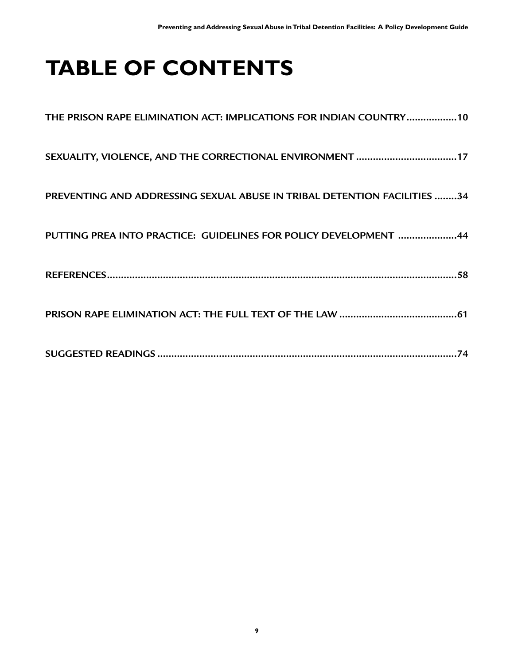# **Table of Contents**

| THE PRISON RAPE ELIMINATION ACT: IMPLICATIONS FOR INDIAN COUNTRY10       |
|--------------------------------------------------------------------------|
| SEXUALITY, VIOLENCE, AND THE CORRECTIONAL ENVIRONMENT 17                 |
| PREVENTING AND ADDRESSING SEXUAL ABUSE IN TRIBAL DETENTION FACILITIES 34 |
| PUTTING PREA INTO PRACTICE: GUIDELINES FOR POLICY DEVELOPMENT 44         |
|                                                                          |
|                                                                          |
|                                                                          |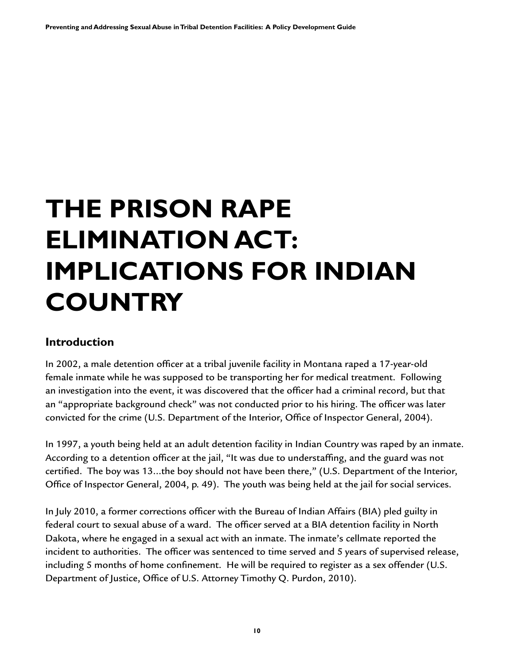# <span id="page-9-0"></span>**The Prison Rape Elimination Act: Implications for Indian Country**

#### **Introduction**

In 2002, a male detention officer at a tribal juvenile facility in Montana raped a 17-year-old female inmate while he was supposed to be transporting her for medical treatment. Following an investigation into the event, it was discovered that the officer had a criminal record, but that an "appropriate background check" was not conducted prior to his hiring. The officer was later convicted for the crime (U.S. Department of the Interior, Office of Inspector General, 2004).

In 1997, a youth being held at an adult detention facility in Indian Country was raped by an inmate. According to a detention officer at the jail, "It was due to understaffing, and the guard was not certified. The boy was 13…the boy should not have been there," (U.S. Department of the Interior, Office of Inspector General, 2004, p. 49). The youth was being held at the jail for social services.

In July 2010, a former corrections officer with the Bureau of Indian Affairs (BIA) pled guilty in federal court to sexual abuse of a ward. The officer served at a BIA detention facility in North Dakota, where he engaged in a sexual act with an inmate. The inmate's cellmate reported the incident to authorities. The officer was sentenced to time served and 5 years of supervised release, including 5 months of home confinement. He will be required to register as a sex offender (U.S. Department of Justice, Office of U.S. Attorney Timothy Q. Purdon, 2010).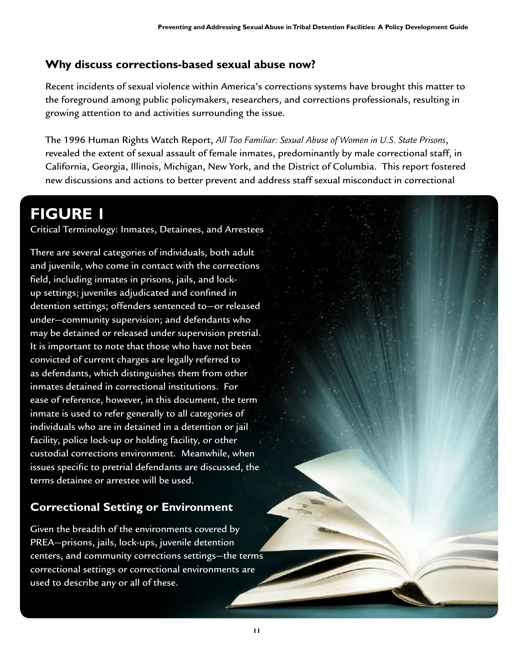### **Why discuss corrections-based sexual abuse now?**

Recent incidents of sexual violence within America's corrections systems have brought this matter to the foreground among public policymakers, researchers, and corrections professionals, resulting in growing attention to and activities surrounding the issue.

The 1996 Human Rights Watch Report, *All Too Familiar: Sexual Abuse of Women in U.S. State Prisons*, revealed the extent of sexual assault of female inmates, predominantly by male correctional staff, in California, Georgia, Illinois, Michigan, New York, and the District of Columbia. This report fostered new discussions and actions to better prevent and address staff sexual misconduct in correctional

# **FIGURE 1**

Critical Terminology: Inmates, Detainees, and Arrestees

There are several categories of individuals, both adult and juvenile, who come in contact with the corrections field, including inmates in prisons, jails, and lockup settings; juveniles adjudicated and confined in detention settings; offenders sentenced to—or released under—community supervision; and defendants who may be detained or released under supervision pretrial. It is important to note that those who have not been convicted of current charges are legally referred to as defendants, which distinguishes them from other inmates detained in correctional institutions. For ease of reference, however, in this document, the term inmate is used to refer generally to all categories of individuals who are in detained in a detention or jail facility, police lock-up or holding facility, or other custodial corrections environment. Meanwhile, when issues specific to pretrial defendants are discussed, the terms detainee or arrestee will be used.

### **Correctional Setting or Environment**

Given the breadth of the environments covered by PREA—prisons, jails, lock-ups, juvenile detention centers, and community corrections settings—the terms correctional settings or correctional environments are used to describe any or all of these.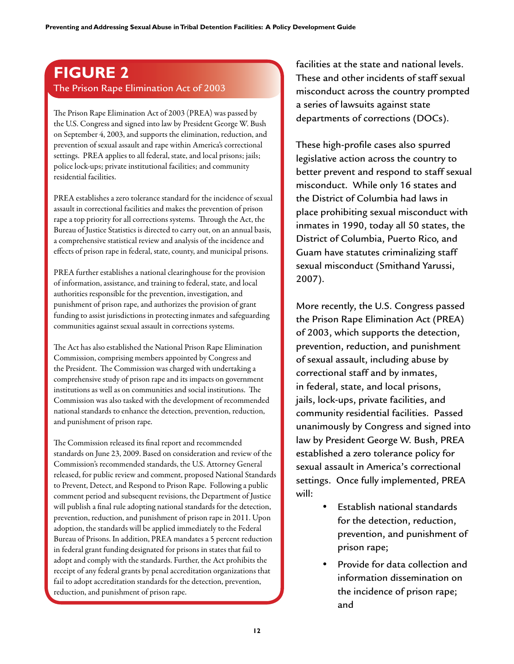# **FIGURE 2**

#### The Prison Rape Elimination Act of 2003

The Prison Rape Elimination Act of 2003 (PREA) was passed by the U.S. Congress and signed into law by President George W. Bush on September 4, 2003, and supports the elimination, reduction, and prevention of sexual assault and rape within America's correctional settings. PREA applies to all federal, state, and local prisons; jails; police lock-ups; private institutional facilities; and community residential facilities.

PREA establishes a zero tolerance standard for the incidence of sexual assault in correctional facilities and makes the prevention of prison rape a top priority for all corrections systems. Through the Act, the Bureau of Justice Statistics is directed to carry out, on an annual basis, a comprehensive statistical review and analysis of the incidence and effects of prison rape in federal, state, county, and municipal prisons.

PREA further establishes a national clearinghouse for the provision of information, assistance, and training to federal, state, and local authorities responsible for the prevention, investigation, and punishment of prison rape, and authorizes the provision of grant funding to assist jurisdictions in protecting inmates and safeguarding communities against sexual assault in corrections systems.

The Act has also established the National Prison Rape Elimination Commission, comprising members appointed by Congress and the President. The Commission was charged with undertaking a comprehensive study of prison rape and its impacts on government institutions as well as on communities and social institutions. The Commission was also tasked with the development of recommended national standards to enhance the detection, prevention, reduction, and punishment of prison rape.

The Commission released its final report and recommended standards on June 23, 2009. Based on consideration and review of the Commission's recommended standards, the U.S. Attorney General released, for public review and comment, proposed National Standards to Prevent, Detect, and Respond to Prison Rape. Following a public comment period and subsequent revisions, the Department of Justice will publish a final rule adopting national standards for the detection, prevention, reduction, and punishment of prison rape in 2011. Upon adoption, the standards will be applied immediately to the Federal Bureau of Prisons. In addition, PREA mandates a 5 percent reduction in federal grant funding designated for prisons in states that fail to adopt and comply with the standards. Further, the Act prohibits the receipt of any federal grants by penal accreditation organizations that fail to adopt accreditation standards for the detection, prevention, reduction, and punishment of prison rape.

facilities at the state and national levels. These and other incidents of staff sexual misconduct across the country prompted a series of lawsuits against state departments of corrections (DOCs).

These high-profile cases also spurred legislative action across the country to better prevent and respond to staff sexual misconduct. While only 16 states and the District of Columbia had laws in place prohibiting sexual misconduct with inmates in 1990, today all 50 states, the District of Columbia, Puerto Rico, and Guam have statutes criminalizing staff sexual misconduct (Smithand Yarussi, 2007).

More recently, the U.S. Congress passed the Prison Rape Elimination Act (PREA) of 2003, which supports the detection, prevention, reduction, and punishment of sexual assault, including abuse by correctional staff and by inmates, in federal, state, and local prisons, jails, lock-ups, private facilities, and community residential facilities. Passed unanimously by Congress and signed into law by President George W. Bush, PREA established a zero tolerance policy for sexual assault in America's correctional settings. Once fully implemented, PREA will:

- Establish national standards for the detection, reduction, prevention, and punishment of prison rape;
- Provide for data collection and information dissemination on the incidence of prison rape; and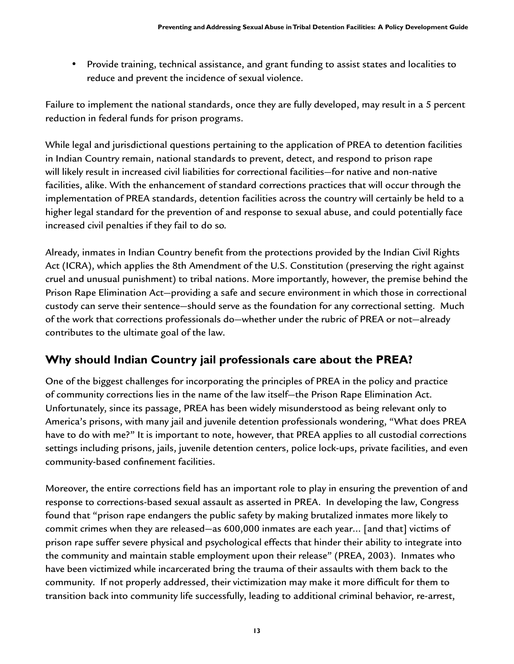• Provide training, technical assistance, and grant funding to assist states and localities to reduce and prevent the incidence of sexual violence.

Failure to implement the national standards, once they are fully developed, may result in a 5 percent reduction in federal funds for prison programs.

While legal and jurisdictional questions pertaining to the application of PREA to detention facilities in Indian Country remain, national standards to prevent, detect, and respond to prison rape will likely result in increased civil liabilities for correctional facilities—for native and non-native facilities, alike. With the enhancement of standard corrections practices that will occur through the implementation of PREA standards, detention facilities across the country will certainly be held to a higher legal standard for the prevention of and response to sexual abuse, and could potentially face increased civil penalties if they fail to do so.

Already, inmates in Indian Country benefit from the protections provided by the Indian Civil Rights Act (ICRA), which applies the 8th Amendment of the U.S. Constitution (preserving the right against cruel and unusual punishment) to tribal nations. More importantly, however, the premise behind the Prison Rape Elimination Act—providing a safe and secure environment in which those in correctional custody can serve their sentence—should serve as the foundation for any correctional setting. Much of the work that corrections professionals do—whether under the rubric of PREA or not—already contributes to the ultimate goal of the law.

# **Why should Indian Country jail professionals care about the PREA?**

One of the biggest challenges for incorporating the principles of PREA in the policy and practice of community corrections lies in the name of the law itself—the Prison Rape Elimination Act. Unfortunately, since its passage, PREA has been widely misunderstood as being relevant only to America's prisons, with many jail and juvenile detention professionals wondering, "What does PREA have to do with me?" It is important to note, however, that PREA applies to all custodial corrections settings including prisons, jails, juvenile detention centers, police lock-ups, private facilities, and even community-based confinement facilities.

Moreover, the entire corrections field has an important role to play in ensuring the prevention of and response to corrections-based sexual assault as asserted in PREA. In developing the law, Congress found that "prison rape endangers the public safety by making brutalized inmates more likely to commit crimes when they are released—as 600,000 inmates are each year… [and that] victims of prison rape suffer severe physical and psychological effects that hinder their ability to integrate into the community and maintain stable employment upon their release" (PREA, 2003). Inmates who have been victimized while incarcerated bring the trauma of their assaults with them back to the community. If not properly addressed, their victimization may make it more difficult for them to transition back into community life successfully, leading to additional criminal behavior, re-arrest,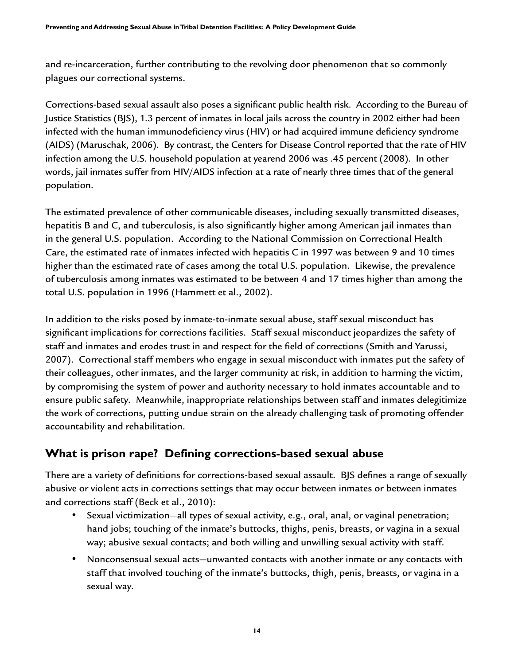and re-incarceration, further contributing to the revolving door phenomenon that so commonly plagues our correctional systems.

Corrections-based sexual assault also poses a significant public health risk. According to the Bureau of Justice Statistics (BJS), 1.3 percent of inmates in local jails across the country in 2002 either had been infected with the human immunodeficiency virus (HIV) or had acquired immune deficiency syndrome (AIDS) (Maruschak, 2006). By contrast, the Centers for Disease Control reported that the rate of HIV infection among the U.S. household population at yearend 2006 was .45 percent (2008). In other words, jail inmates suffer from HIV/AIDS infection at a rate of nearly three times that of the general population.

The estimated prevalence of other communicable diseases, including sexually transmitted diseases, hepatitis B and C, and tuberculosis, is also significantly higher among American jail inmates than in the general U.S. population. According to the National Commission on Correctional Health Care, the estimated rate of inmates infected with hepatitis C in 1997 was between 9 and 10 times higher than the estimated rate of cases among the total U.S. population. Likewise, the prevalence of tuberculosis among inmates was estimated to be between 4 and 17 times higher than among the total U.S. population in 1996 (Hammett et al., 2002).

In addition to the risks posed by inmate-to-inmate sexual abuse, staff sexual misconduct has significant implications for corrections facilities. Staff sexual misconduct jeopardizes the safety of staff and inmates and erodes trust in and respect for the field of corrections (Smith and Yarussi, 2007). Correctional staff members who engage in sexual misconduct with inmates put the safety of their colleagues, other inmates, and the larger community at risk, in addition to harming the victim, by compromising the system of power and authority necessary to hold inmates accountable and to ensure public safety. Meanwhile, inappropriate relationships between staff and inmates delegitimize the work of corrections, putting undue strain on the already challenging task of promoting offender accountability and rehabilitation.

# **What is prison rape? Defining corrections-based sexual abuse**

There are a variety of definitions for corrections-based sexual assault. BJS defines a range of sexually abusive or violent acts in corrections settings that may occur between inmates or between inmates and corrections staff (Beck et al., 2010):

- Sexual victimization—all types of sexual activity, e.g., oral, anal, or vaginal penetration; hand jobs; touching of the inmate's buttocks, thighs, penis, breasts, or vagina in a sexual way; abusive sexual contacts; and both willing and unwilling sexual activity with staff.
- Nonconsensual sexual acts—unwanted contacts with another inmate or any contacts with staff that involved touching of the inmate's buttocks, thigh, penis, breasts, or vagina in a sexual way.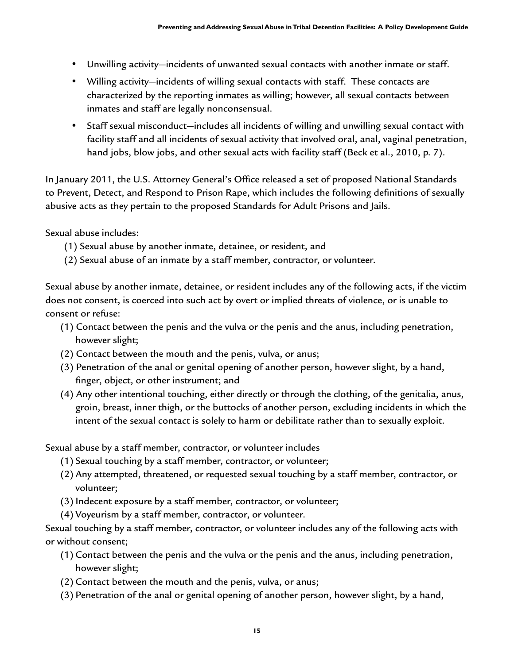- Unwilling activity—incidents of unwanted sexual contacts with another inmate or staff.
- Willing activity—incidents of willing sexual contacts with staff. These contacts are characterized by the reporting inmates as willing; however, all sexual contacts between inmates and staff are legally nonconsensual.
- Staff sexual misconduct—includes all incidents of willing and unwilling sexual contact with facility staff and all incidents of sexual activity that involved oral, anal, vaginal penetration, hand jobs, blow jobs, and other sexual acts with facility staff (Beck et al., 2010, p. 7).

In January 2011, the U.S. Attorney General's Office released a set of proposed National Standards to Prevent, Detect, and Respond to Prison Rape, which includes the following definitions of sexually abusive acts as they pertain to the proposed Standards for Adult Prisons and Jails.

Sexual abuse includes:

- (1) Sexual abuse by another inmate, detainee, or resident, and
- (2) Sexual abuse of an inmate by a staff member, contractor, or volunteer.

Sexual abuse by another inmate, detainee, or resident includes any of the following acts, if the victim does not consent, is coerced into such act by overt or implied threats of violence, or is unable to consent or refuse:

- (1) Contact between the penis and the vulva or the penis and the anus, including penetration, however slight;
- (2) Contact between the mouth and the penis, vulva, or anus;
- (3) Penetration of the anal or genital opening of another person, however slight, by a hand, finger, object, or other instrument; and
- (4) Any other intentional touching, either directly or through the clothing, of the genitalia, anus, groin, breast, inner thigh, or the buttocks of another person, excluding incidents in which the intent of the sexual contact is solely to harm or debilitate rather than to sexually exploit.

Sexual abuse by a staff member, contractor, or volunteer includes

- (1) Sexual touching by a staff member, contractor, or volunteer;
- (2) Any attempted, threatened, or requested sexual touching by a staff member, contractor, or volunteer;
- (3) Indecent exposure by a staff member, contractor, or volunteer;
- (4) Voyeurism by a staff member, contractor, or volunteer.

Sexual touching by a staff member, contractor, or volunteer includes any of the following acts with or without consent;

- (1) Contact between the penis and the vulva or the penis and the anus, including penetration, however slight;
- (2) Contact between the mouth and the penis, vulva, or anus;
- (3) Penetration of the anal or genital opening of another person, however slight, by a hand,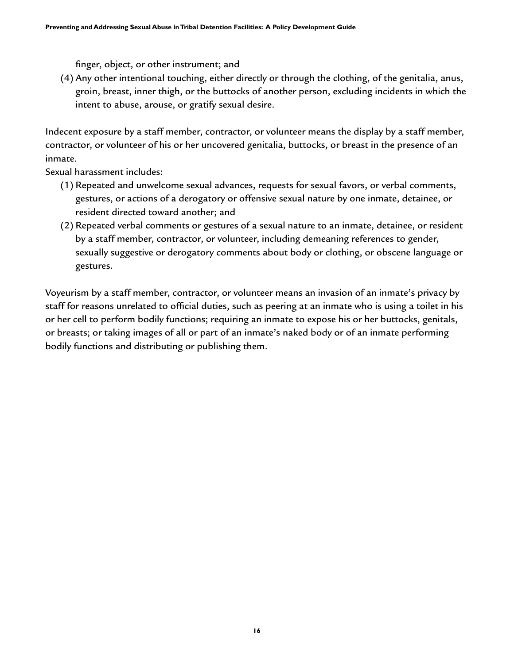finger, object, or other instrument; and

(4) Any other intentional touching, either directly or through the clothing, of the genitalia, anus, groin, breast, inner thigh, or the buttocks of another person, excluding incidents in which the intent to abuse, arouse, or gratify sexual desire.

Indecent exposure by a staff member, contractor, or volunteer means the display by a staff member, contractor, or volunteer of his or her uncovered genitalia, buttocks, or breast in the presence of an inmate.

Sexual harassment includes:

- (1) Repeated and unwelcome sexual advances, requests for sexual favors, or verbal comments, gestures, or actions of a derogatory or offensive sexual nature by one inmate, detainee, or resident directed toward another; and
- (2) Repeated verbal comments or gestures of a sexual nature to an inmate, detainee, or resident by a staff member, contractor, or volunteer, including demeaning references to gender, sexually suggestive or derogatory comments about body or clothing, or obscene language or gestures.

Voyeurism by a staff member, contractor, or volunteer means an invasion of an inmate's privacy by staff for reasons unrelated to official duties, such as peering at an inmate who is using a toilet in his or her cell to perform bodily functions; requiring an inmate to expose his or her buttocks, genitals, or breasts; or taking images of all or part of an inmate's naked body or of an inmate performing bodily functions and distributing or publishing them.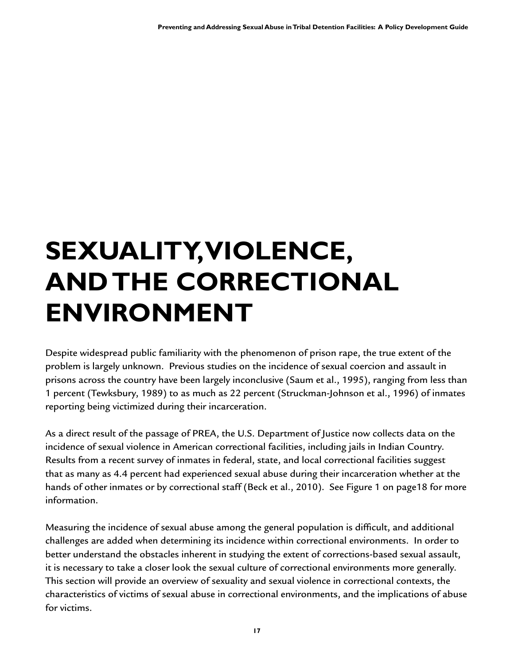# <span id="page-16-0"></span>**Sexuality, Violence, and the Correctional Environment**

Despite widespread public familiarity with the phenomenon of prison rape, the true extent of the problem is largely unknown. Previous studies on the incidence of sexual coercion and assault in prisons across the country have been largely inconclusive (Saum et al., 1995), ranging from less than 1 percent (Tewksbury, 1989) to as much as 22 percent (Struckman-Johnson et al., 1996) of inmates reporting being victimized during their incarceration.

As a direct result of the passage of PREA, the U.S. Department of Justice now collects data on the incidence of sexual violence in American correctional facilities, including jails in Indian Country. Results from a recent survey of inmates in federal, state, and local correctional facilities suggest that as many as 4.4 percent had experienced sexual abuse during their incarceration whether at the hands of other inmates or by correctional staff (Beck et al., 2010). See Figure 1 on page18 for more information.

Measuring the incidence of sexual abuse among the general population is difficult, and additional challenges are added when determining its incidence within correctional environments. In order to better understand the obstacles inherent in studying the extent of corrections-based sexual assault, it is necessary to take a closer look the sexual culture of correctional environments more generally. This section will provide an overview of sexuality and sexual violence in correctional contexts, the characteristics of victims of sexual abuse in correctional environments, and the implications of abuse for victims.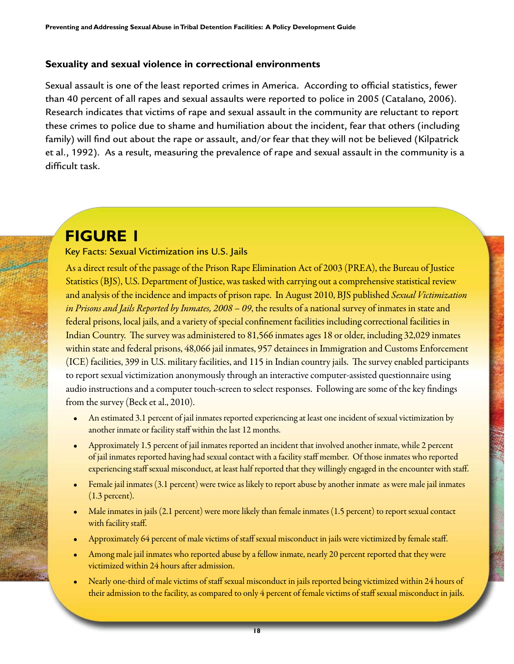#### **Sexuality and sexual violence in correctional environments**

Sexual assault is one of the least reported crimes in America. According to official statistics, fewer than 40 percent of all rapes and sexual assaults were reported to police in 2005 (Catalano, 2006). Research indicates that victims of rape and sexual assault in the community are reluctant to report these crimes to police due to shame and humiliation about the incident, fear that others (including family) will find out about the rape or assault, and/or fear that they will not be believed (Kilpatrick et al., 1992). As a result, measuring the prevalence of rape and sexual assault in the community is a difficult task.

# **FIGURE 1**

#### Key Facts: Sexual Victimization ins U.S. Jails

As a direct result of the passage of the Prison Rape Elimination Act of 2003 (PREA), the Bureau of Justice Statistics (BJS), U.S. Department of Justice, was tasked with carrying out a comprehensive statistical review and analysis of the incidence and impacts of prison rape. In August 2010, BJS published *Sexual Victimization in Prisons and Jails Reported by Inmates, 2008 – 09*, the results of a national survey of inmates in state and federal prisons, local jails, and a variety of special confinement facilities including correctional facilities in Indian Country. The survey was administered to 81,566 inmates ages 18 or older, including 32,029 inmates within state and federal prisons, 48,066 jail inmates, 957 detainees in Immigration and Customs Enforcement (ICE) facilities, 399 in U.S. military facilities, and 115 in Indian country jails. The survey enabled participants to report sexual victimization anonymously through an interactive computer-assisted questionnaire using audio instructions and a computer touch-screen to select responses. Following are some of the key findings from the survey (Beck et al., 2010).

- An estimated 3.1 percent of jail inmates reported experiencing at least one incident of sexual victimization by another inmate or facility staff within the last 12 months.
- Approximately 1.5 percent of jail inmates reported an incident that involved another inmate, while 2 percent of jail inmates reported having had sexual contact with a facility staff member. Of those inmates who reported experiencing staff sexual misconduct, at least half reported that they willingly engaged in the encounter with staff.
- Female jail inmates (3.1 percent) were twice as likely to report abuse by another inmate as were male jail inmates (1.3 percent).
- Male inmates in jails (2.1 percent) were more likely than female inmates (1.5 percent) to report sexual contact with facility staff.
- Approximately 64 percent of male victims of staff sexual misconduct in jails were victimized by female staff.
- Among male jail inmates who reported abuse by a fellow inmate, nearly 20 percent reported that they were victimized within 24 hours after admission.
- Nearly one-third of male victims of staff sexual misconduct in jails reported being victimized within 24 hours of their admission to the facility, as compared to only 4 percent of female victims of staff sexual misconduct in jails.

**18**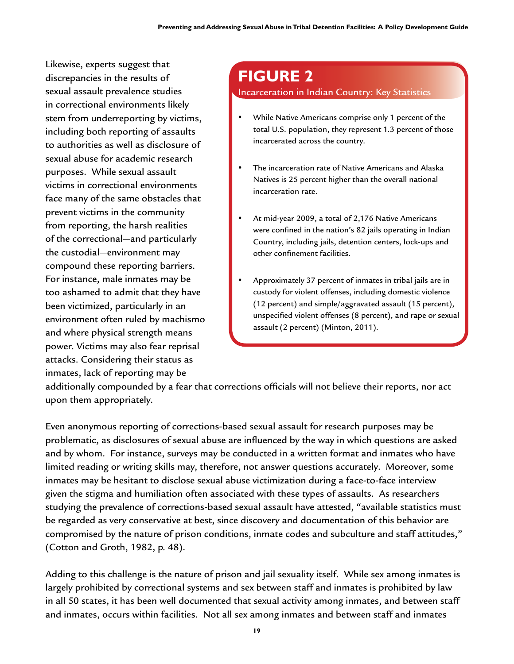Likewise, experts suggest that discrepancies in the results of sexual assault prevalence studies in correctional environments likely stem from underreporting by victims, including both reporting of assaults to authorities as well as disclosure of sexual abuse for academic research purposes. While sexual assault victims in correctional environments face many of the same obstacles that prevent victims in the community from reporting, the harsh realities of the correctional—and particularly the custodial—environment may compound these reporting barriers. For instance, male inmates may be too ashamed to admit that they have been victimized, particularly in an environment often ruled by machismo and where physical strength means power. Victims may also fear reprisal attacks. Considering their status as inmates, lack of reporting may be

# **FIGURE 2**

Incarceration in Indian Country: Key Statistics

- While Native Americans comprise only 1 percent of the total U.S. population, they represent 1.3 percent of those incarcerated across the country.
- The incarceration rate of Native Americans and Alaska Natives is 25 percent higher than the overall national incarceration rate.
- At mid-year 2009, a total of 2,176 Native Americans were confined in the nation's 82 jails operating in Indian Country, including jails, detention centers, lock-ups and other confinement facilities.
- Approximately 37 percent of inmates in tribal jails are in custody for violent offenses, including domestic violence (12 percent) and simple/aggravated assault (15 percent), unspecified violent offenses (8 percent), and rape or sexual assault (2 percent) (Minton, 2011).

additionally compounded by a fear that corrections officials will not believe their reports, nor act upon them appropriately.

Even anonymous reporting of corrections-based sexual assault for research purposes may be problematic, as disclosures of sexual abuse are influenced by the way in which questions are asked and by whom. For instance, surveys may be conducted in a written format and inmates who have limited reading or writing skills may, therefore, not answer questions accurately. Moreover, some inmates may be hesitant to disclose sexual abuse victimization during a face-to-face interview given the stigma and humiliation often associated with these types of assaults. As researchers studying the prevalence of corrections-based sexual assault have attested, "available statistics must be regarded as very conservative at best, since discovery and documentation of this behavior are compromised by the nature of prison conditions, inmate codes and subculture and staff attitudes," (Cotton and Groth, 1982, p. 48).

Adding to this challenge is the nature of prison and jail sexuality itself. While sex among inmates is largely prohibited by correctional systems and sex between staff and inmates is prohibited by law in all 50 states, it has been well documented that sexual activity among inmates, and between staff and inmates, occurs within facilities. Not all sex among inmates and between staff and inmates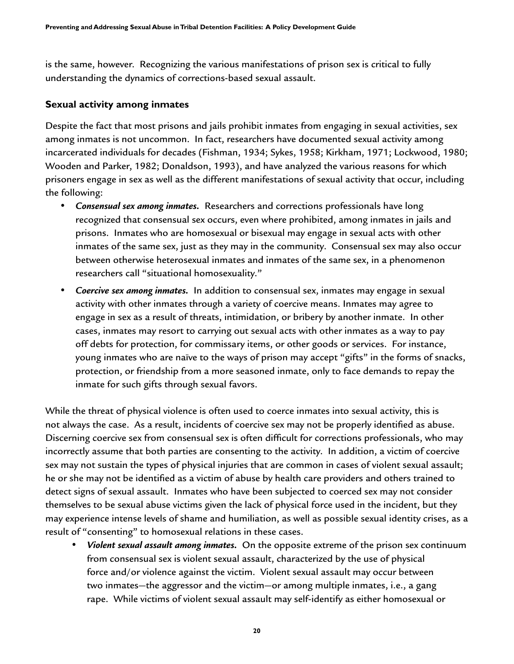is the same, however. Recognizing the various manifestations of prison sex is critical to fully understanding the dynamics of corrections-based sexual assault.

#### **Sexual activity among inmates**

Despite the fact that most prisons and jails prohibit inmates from engaging in sexual activities, sex among inmates is not uncommon. In fact, researchers have documented sexual activity among incarcerated individuals for decades (Fishman, 1934; Sykes, 1958; Kirkham, 1971; Lockwood, 1980; Wooden and Parker, 1982; Donaldson, 1993), and have analyzed the various reasons for which prisoners engage in sex as well as the different manifestations of sexual activity that occur, including the following:

- **Consensual sex among inmates.** Researchers and corrections professionals have long recognized that consensual sex occurs, even where prohibited, among inmates in jails and prisons. Inmates who are homosexual or bisexual may engage in sexual acts with other inmates of the same sex, just as they may in the community. Consensual sex may also occur between otherwise heterosexual inmates and inmates of the same sex, in a phenomenon researchers call "situational homosexuality."
- y *Coercive sex among inmates.* In addition to consensual sex, inmates may engage in sexual activity with other inmates through a variety of coercive means. Inmates may agree to engage in sex as a result of threats, intimidation, or bribery by another inmate. In other cases, inmates may resort to carrying out sexual acts with other inmates as a way to pay off debts for protection, for commissary items, or other goods or services. For instance, young inmates who are naïve to the ways of prison may accept "gifts" in the forms of snacks, protection, or friendship from a more seasoned inmate, only to face demands to repay the inmate for such gifts through sexual favors.

While the threat of physical violence is often used to coerce inmates into sexual activity, this is not always the case. As a result, incidents of coercive sex may not be properly identified as abuse. Discerning coercive sex from consensual sex is often difficult for corrections professionals, who may incorrectly assume that both parties are consenting to the activity. In addition, a victim of coercive sex may not sustain the types of physical injuries that are common in cases of violent sexual assault; he or she may not be identified as a victim of abuse by health care providers and others trained to detect signs of sexual assault. Inmates who have been subjected to coerced sex may not consider themselves to be sexual abuse victims given the lack of physical force used in the incident, but they may experience intense levels of shame and humiliation, as well as possible sexual identity crises, as a result of "consenting" to homosexual relations in these cases.

• Violent sexual assault among inmates. On the opposite extreme of the prison sex continuum from consensual sex is violent sexual assault, characterized by the use of physical force and/or violence against the victim. Violent sexual assault may occur between two inmates—the aggressor and the victim—or among multiple inmates, i.e., a gang rape. While victims of violent sexual assault may self-identify as either homosexual or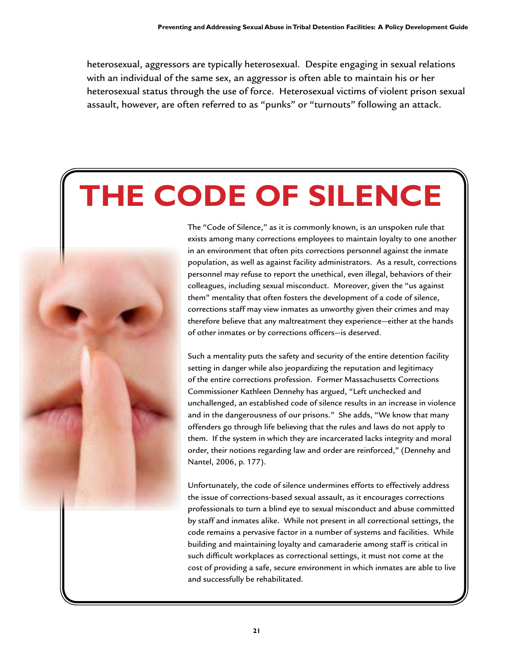heterosexual, aggressors are typically heterosexual. Despite engaging in sexual relations with an individual of the same sex, an aggressor is often able to maintain his or her heterosexual status through the use of force. Heterosexual victims of violent prison sexual assault, however, are often referred to as "punks" or "turnouts" following an attack.

# **The Code of Silence**



The "Code of Silence," as it is commonly known, is an unspoken rule that exists among many corrections employees to maintain loyalty to one another in an environment that often pits corrections personnel against the inmate population, as well as against facility administrators. As a result, corrections personnel may refuse to report the unethical, even illegal, behaviors of their colleagues, including sexual misconduct. Moreover, given the "us against them" mentality that often fosters the development of a code of silence, corrections staff may view inmates as unworthy given their crimes and may therefore believe that any maltreatment they experience—either at the hands of other inmates or by corrections officers—is deserved.

Such a mentality puts the safety and security of the entire detention facility setting in danger while also jeopardizing the reputation and legitimacy of the entire corrections profession. Former Massachusetts Corrections Commissioner Kathleen Dennehy has argued, "Left unchecked and unchallenged, an established code of silence results in an increase in violence and in the dangerousness of our prisons." She adds, "We know that many offenders go through life believing that the rules and laws do not apply to them. If the system in which they are incarcerated lacks integrity and moral order, their notions regarding law and order are reinforced," (Dennehy and Nantel, 2006, p. 177).

Unfortunately, the code of silence undermines efforts to effectively address the issue of corrections-based sexual assault, as it encourages corrections professionals to turn a blind eye to sexual misconduct and abuse committed by staff and inmates alike. While not present in all correctional settings, the code remains a pervasive factor in a number of systems and facilities. While building and maintaining loyalty and camaraderie among staff is critical in such difficult workplaces as correctional settings, it must not come at the cost of providing a safe, secure environment in which inmates are able to live and successfully be rehabilitated.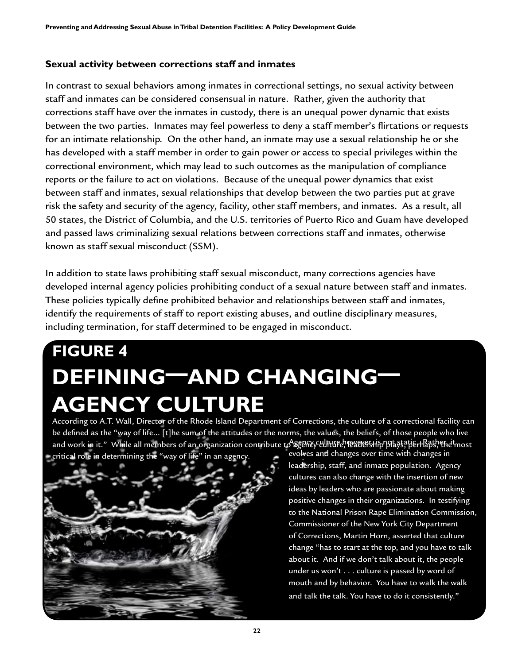#### **Sexual activity between corrections staff and inmates**

In contrast to sexual behaviors among inmates in correctional settings, no sexual activity between staff and inmates can be considered consensual in nature. Rather, given the authority that corrections staff have over the inmates in custody, there is an unequal power dynamic that exists between the two parties. Inmates may feel powerless to deny a staff member's flirtations or requests for an intimate relationship. On the other hand, an inmate may use a sexual relationship he or she has developed with a staff member in order to gain power or access to special privileges within the correctional environment, which may lead to such outcomes as the manipulation of compliance reports or the failure to act on violations. Because of the unequal power dynamics that exist between staff and inmates, sexual relationships that develop between the two parties put at grave risk the safety and security of the agency, facility, other staff members, and inmates. As a result, all 50 states, the District of Columbia, and the U.S. territories of Puerto Rico and Guam have developed and passed laws criminalizing sexual relations between corrections staff and inmates, otherwise known as staff sexual misconduct (SSM).

In addition to state laws prohibiting staff sexual misconduct, many corrections agencies have developed internal agency policies prohibiting conduct of a sexual nature between staff and inmates. These policies typically define prohibited behavior and relationships between staff and inmates, identify the requirements of staff to report existing abuses, and outline disciplinary measures, including termination, for staff determined to be engaged in misconduct.

# **FIGURE 4 Defining—and Changing— Agency Culture**

According to A.T. Wall, Director of the Rhode Island Department of Corrections, the culture of a correctional facility can be defined as the "way of life… [t]he sum of the attitudes or the norms, the values, the beliefs, of those people who live and work in it." While all members of an organization contribute to *agency c*ulture, readership plays, perhaps, the most critical role in determining the "way of life" in an agency.



evolves and changes over time with changes in leadership, staff, and inmate population. Agency cultures can also change with the insertion of new ideas by leaders who are passionate about making positive changes in their organizations. In testifying to the National Prison Rape Elimination Commission, Commissioner of the New York City Department of Corrections, Martin Horn, asserted that culture change "has to start at the top, and you have to talk about it. And if we don't talk about it, the people under us won't . . . culture is passed by word of mouth and by behavior. You have to walk the walk and talk the talk. You have to do it consistently."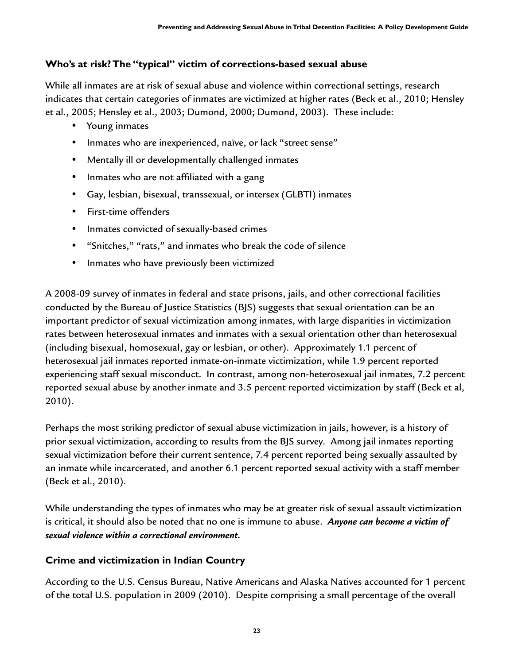### **Who's at risk? The "typical" victim of corrections-based sexual abuse**

While all inmates are at risk of sexual abuse and violence within correctional settings, research indicates that certain categories of inmates are victimized at higher rates (Beck et al., 2010; Hensley et al., 2005; Hensley et al., 2003; Dumond, 2000; Dumond, 2003). These include:

- Young inmates
- Inmates who are inexperienced, naïve, or lack "street sense"
- Mentally ill or developmentally challenged inmates
- Inmates who are not affiliated with a gang
- y Gay, lesbian, bisexual, transsexual, or intersex (GLBTI) inmates
- First-time offenders
- Inmates convicted of sexually-based crimes
- "Snitches," "rats," and inmates who break the code of silence
- Inmates who have previously been victimized

A 2008-09 survey of inmates in federal and state prisons, jails, and other correctional facilities conducted by the Bureau of Justice Statistics (BJS) suggests that sexual orientation can be an important predictor of sexual victimization among inmates, with large disparities in victimization rates between heterosexual inmates and inmates with a sexual orientation other than heterosexual (including bisexual, homosexual, gay or lesbian, or other). Approximately 1.1 percent of heterosexual jail inmates reported inmate-on-inmate victimization, while 1.9 percent reported experiencing staff sexual misconduct. In contrast, among non-heterosexual jail inmates, 7.2 percent reported sexual abuse by another inmate and 3.5 percent reported victimization by staff (Beck et al, 2010).

Perhaps the most striking predictor of sexual abuse victimization in jails, however, is a history of prior sexual victimization, according to results from the BJS survey. Among jail inmates reporting sexual victimization before their current sentence, 7.4 percent reported being sexually assaulted by an inmate while incarcerated, and another 6.1 percent reported sexual activity with a staff member (Beck et al., 2010).

While understanding the types of inmates who may be at greater risk of sexual assault victimization is critical, it should also be noted that no one is immune to abuse. *Anyone can become a victim of sexual violence within a correctional environment.*

#### **Crime and victimization in Indian Country**

According to the U.S. Census Bureau, Native Americans and Alaska Natives accounted for 1 percent of the total U.S. population in 2009 (2010). Despite comprising a small percentage of the overall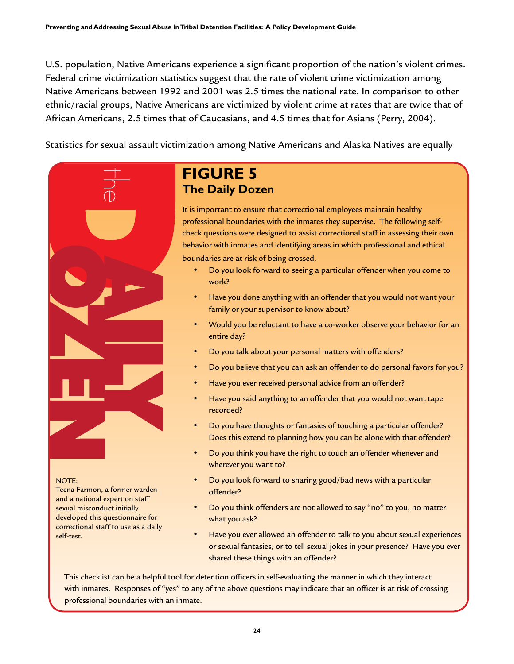U.S. population, Native Americans experience a significant proportion of the nation's violent crimes. Federal crime victimization statistics suggest that the rate of violent crime victimization among Native Americans between 1992 and 2001 was 2.5 times the national rate. In comparison to other ethnic/racial groups, Native Americans are victimized by violent crime at rates that are twice that of African Americans, 2.5 times that of Caucasians, and 4.5 times that for Asians (Perry, 2004).

Statistics for sexual assault victimization among Native Americans and Alaska Natives are equally



#### NOTE:

Teena Farmon, a former warden and a national expert on staff sexual misconduct initially developed this questionnaire for correctional staff to use as a daily self-test.

# **FIGURE 5 The Daily Dozen**

It is important to ensure that correctional employees maintain healthy professional boundaries with the inmates they supervise. The following selfcheck questions were designed to assist correctional staff in assessing their own behavior with inmates and identifying areas in which professional and ethical boundaries are at risk of being crossed.

- Do you look forward to seeing a particular offender when you come to work?
- Have you done anything with an offender that you would not want your family or your supervisor to know about?
- y Would you be reluctant to have a co-worker observe your behavior for an entire day?
- Do you talk about your personal matters with offenders?
- Do you believe that you can ask an offender to do personal favors for you?
- Have you ever received personal advice from an offender?
- Have you said anything to an offender that you would not want tape recorded?
- Do you have thoughts or fantasies of touching a particular offender? Does this extend to planning how you can be alone with that offender?
- Do you think you have the right to touch an offender whenever and wherever you want to?
- Do you look forward to sharing good/bad news with a particular offender?
- Do you think offenders are not allowed to say "no" to you, no matter what you ask?
- Have you ever allowed an offender to talk to you about sexual experiences or sexual fantasies, or to tell sexual jokes in your presence? Have you ever shared these things with an offender?

This checklist can be a helpful tool for detention officers in self-evaluating the manner in which they interact with inmates. Responses of "yes" to any of the above questions may indicate that an officer is at risk of crossing professional boundaries with an inmate.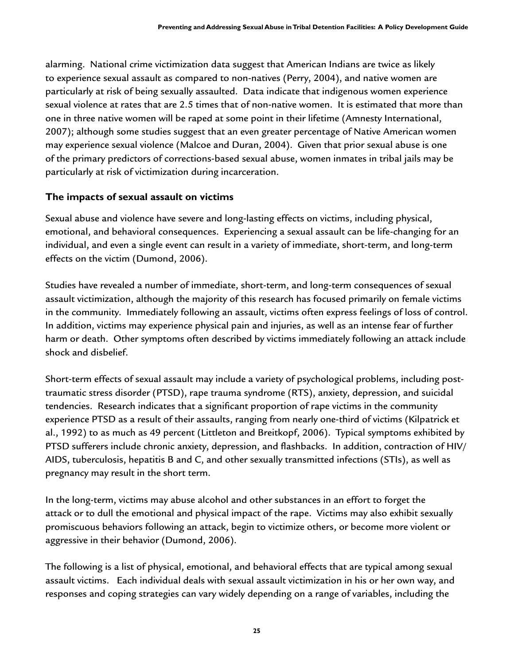alarming. National crime victimization data suggest that American Indians are twice as likely to experience sexual assault as compared to non-natives (Perry, 2004), and native women are particularly at risk of being sexually assaulted. Data indicate that indigenous women experience sexual violence at rates that are 2.5 times that of non-native women. It is estimated that more than one in three native women will be raped at some point in their lifetime (Amnesty International, 2007); although some studies suggest that an even greater percentage of Native American women may experience sexual violence (Malcoe and Duran, 2004). Given that prior sexual abuse is one of the primary predictors of corrections-based sexual abuse, women inmates in tribal jails may be particularly at risk of victimization during incarceration.

#### **The impacts of sexual assault on victims**

Sexual abuse and violence have severe and long-lasting effects on victims, including physical, emotional, and behavioral consequences. Experiencing a sexual assault can be life-changing for an individual, and even a single event can result in a variety of immediate, short-term, and long-term effects on the victim (Dumond, 2006).

Studies have revealed a number of immediate, short-term, and long-term consequences of sexual assault victimization, although the majority of this research has focused primarily on female victims in the community. Immediately following an assault, victims often express feelings of loss of control. In addition, victims may experience physical pain and injuries, as well as an intense fear of further harm or death. Other symptoms often described by victims immediately following an attack include shock and disbelief.

Short-term effects of sexual assault may include a variety of psychological problems, including posttraumatic stress disorder (PTSD), rape trauma syndrome (RTS), anxiety, depression, and suicidal tendencies. Research indicates that a significant proportion of rape victims in the community experience PTSD as a result of their assaults, ranging from nearly one-third of victims (Kilpatrick et al., 1992) to as much as 49 percent (Littleton and Breitkopf, 2006). Typical symptoms exhibited by PTSD sufferers include chronic anxiety, depression, and flashbacks. In addition, contraction of HIV/ AIDS, tuberculosis, hepatitis B and C, and other sexually transmitted infections (STIs), as well as pregnancy may result in the short term.

In the long-term, victims may abuse alcohol and other substances in an effort to forget the attack or to dull the emotional and physical impact of the rape. Victims may also exhibit sexually promiscuous behaviors following an attack, begin to victimize others, or become more violent or aggressive in their behavior (Dumond, 2006).

The following is a list of physical, emotional, and behavioral effects that are typical among sexual assault victims. Each individual deals with sexual assault victimization in his or her own way, and responses and coping strategies can vary widely depending on a range of variables, including the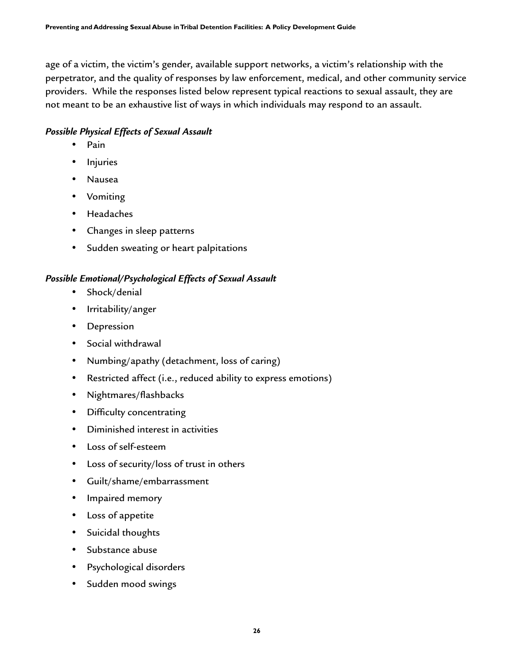age of a victim, the victim's gender, available support networks, a victim's relationship with the perpetrator, and the quality of responses by law enforcement, medical, and other community service providers. While the responses listed below represent typical reactions to sexual assault, they are not meant to be an exhaustive list of ways in which individuals may respond to an assault.

#### *Possible Physical Effects of Sexual Assault*

- $\bullet$  Pain
- Injuries
- **Nausea**
- Vomiting
- Headaches
- Changes in sleep patterns
- Sudden sweating or heart palpitations

#### *Possible Emotional/Psychological Effects of Sexual Assault*

- Shock/denial
- Irritability/anger
- Depression
- Social withdrawal
- Numbing/apathy (detachment, loss of caring)
- Restricted affect (i.e., reduced ability to express emotions)
- Nightmares/flashbacks
- Difficulty concentrating
- Diminished interest in activities
- Loss of self-esteem
- Loss of security/loss of trust in others
- y Guilt/shame/embarrassment
- Impaired memory
- Loss of appetite
- Suicidal thoughts
- Substance abuse
- Psychological disorders
- Sudden mood swings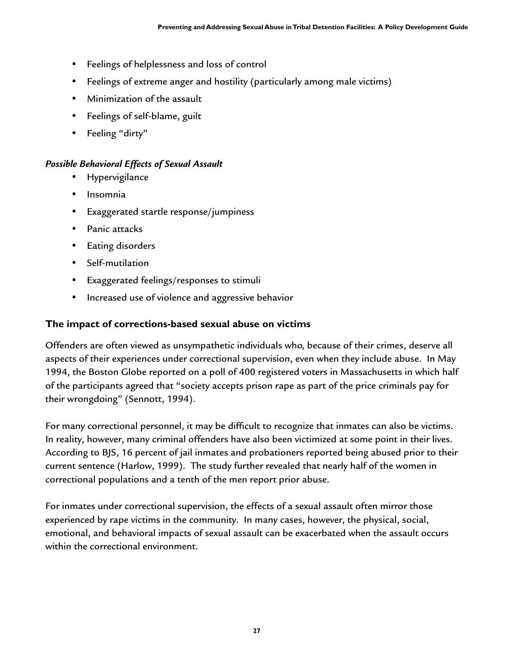- Feelings of helplessness and loss of control
- Feelings of extreme anger and hostility (particularly among male victims)
- Minimization of the assault
- Feelings of self-blame, guilt
- Feeling "dirty"

#### *Possible Behavioral Effects of Sexual Assault*

- Hypervigilance
- Insomnia
- Exaggerated startle response/jumpiness
- Panic attacks
- Eating disorders
- Self-mutilation
- Exaggerated feelings/responses to stimuli
- Increased use of violence and aggressive behavior

#### **The impact of corrections-based sexual abuse on victims**

Offenders are often viewed as unsympathetic individuals who, because of their crimes, deserve all aspects of their experiences under correctional supervision, even when they include abuse. In May 1994, the Boston Globe reported on a poll of 400 registered voters in Massachusetts in which half of the participants agreed that "society accepts prison rape as part of the price criminals pay for their wrongdoing" (Sennott, 1994).

For many correctional personnel, it may be difficult to recognize that inmates can also be victims. In reality, however, many criminal offenders have also been victimized at some point in their lives. According to BJS, 16 percent of jail inmates and probationers reported being abused prior to their current sentence (Harlow, 1999). The study further revealed that nearly half of the women in correctional populations and a tenth of the men report prior abuse.

For inmates under correctional supervision, the effects of a sexual assault often mirror those experienced by rape victims in the community. In many cases, however, the physical, social, emotional, and behavioral impacts of sexual assault can be exacerbated when the assault occurs within the correctional environment.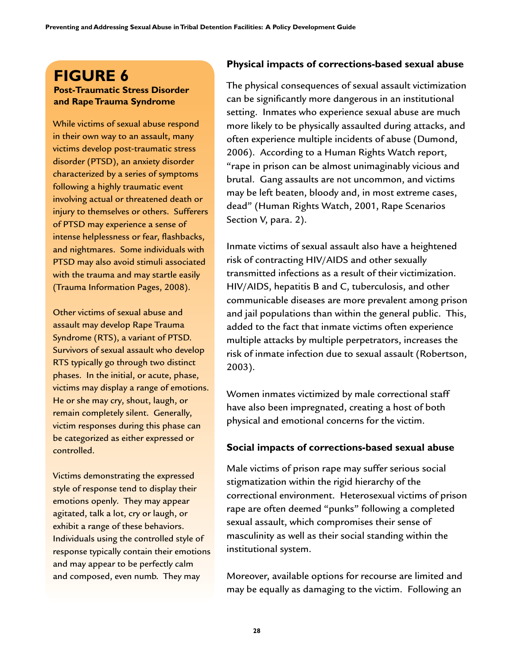# **FIGURE 6 Post-Traumatic Stress Disorder and Rape Trauma Syndrome**

While victims of sexual abuse respond in their own way to an assault, many victims develop post-traumatic stress disorder (PTSD), an anxiety disorder characterized by a series of symptoms following a highly traumatic event involving actual or threatened death or injury to themselves or others. Sufferers of PTSD may experience a sense of intense helplessness or fear, flashbacks, and nightmares. Some individuals with PTSD may also avoid stimuli associated with the trauma and may startle easily (Trauma Information Pages, 2008).

Other victims of sexual abuse and assault may develop Rape Trauma Syndrome (RTS), a variant of PTSD. Survivors of sexual assault who develop RTS typically go through two distinct phases. In the initial, or acute, phase, victims may display a range of emotions. He or she may cry, shout, laugh, or remain completely silent. Generally, victim responses during this phase can be categorized as either expressed or controlled.

Victims demonstrating the expressed style of response tend to display their emotions openly. They may appear agitated, talk a lot, cry or laugh, or exhibit a range of these behaviors. Individuals using the controlled style of response typically contain their emotions and may appear to be perfectly calm and composed, even numb. They may

#### **Physical impacts of corrections-based sexual abuse**

The physical consequences of sexual assault victimization can be significantly more dangerous in an institutional setting. Inmates who experience sexual abuse are much more likely to be physically assaulted during attacks, and often experience multiple incidents of abuse (Dumond, 2006). According to a Human Rights Watch report, "rape in prison can be almost unimaginably vicious and brutal. Gang assaults are not uncommon, and victims may be left beaten, bloody and, in most extreme cases, dead" (Human Rights Watch, 2001, Rape Scenarios Section V, para. 2).

Inmate victims of sexual assault also have a heightened risk of contracting HIV/AIDS and other sexually transmitted infections as a result of their victimization. HIV/AIDS, hepatitis B and C, tuberculosis, and other communicable diseases are more prevalent among prison and jail populations than within the general public. This, added to the fact that inmate victims often experience multiple attacks by multiple perpetrators, increases the risk of inmate infection due to sexual assault (Robertson, 2003).

Women inmates victimized by male correctional staff have also been impregnated, creating a host of both physical and emotional concerns for the victim.

#### **Social impacts of corrections-based sexual abuse**

Male victims of prison rape may suffer serious social stigmatization within the rigid hierarchy of the correctional environment. Heterosexual victims of prison rape are often deemed "punks" following a completed sexual assault, which compromises their sense of masculinity as well as their social standing within the institutional system.

Moreover, available options for recourse are limited and may be equally as damaging to the victim. Following an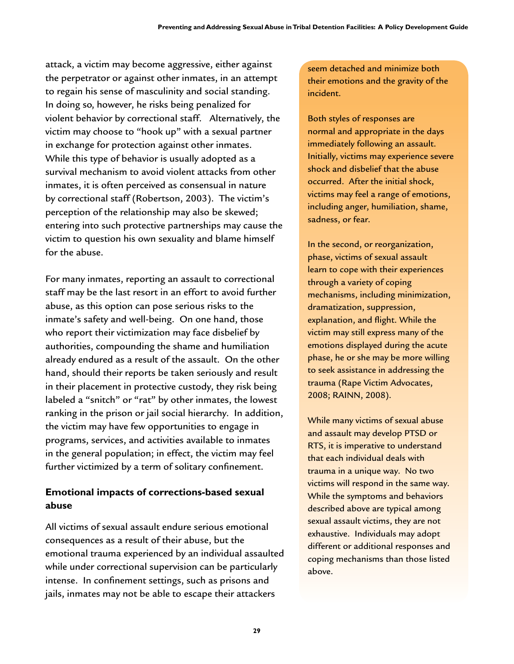attack, a victim may become aggressive, either against the perpetrator or against other inmates, in an attempt to regain his sense of masculinity and social standing. In doing so, however, he risks being penalized for violent behavior by correctional staff. Alternatively, the victim may choose to "hook up" with a sexual partner in exchange for protection against other inmates. While this type of behavior is usually adopted as a survival mechanism to avoid violent attacks from other inmates, it is often perceived as consensual in nature by correctional staff (Robertson, 2003). The victim's perception of the relationship may also be skewed; entering into such protective partnerships may cause the victim to question his own sexuality and blame himself for the abuse.

For many inmates, reporting an assault to correctional staff may be the last resort in an effort to avoid further abuse, as this option can pose serious risks to the inmate's safety and well-being. On one hand, those who report their victimization may face disbelief by authorities, compounding the shame and humiliation already endured as a result of the assault. On the other hand, should their reports be taken seriously and result in their placement in protective custody, they risk being labeled a "snitch" or "rat" by other inmates, the lowest ranking in the prison or jail social hierarchy. In addition, the victim may have few opportunities to engage in programs, services, and activities available to inmates in the general population; in effect, the victim may feel further victimized by a term of solitary confinement.

### **Emotional impacts of corrections-based sexual abuse**

All victims of sexual assault endure serious emotional consequences as a result of their abuse, but the emotional trauma experienced by an individual assaulted while under correctional supervision can be particularly intense. In confinement settings, such as prisons and jails, inmates may not be able to escape their attackers

seem detached and minimize both their emotions and the gravity of the incident.

Both styles of responses are normal and appropriate in the days immediately following an assault. Initially, victims may experience severe shock and disbelief that the abuse occurred. After the initial shock, victims may feel a range of emotions, including anger, humiliation, shame, sadness, or fear.

In the second, or reorganization, phase, victims of sexual assault learn to cope with their experiences through a variety of coping mechanisms, including minimization, dramatization, suppression, explanation, and flight. While the victim may still express many of the emotions displayed during the acute phase, he or she may be more willing to seek assistance in addressing the trauma (Rape Victim Advocates, 2008; RAINN, 2008).

While many victims of sexual abuse and assault may develop PTSD or RTS, it is imperative to understand that each individual deals with trauma in a unique way. No two victims will respond in the same way. While the symptoms and behaviors described above are typical among sexual assault victims, they are not exhaustive. Individuals may adopt different or additional responses and coping mechanisms than those listed above.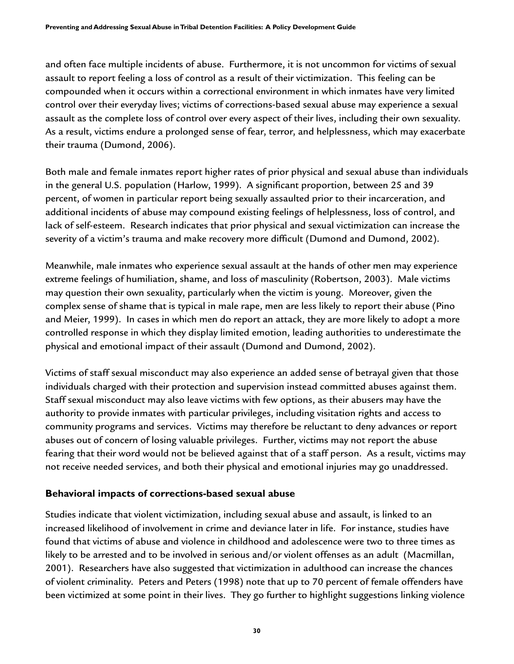and often face multiple incidents of abuse. Furthermore, it is not uncommon for victims of sexual assault to report feeling a loss of control as a result of their victimization. This feeling can be compounded when it occurs within a correctional environment in which inmates have very limited control over their everyday lives; victims of corrections-based sexual abuse may experience a sexual assault as the complete loss of control over every aspect of their lives, including their own sexuality. As a result, victims endure a prolonged sense of fear, terror, and helplessness, which may exacerbate their trauma (Dumond, 2006).

Both male and female inmates report higher rates of prior physical and sexual abuse than individuals in the general U.S. population (Harlow, 1999). A significant proportion, between 25 and 39 percent, of women in particular report being sexually assaulted prior to their incarceration, and additional incidents of abuse may compound existing feelings of helplessness, loss of control, and lack of self-esteem. Research indicates that prior physical and sexual victimization can increase the severity of a victim's trauma and make recovery more difficult (Dumond and Dumond, 2002).

Meanwhile, male inmates who experience sexual assault at the hands of other men may experience extreme feelings of humiliation, shame, and loss of masculinity (Robertson, 2003). Male victims may question their own sexuality, particularly when the victim is young. Moreover, given the complex sense of shame that is typical in male rape, men are less likely to report their abuse (Pino and Meier, 1999). In cases in which men do report an attack, they are more likely to adopt a more controlled response in which they display limited emotion, leading authorities to underestimate the physical and emotional impact of their assault (Dumond and Dumond, 2002).

Victims of staff sexual misconduct may also experience an added sense of betrayal given that those individuals charged with their protection and supervision instead committed abuses against them. Staff sexual misconduct may also leave victims with few options, as their abusers may have the authority to provide inmates with particular privileges, including visitation rights and access to community programs and services. Victims may therefore be reluctant to deny advances or report abuses out of concern of losing valuable privileges. Further, victims may not report the abuse fearing that their word would not be believed against that of a staff person. As a result, victims may not receive needed services, and both their physical and emotional injuries may go unaddressed.

#### **Behavioral impacts of corrections-based sexual abuse**

Studies indicate that violent victimization, including sexual abuse and assault, is linked to an increased likelihood of involvement in crime and deviance later in life. For instance, studies have found that victims of abuse and violence in childhood and adolescence were two to three times as likely to be arrested and to be involved in serious and/or violent offenses as an adult (Macmillan, 2001). Researchers have also suggested that victimization in adulthood can increase the chances of violent criminality. Peters and Peters (1998) note that up to 70 percent of female offenders have been victimized at some point in their lives. They go further to highlight suggestions linking violence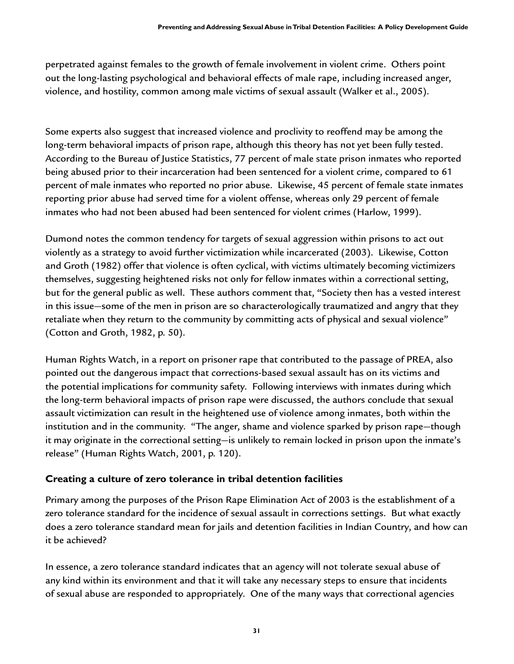perpetrated against females to the growth of female involvement in violent crime. Others point out the long-lasting psychological and behavioral effects of male rape, including increased anger, violence, and hostility, common among male victims of sexual assault (Walker et al., 2005).

Some experts also suggest that increased violence and proclivity to reoffend may be among the long-term behavioral impacts of prison rape, although this theory has not yet been fully tested. According to the Bureau of Justice Statistics, 77 percent of male state prison inmates who reported being abused prior to their incarceration had been sentenced for a violent crime, compared to 61 percent of male inmates who reported no prior abuse. Likewise, 45 percent of female state inmates reporting prior abuse had served time for a violent offense, whereas only 29 percent of female inmates who had not been abused had been sentenced for violent crimes (Harlow, 1999).

Dumond notes the common tendency for targets of sexual aggression within prisons to act out violently as a strategy to avoid further victimization while incarcerated (2003). Likewise, Cotton and Groth (1982) offer that violence is often cyclical, with victims ultimately becoming victimizers themselves, suggesting heightened risks not only for fellow inmates within a correctional setting, but for the general public as well. These authors comment that, "Society then has a vested interest in this issue—some of the men in prison are so characterologically traumatized and angry that they retaliate when they return to the community by committing acts of physical and sexual violence" (Cotton and Groth, 1982, p. 50).

Human Rights Watch, in a report on prisoner rape that contributed to the passage of PREA, also pointed out the dangerous impact that corrections-based sexual assault has on its victims and the potential implications for community safety. Following interviews with inmates during which the long-term behavioral impacts of prison rape were discussed, the authors conclude that sexual assault victimization can result in the heightened use of violence among inmates, both within the institution and in the community. "The anger, shame and violence sparked by prison rape—though it may originate in the correctional setting—is unlikely to remain locked in prison upon the inmate's release" (Human Rights Watch, 2001, p. 120).

#### **Creating a culture of zero tolerance in tribal detention facilities**

Primary among the purposes of the Prison Rape Elimination Act of 2003 is the establishment of a zero tolerance standard for the incidence of sexual assault in corrections settings. But what exactly does a zero tolerance standard mean for jails and detention facilities in Indian Country, and how can it be achieved?

In essence, a zero tolerance standard indicates that an agency will not tolerate sexual abuse of any kind within its environment and that it will take any necessary steps to ensure that incidents of sexual abuse are responded to appropriately. One of the many ways that correctional agencies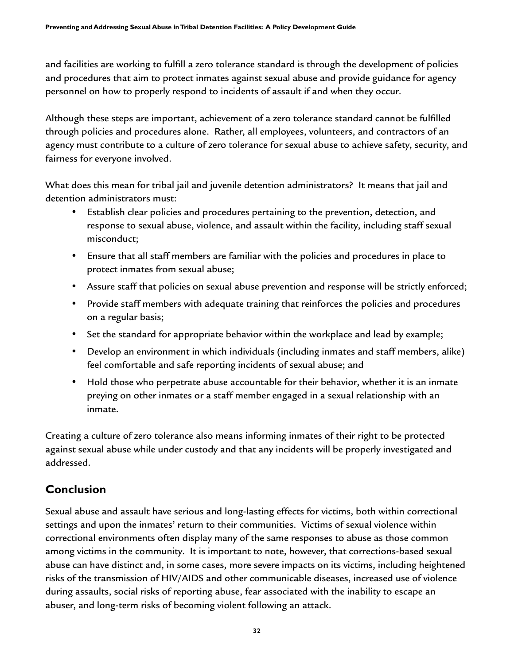and facilities are working to fulfill a zero tolerance standard is through the development of policies and procedures that aim to protect inmates against sexual abuse and provide guidance for agency personnel on how to properly respond to incidents of assault if and when they occur.

Although these steps are important, achievement of a zero tolerance standard cannot be fulfilled through policies and procedures alone. Rather, all employees, volunteers, and contractors of an agency must contribute to a culture of zero tolerance for sexual abuse to achieve safety, security, and fairness for everyone involved.

What does this mean for tribal jail and juvenile detention administrators? It means that jail and detention administrators must:

- Establish clear policies and procedures pertaining to the prevention, detection, and response to sexual abuse, violence, and assault within the facility, including staff sexual misconduct;
- Ensure that all staff members are familiar with the policies and procedures in place to protect inmates from sexual abuse;
- Assure staff that policies on sexual abuse prevention and response will be strictly enforced;
- Provide staff members with adequate training that reinforces the policies and procedures on a regular basis;
- Set the standard for appropriate behavior within the workplace and lead by example;
- Develop an environment in which individuals (including inmates and staff members, alike) feel comfortable and safe reporting incidents of sexual abuse; and
- Hold those who perpetrate abuse accountable for their behavior, whether it is an inmate preying on other inmates or a staff member engaged in a sexual relationship with an inmate.

Creating a culture of zero tolerance also means informing inmates of their right to be protected against sexual abuse while under custody and that any incidents will be properly investigated and addressed.

# **Conclusion**

Sexual abuse and assault have serious and long-lasting effects for victims, both within correctional settings and upon the inmates' return to their communities. Victims of sexual violence within correctional environments often display many of the same responses to abuse as those common among victims in the community. It is important to note, however, that corrections-based sexual abuse can have distinct and, in some cases, more severe impacts on its victims, including heightened risks of the transmission of HIV/AIDS and other communicable diseases, increased use of violence during assaults, social risks of reporting abuse, fear associated with the inability to escape an abuser, and long-term risks of becoming violent following an attack.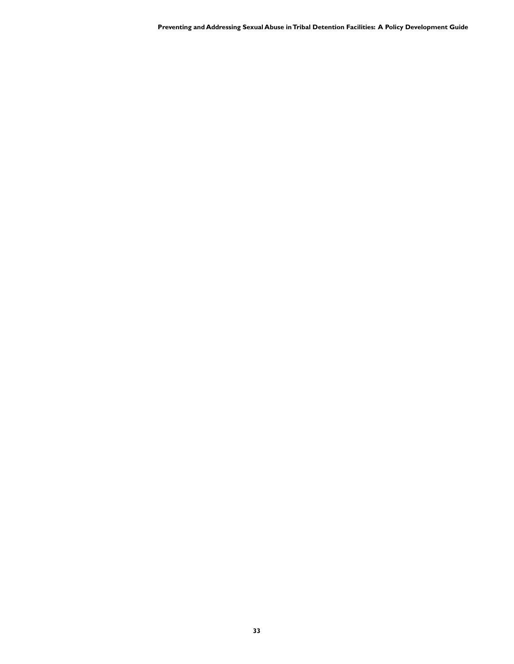**Preventing and Addressing Sexual Abuse in Tribal Detention Facilities: A Policy Development Guide**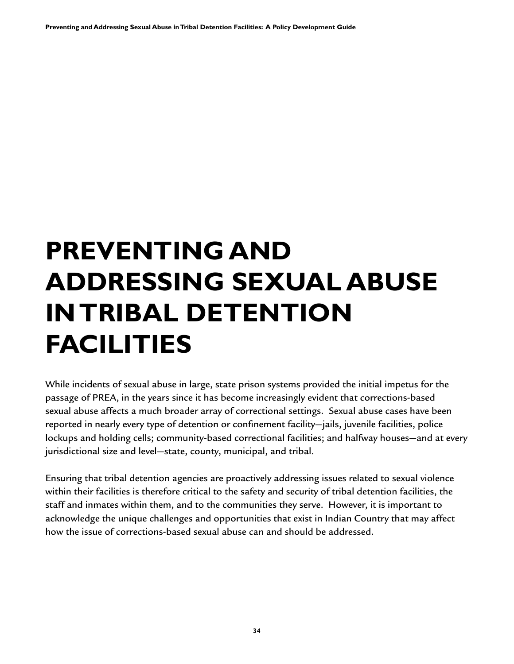# <span id="page-33-0"></span>**Preventing and Addressing Sexual Abuse in Tribal Detention Facilities**

While incidents of sexual abuse in large, state prison systems provided the initial impetus for the passage of PREA, in the years since it has become increasingly evident that corrections-based sexual abuse affects a much broader array of correctional settings. Sexual abuse cases have been reported in nearly every type of detention or confinement facility—jails, juvenile facilities, police lockups and holding cells; community-based correctional facilities; and halfway houses—and at every jurisdictional size and level—state, county, municipal, and tribal.

Ensuring that tribal detention agencies are proactively addressing issues related to sexual violence within their facilities is therefore critical to the safety and security of tribal detention facilities, the staff and inmates within them, and to the communities they serve. However, it is important to acknowledge the unique challenges and opportunities that exist in Indian Country that may affect how the issue of corrections-based sexual abuse can and should be addressed.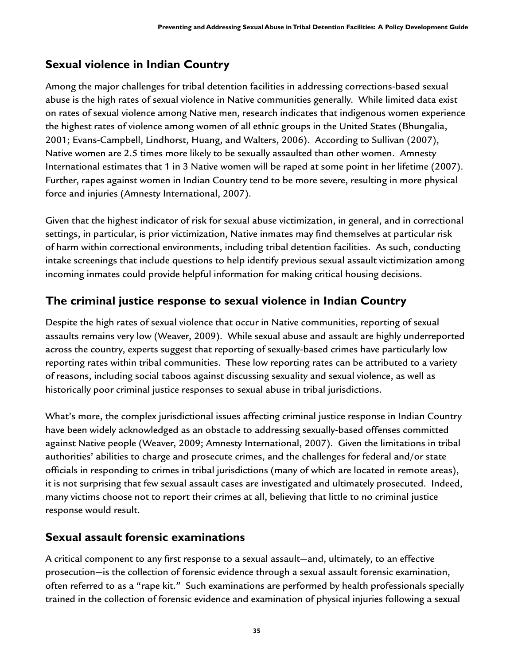# **Sexual violence in Indian Country**

Among the major challenges for tribal detention facilities in addressing corrections-based sexual abuse is the high rates of sexual violence in Native communities generally. While limited data exist on rates of sexual violence among Native men, research indicates that indigenous women experience the highest rates of violence among women of all ethnic groups in the United States (Bhungalia, 2001; Evans-Campbell, Lindhorst, Huang, and Walters, 2006). According to Sullivan (2007), Native women are 2.5 times more likely to be sexually assaulted than other women. Amnesty International estimates that 1 in 3 Native women will be raped at some point in her lifetime (2007). Further, rapes against women in Indian Country tend to be more severe, resulting in more physical force and injuries (Amnesty International, 2007).

Given that the highest indicator of risk for sexual abuse victimization, in general, and in correctional settings, in particular, is prior victimization, Native inmates may find themselves at particular risk of harm within correctional environments, including tribal detention facilities. As such, conducting intake screenings that include questions to help identify previous sexual assault victimization among incoming inmates could provide helpful information for making critical housing decisions.

# **The criminal justice response to sexual violence in Indian Country**

Despite the high rates of sexual violence that occur in Native communities, reporting of sexual assaults remains very low (Weaver, 2009). While sexual abuse and assault are highly underreported across the country, experts suggest that reporting of sexually-based crimes have particularly low reporting rates within tribal communities. These low reporting rates can be attributed to a variety of reasons, including social taboos against discussing sexuality and sexual violence, as well as historically poor criminal justice responses to sexual abuse in tribal jurisdictions.

What's more, the complex jurisdictional issues affecting criminal justice response in Indian Country have been widely acknowledged as an obstacle to addressing sexually-based offenses committed against Native people (Weaver, 2009; Amnesty International, 2007). Given the limitations in tribal authorities' abilities to charge and prosecute crimes, and the challenges for federal and/or state officials in responding to crimes in tribal jurisdictions (many of which are located in remote areas), it is not surprising that few sexual assault cases are investigated and ultimately prosecuted. Indeed, many victims choose not to report their crimes at all, believing that little to no criminal justice response would result.

### **Sexual assault forensic examinations**

A critical component to any first response to a sexual assault—and, ultimately, to an effective prosecution—is the collection of forensic evidence through a sexual assault forensic examination, often referred to as a "rape kit." Such examinations are performed by health professionals specially trained in the collection of forensic evidence and examination of physical injuries following a sexual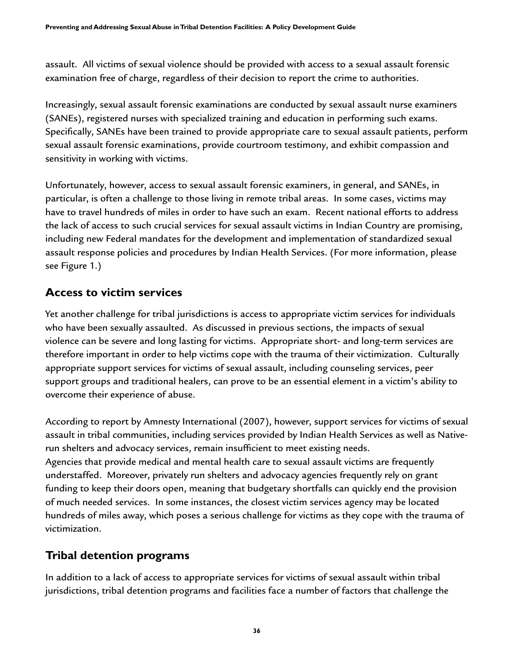assault. All victims of sexual violence should be provided with access to a sexual assault forensic examination free of charge, regardless of their decision to report the crime to authorities.

Increasingly, sexual assault forensic examinations are conducted by sexual assault nurse examiners (SANEs), registered nurses with specialized training and education in performing such exams. Specifically, SANEs have been trained to provide appropriate care to sexual assault patients, perform sexual assault forensic examinations, provide courtroom testimony, and exhibit compassion and sensitivity in working with victims.

Unfortunately, however, access to sexual assault forensic examiners, in general, and SANEs, in particular, is often a challenge to those living in remote tribal areas. In some cases, victims may have to travel hundreds of miles in order to have such an exam. Recent national efforts to address the lack of access to such crucial services for sexual assault victims in Indian Country are promising, including new Federal mandates for the development and implementation of standardized sexual assault response policies and procedures by Indian Health Services. (For more information, please see Figure 1.)

### **Access to victim services**

Yet another challenge for tribal jurisdictions is access to appropriate victim services for individuals who have been sexually assaulted. As discussed in previous sections, the impacts of sexual violence can be severe and long lasting for victims. Appropriate short- and long-term services are therefore important in order to help victims cope with the trauma of their victimization. Culturally appropriate support services for victims of sexual assault, including counseling services, peer support groups and traditional healers, can prove to be an essential element in a victim's ability to overcome their experience of abuse.

According to report by Amnesty International (2007), however, support services for victims of sexual assault in tribal communities, including services provided by Indian Health Services as well as Nativerun shelters and advocacy services, remain insufficient to meet existing needs. Agencies that provide medical and mental health care to sexual assault victims are frequently understaffed. Moreover, privately run shelters and advocacy agencies frequently rely on grant funding to keep their doors open, meaning that budgetary shortfalls can quickly end the provision of much needed services. In some instances, the closest victim services agency may be located hundreds of miles away, which poses a serious challenge for victims as they cope with the trauma of victimization.

# **Tribal detention programs**

In addition to a lack of access to appropriate services for victims of sexual assault within tribal jurisdictions, tribal detention programs and facilities face a number of factors that challenge the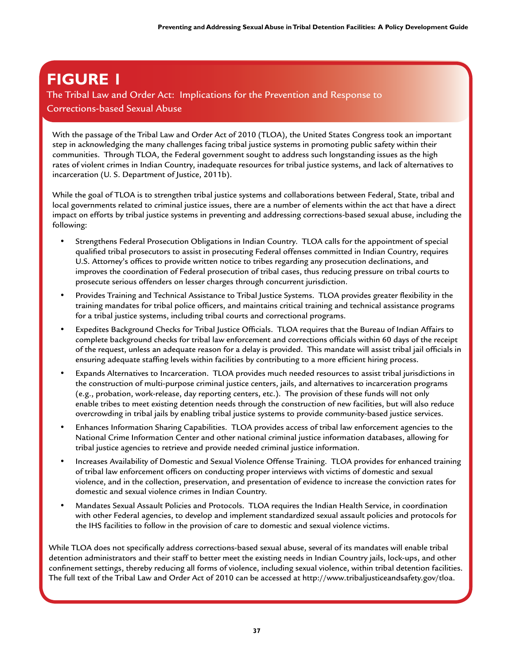# **FIGURE 1**

The Tribal Law and Order Act: Implications for the Prevention and Response to Corrections-based Sexual Abuse

With the passage of the Tribal Law and Order Act of 2010 (TLOA), the United States Congress took an important step in acknowledging the many challenges facing tribal justice systems in promoting public safety within their communities. Through TLOA, the Federal government sought to address such longstanding issues as the high rates of violent crimes in Indian Country, inadequate resources for tribal justice systems, and lack of alternatives to incarceration (U. S. Department of Justice, 2011b).

While the goal of TLOA is to strengthen tribal justice systems and collaborations between Federal, State, tribal and local governments related to criminal justice issues, there are a number of elements within the act that have a direct impact on efforts by tribal justice systems in preventing and addressing corrections-based sexual abuse, including the following:

- Strengthens Federal Prosecution Obligations in Indian Country. TLOA calls for the appointment of special qualified tribal prosecutors to assist in prosecuting Federal offenses committed in Indian Country, requires U.S. Attorney's offices to provide written notice to tribes regarding any prosecution declinations, and improves the coordination of Federal prosecution of tribal cases, thus reducing pressure on tribal courts to prosecute serious offenders on lesser charges through concurrent jurisdiction.
- Provides Training and Technical Assistance to Tribal Justice Systems. TLOA provides greater flexibility in the training mandates for tribal police officers, and maintains critical training and technical assistance programs for a tribal justice systems, including tribal courts and correctional programs.
- Expedites Background Checks for Tribal Justice Officials. TLOA requires that the Bureau of Indian Affairs to complete background checks for tribal law enforcement and corrections officials within 60 days of the receipt of the request, unless an adequate reason for a delay is provided. This mandate will assist tribal jail officials in ensuring adequate staffing levels within facilities by contributing to a more efficient hiring process.
- Expands Alternatives to Incarceration. TLOA provides much needed resources to assist tribal jurisdictions in the construction of multi-purpose criminal justice centers, jails, and alternatives to incarceration programs (e.g., probation, work-release, day reporting centers, etc.). The provision of these funds will not only enable tribes to meet existing detention needs through the construction of new facilities, but will also reduce overcrowding in tribal jails by enabling tribal justice systems to provide community-based justice services.
- Enhances Information Sharing Capabilities. TLOA provides access of tribal law enforcement agencies to the National Crime Information Center and other national criminal justice information databases, allowing for tribal justice agencies to retrieve and provide needed criminal justice information.
- Increases Availability of Domestic and Sexual Violence Offense Training. TLOA provides for enhanced training of tribal law enforcement officers on conducting proper interviews with victims of domestic and sexual violence, and in the collection, preservation, and presentation of evidence to increase the conviction rates for domestic and sexual violence crimes in Indian Country.
- Mandates Sexual Assault Policies and Protocols. TLOA requires the Indian Health Service, in coordination with other Federal agencies, to develop and implement standardized sexual assault policies and protocols for the IHS facilities to follow in the provision of care to domestic and sexual violence victims.

While TLOA does not specifically address corrections-based sexual abuse, several of its mandates will enable tribal detention administrators and their staff to better meet the existing needs in Indian Country jails, lock-ups, and other confinement settings, thereby reducing all forms of violence, including sexual violence, within tribal detention facilities. The full text of the Tribal Law and Order Act of 2010 can be accessed at http://www.tribaljusticeandsafety.gov/tloa.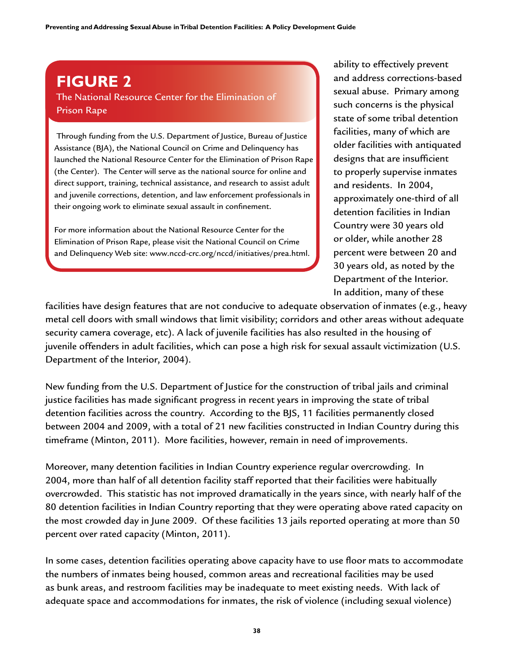# **FIGURE 2**

The National Resource Center for the Elimination of Prison Rape

Through funding from the U.S. Department of Justice, Bureau of Justice Assistance (BJA), the National Council on Crime and Delinquency has launched the National Resource Center for the Elimination of Prison Rape (the Center). The Center will serve as the national source for online and direct support, training, technical assistance, and research to assist adult and juvenile corrections, detention, and law enforcement professionals in their ongoing work to eliminate sexual assault in confinement.

For more information about the National Resource Center for the Elimination of Prison Rape, please visit the National Council on Crime and Delinquency Web site: www.nccd-crc.org/nccd/initiatives/prea.html.

ability to effectively prevent and address corrections-based sexual abuse. Primary among such concerns is the physical state of some tribal detention facilities, many of which are older facilities with antiquated designs that are insufficient to properly supervise inmates and residents. In 2004, approximately one-third of all detention facilities in Indian Country were 30 years old or older, while another 28 percent were between 20 and 30 years old, as noted by the Department of the Interior. In addition, many of these

facilities have design features that are not conducive to adequate observation of inmates (e.g., heavy metal cell doors with small windows that limit visibility; corridors and other areas without adequate security camera coverage, etc). A lack of juvenile facilities has also resulted in the housing of juvenile offenders in adult facilities, which can pose a high risk for sexual assault victimization (U.S. Department of the Interior, 2004).

New funding from the U.S. Department of Justice for the construction of tribal jails and criminal justice facilities has made significant progress in recent years in improving the state of tribal detention facilities across the country. According to the BJS, 11 facilities permanently closed between 2004 and 2009, with a total of 21 new facilities constructed in Indian Country during this timeframe (Minton, 2011). More facilities, however, remain in need of improvements.

Moreover, many detention facilities in Indian Country experience regular overcrowding. In 2004, more than half of all detention facility staff reported that their facilities were habitually overcrowded. This statistic has not improved dramatically in the years since, with nearly half of the 80 detention facilities in Indian Country reporting that they were operating above rated capacity on the most crowded day in June 2009. Of these facilities 13 jails reported operating at more than 50 percent over rated capacity (Minton, 2011).

In some cases, detention facilities operating above capacity have to use floor mats to accommodate the numbers of inmates being housed, common areas and recreational facilities may be used as bunk areas, and restroom facilities may be inadequate to meet existing needs. With lack of adequate space and accommodations for inmates, the risk of violence (including sexual violence)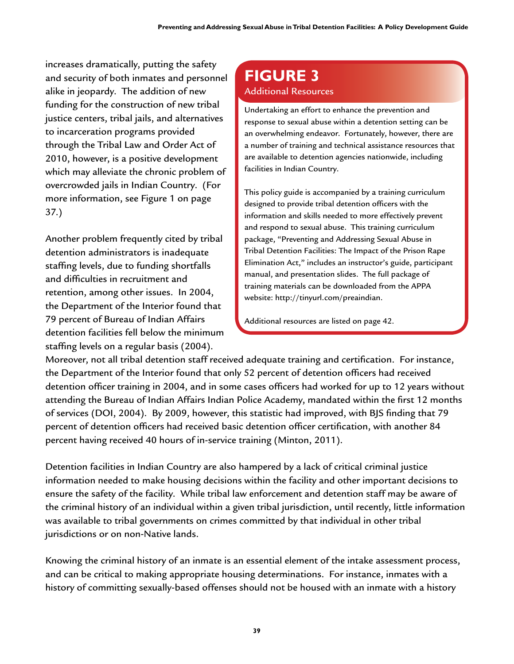increases dramatically, putting the safety and security of both inmates and personnel alike in jeopardy. The addition of new funding for the construction of new tribal justice centers, tribal jails, and alternatives to incarceration programs provided through the Tribal Law and Order Act of 2010, however, is a positive development which may alleviate the chronic problem of overcrowded jails in Indian Country. (For more information, see Figure 1 on page 37.)

Another problem frequently cited by tribal detention administrators is inadequate staffing levels, due to funding shortfalls and difficulties in recruitment and retention, among other issues. In 2004, the Department of the Interior found that 79 percent of Bureau of Indian Affairs detention facilities fell below the minimum staffing levels on a regular basis (2004).

# **FIGURE 3** Additional Resources

Undertaking an effort to enhance the prevention and response to sexual abuse within a detention setting can be an overwhelming endeavor. Fortunately, however, there are a number of training and technical assistance resources that are available to detention agencies nationwide, including facilities in Indian Country.

This policy guide is accompanied by a training curriculum designed to provide tribal detention officers with the information and skills needed to more effectively prevent and respond to sexual abuse. This training curriculum package, "Preventing and Addressing Sexual Abuse in Tribal Detention Facilities: The Impact of the Prison Rape Elimination Act," includes an instructor's guide, participant manual, and presentation slides. The full package of training materials can be downloaded from the APPA website: http://tinyurl.com/preaindian.

Additional resources are listed on page 42.

Moreover, not all tribal detention staff received adequate training and certification. For instance, the Department of the Interior found that only 52 percent of detention officers had received detention officer training in 2004, and in some cases officers had worked for up to 12 years without attending the Bureau of Indian Affairs Indian Police Academy, mandated within the first 12 months of services (DOI, 2004). By 2009, however, this statistic had improved, with BJS finding that 79 percent of detention officers had received basic detention officer certification, with another 84 percent having received 40 hours of in-service training (Minton, 2011).

Detention facilities in Indian Country are also hampered by a lack of critical criminal justice information needed to make housing decisions within the facility and other important decisions to ensure the safety of the facility. While tribal law enforcement and detention staff may be aware of the criminal history of an individual within a given tribal jurisdiction, until recently, little information was available to tribal governments on crimes committed by that individual in other tribal jurisdictions or on non-Native lands.

Knowing the criminal history of an inmate is an essential element of the intake assessment process, and can be critical to making appropriate housing determinations. For instance, inmates with a history of committing sexually-based offenses should not be housed with an inmate with a history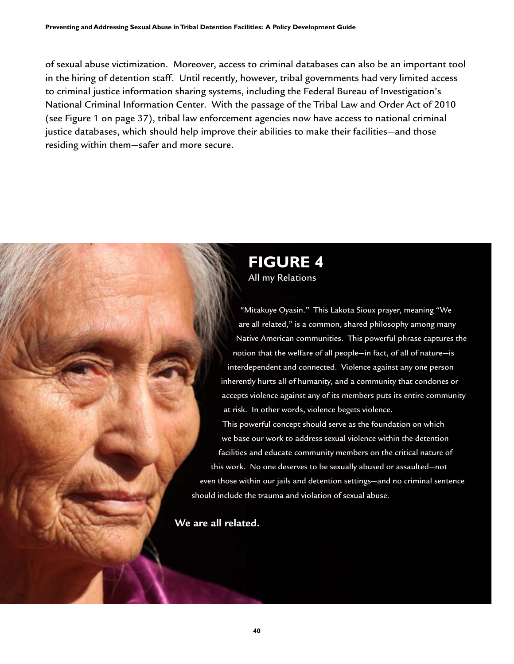of sexual abuse victimization. Moreover, access to criminal databases can also be an important tool in the hiring of detention staff. Until recently, however, tribal governments had very limited access to criminal justice information sharing systems, including the Federal Bureau of Investigation's National Criminal Information Center. With the passage of the Tribal Law and Order Act of 2010 (see Figure 1 on page 37), tribal law enforcement agencies now have access to national criminal justice databases, which should help improve their abilities to make their facilities—and those residing within them—safer and more secure.

# **FIGURE 4** All my Relations

"Mitakuye Oyasin." This Lakota Sioux prayer, meaning "We are all related," is a common, shared philosophy among many Native American communities. This powerful phrase captures the notion that the welfare of all people—in fact, of all of nature—is interdependent and connected. Violence against any one person inherently hurts all of humanity, and a community that condones or accepts violence against any of its members puts its entire community at risk. In other words, violence begets violence.

This powerful concept should serve as the foundation on which we base our work to address sexual violence within the detention facilities and educate community members on the critical nature of this work. No one deserves to be sexually abused or assaulted—not even those within our jails and detention settings—and no criminal sentence should include the trauma and violation of sexual abuse.

### **We are all related.**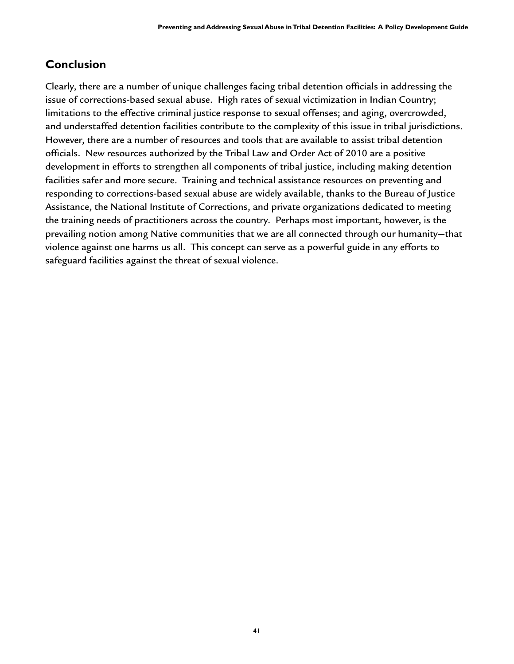# **Conclusion**

Clearly, there are a number of unique challenges facing tribal detention officials in addressing the issue of corrections-based sexual abuse. High rates of sexual victimization in Indian Country; limitations to the effective criminal justice response to sexual offenses; and aging, overcrowded, and understaffed detention facilities contribute to the complexity of this issue in tribal jurisdictions. However, there are a number of resources and tools that are available to assist tribal detention officials. New resources authorized by the Tribal Law and Order Act of 2010 are a positive development in efforts to strengthen all components of tribal justice, including making detention facilities safer and more secure. Training and technical assistance resources on preventing and responding to corrections-based sexual abuse are widely available, thanks to the Bureau of Justice Assistance, the National Institute of Corrections, and private organizations dedicated to meeting the training needs of practitioners across the country. Perhaps most important, however, is the prevailing notion among Native communities that we are all connected through our humanity—that violence against one harms us all. This concept can serve as a powerful guide in any efforts to safeguard facilities against the threat of sexual violence.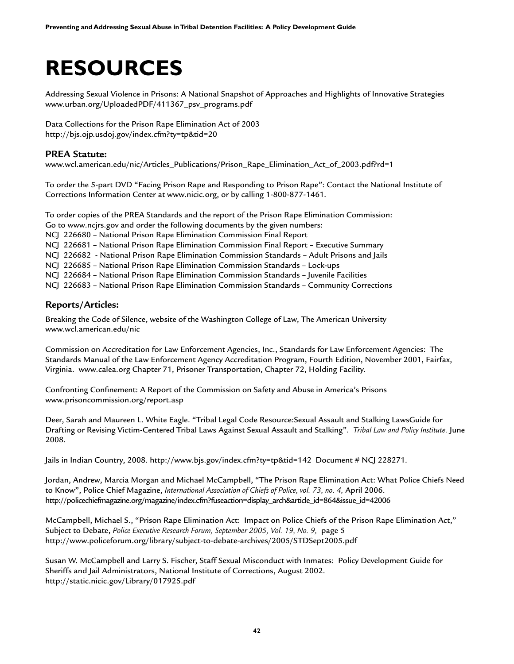# **Resources**

Addressing Sexual Violence in Prisons: A National Snapshot of Approaches and Highlights of Innovative Strategies www.urban.org/UploadedPDF/411367\_psv\_programs.pdf

Data Collections for the Prison Rape Elimination Act of 2003 http://bjs.ojp.usdoj.gov/index.cfm?ty=tp&tid=20

#### **PREA Statute:**

www.wcl.american.edu/nic/Articles\_Publications/Prison\_Rape\_Elimination\_Act\_of\_2003.pdf?rd=1

To order the 5-part DVD "Facing Prison Rape and Responding to Prison Rape": Contact the National Institute of Corrections Information Center at www.nicic.org, or by calling 1-800-877-1461.

To order copies of the PREA Standards and the report of the Prison Rape Elimination Commission: Go to www.ncjrs.gov and order the following documents by the given numbers:

NCJ 226680 – National Prison Rape Elimination Commission Final Report

- NCJ 226681 National Prison Rape Elimination Commission Final Report Executive Summary
- NCJ 226682 National Prison Rape Elimination Commission Standards Adult Prisons and Jails

NCJ 226685 – National Prison Rape Elimination Commission Standards – Lock-ups

- NCJ 226684 National Prison Rape Elimination Commission Standards Juvenile Facilities
- NCJ 226683 National Prison Rape Elimination Commission Standards Community Corrections

#### **Reports/Articles:**

Breaking the Code of Silence, website of the Washington College of Law, The American University www.wcl.american.edu/nic

Commission on Accreditation for Law Enforcement Agencies, Inc., Standards for Law Enforcement Agencies: The Standards Manual of the Law Enforcement Agency Accreditation Program, Fourth Edition, November 2001, Fairfax, Virginia. www.calea.org Chapter 71, Prisoner Transportation, Chapter 72, Holding Facility.

Confronting Confinement: A Report of the Commission on Safety and Abuse in America's Prisons www.prisoncommission.org/report.asp

Deer, Sarah and Maureen L. White Eagle. "Tribal Legal Code Resource:Sexual Assault and Stalking LawsGuide for Drafting or Revising Victim-Centered Tribal Laws Against Sexual Assault and Stalking". *Tribal Law and Policy Institute.* June 2008.

Jails in Indian Country, 2008. http://www.bjs.gov/index.cfm?ty=tp&tid=142 Document # NCJ 228271.

Jordan, Andrew, Marcia Morgan and Michael McCampbell, "The Prison Rape Elimination Act: What Police Chiefs Need to Know", Police Chief Magazine, *International Association of Chiefs of Police, vol. 73, no. 4,* April 2006. http://policechiefmagazine.org/magazine/index.cfm?fuseaction=display\_arch&article\_id=864&issue\_id=42006

McCampbell, Michael S., "Prison Rape Elimination Act: Impact on Police Chiefs of the Prison Rape Elimination Act," Subject to Debate, *Police Executive Research Forum, September 2005, Vol. 19, No. 9,* page 5 http://www.policeforum.org/library/subject-to-debate-archives/2005/STDSept2005.pdf

Susan W. McCampbell and Larry S. Fischer, Staff Sexual Misconduct with Inmates: Policy Development Guide for Sheriffs and Jail Administrators, National Institute of Corrections, August 2002. http://static.nicic.gov/Library/017925.pdf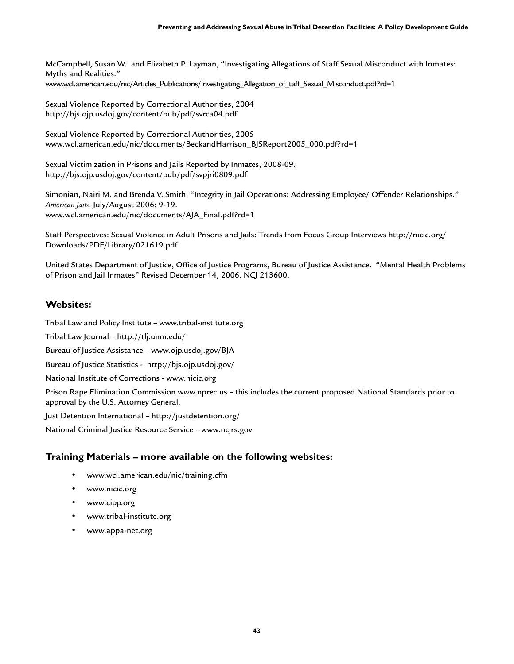McCampbell, Susan W. and Elizabeth P. Layman, "Investigating Allegations of Staff Sexual Misconduct with Inmates: Myths and Realities." www.wcl.american.edu/nic/Articles\_Publications/Investigating\_Allegation\_of\_taff\_Sexual\_Misconduct.pdf?rd=1

Sexual Violence Reported by Correctional Authorities, 2004 http://bjs.ojp.usdoj.gov/content/pub/pdf/svrca04.pdf

Sexual Violence Reported by Correctional Authorities, 2005 www.wcl.american.edu/nic/documents/BeckandHarrison\_BJSReport2005\_000.pdf?rd=1

Sexual Victimization in Prisons and Jails Reported by Inmates, 2008-09. http://bjs.ojp.usdoj.gov/content/pub/pdf/svpjri0809.pdf

Simonian, Nairi M. and Brenda V. Smith. "Integrity in Jail Operations: Addressing Employee/ Offender Relationships." *American Jails.* July/August 2006: 9-19. www.wcl.american.edu/nic/documents/AJA\_Final.pdf?rd=1

Staff Perspectives: Sexual Violence in Adult Prisons and Jails: Trends from Focus Group Interviews http://nicic.org/ Downloads/PDF/Library/021619.pdf

United States Department of Justice, Office of Justice Programs, Bureau of Justice Assistance. "Mental Health Problems of Prison and Jail Inmates" Revised December 14, 2006. NCJ 213600.

### **Websites:**

Tribal Law and Policy Institute – www.tribal-institute.org

Tribal Law Journal – http://tlj.unm.edu/

Bureau of Justice Assistance – www.ojp.usdoj.gov/BJA

Bureau of Justice Statistics - http://bjs.ojp.usdoj.gov/

National Institute of Corrections - www.nicic.org

Prison Rape Elimination Commission www.nprec.us – this includes the current proposed National Standards prior to approval by the U.S. Attorney General.

Just Detention International – http://justdetention.org/

National Criminal Justice Resource Service – www.ncjrs.gov

### **Training Materials – more available on the following websites:**

- y www.wcl.american.edu/nic/training.cfm
- www.nicic.org
- www.cipp.org
- y www.tribal-institute.org
- y www.appa-net.org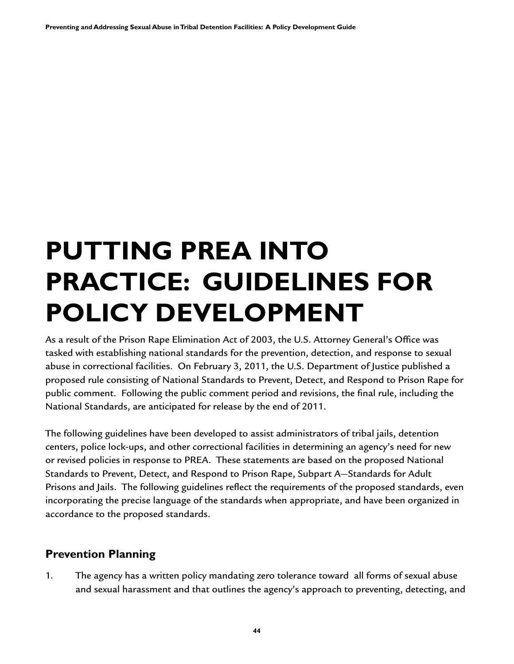# **Putting PREA into Practice: Guidelines for Policy Development**

As a result of the Prison Rape Elimination Act of 2003, the U.S. Attorney General's Office was tasked with establishing national standards for the prevention, detection, and response to sexual abuse in correctional facilities. On February 3, 2011, the U.S. Department of Justice published a proposed rule consisting of National Standards to Prevent, Detect, and Respond to Prison Rape for public comment. Following the public comment period and revisions, the final rule, including the National Standards, are anticipated for release by the end of 2011.

The following guidelines have been developed to assist administrators of tribal jails, detention centers, police lock-ups, and other correctional facilities in determining an agency's need for new or revised policies in response to PREA. These statements are based on the proposed National Standards to Prevent, Detect, and Respond to Prison Rape, Subpart A—Standards for Adult Prisons and Jails. The following guidelines reflect the requirements of the proposed standards, even incorporating the precise language of the standards when appropriate, and have been organized in accordance to the proposed standards.

## **Prevention Planning**

1. The agency has a written policy mandating zero tolerance toward all forms of sexual abuse and sexual harassment and that outlines the agency's approach to preventing, detecting, and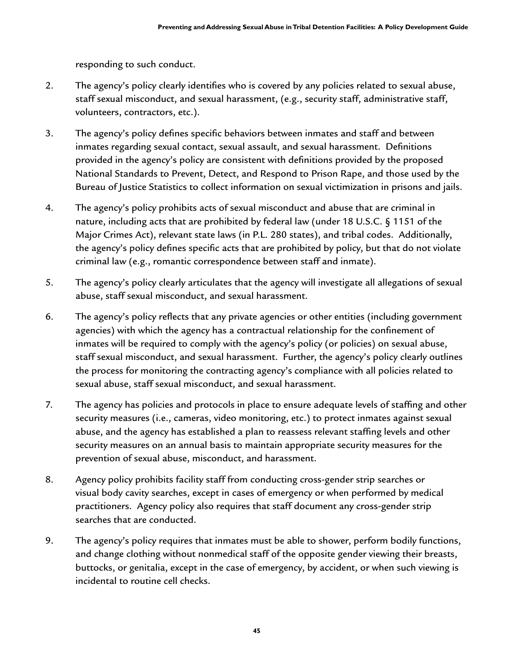responding to such conduct.

- 2. The agency's policy clearly identifies who is covered by any policies related to sexual abuse, staff sexual misconduct, and sexual harassment, (e.g., security staff, administrative staff, volunteers, contractors, etc.).
- 3. The agency's policy defines specific behaviors between inmates and staff and between inmates regarding sexual contact, sexual assault, and sexual harassment. Definitions provided in the agency's policy are consistent with definitions provided by the proposed National Standards to Prevent, Detect, and Respond to Prison Rape, and those used by the Bureau of Justice Statistics to collect information on sexual victimization in prisons and jails.
- 4. The agency's policy prohibits acts of sexual misconduct and abuse that are criminal in nature, including acts that are prohibited by federal law (under 18 U.S.C. § 1151 of the Major Crimes Act), relevant state laws (in P.L. 280 states), and tribal codes. Additionally, the agency's policy defines specific acts that are prohibited by policy, but that do not violate criminal law (e.g., romantic correspondence between staff and inmate).
- 5. The agency's policy clearly articulates that the agency will investigate all allegations of sexual abuse, staff sexual misconduct, and sexual harassment.
- 6. The agency's policy reflects that any private agencies or other entities (including government agencies) with which the agency has a contractual relationship for the confinement of inmates will be required to comply with the agency's policy (or policies) on sexual abuse, staff sexual misconduct, and sexual harassment. Further, the agency's policy clearly outlines the process for monitoring the contracting agency's compliance with all policies related to sexual abuse, staff sexual misconduct, and sexual harassment.
- 7. The agency has policies and protocols in place to ensure adequate levels of staffing and other security measures (i.e., cameras, video monitoring, etc.) to protect inmates against sexual abuse, and the agency has established a plan to reassess relevant staffing levels and other security measures on an annual basis to maintain appropriate security measures for the prevention of sexual abuse, misconduct, and harassment.
- 8. Agency policy prohibits facility staff from conducting cross-gender strip searches or visual body cavity searches, except in cases of emergency or when performed by medical practitioners. Agency policy also requires that staff document any cross-gender strip searches that are conducted.
- 9. The agency's policy requires that inmates must be able to shower, perform bodily functions, and change clothing without nonmedical staff of the opposite gender viewing their breasts, buttocks, or genitalia, except in the case of emergency, by accident, or when such viewing is incidental to routine cell checks.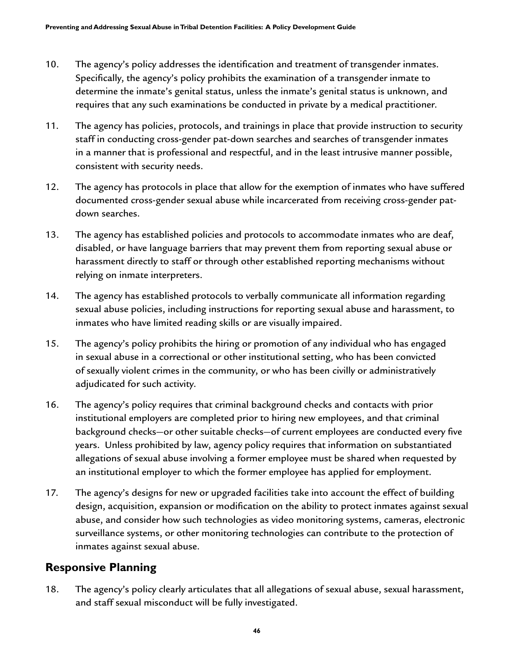- 10. The agency's policy addresses the identification and treatment of transgender inmates. Specifically, the agency's policy prohibits the examination of a transgender inmate to determine the inmate's genital status, unless the inmate's genital status is unknown, and requires that any such examinations be conducted in private by a medical practitioner.
- 11. The agency has policies, protocols, and trainings in place that provide instruction to security staff in conducting cross-gender pat-down searches and searches of transgender inmates in a manner that is professional and respectful, and in the least intrusive manner possible, consistent with security needs.
- 12. The agency has protocols in place that allow for the exemption of inmates who have suffered documented cross-gender sexual abuse while incarcerated from receiving cross-gender patdown searches.
- 13. The agency has established policies and protocols to accommodate inmates who are deaf, disabled, or have language barriers that may prevent them from reporting sexual abuse or harassment directly to staff or through other established reporting mechanisms without relying on inmate interpreters.
- 14. The agency has established protocols to verbally communicate all information regarding sexual abuse policies, including instructions for reporting sexual abuse and harassment, to inmates who have limited reading skills or are visually impaired.
- 15. The agency's policy prohibits the hiring or promotion of any individual who has engaged in sexual abuse in a correctional or other institutional setting, who has been convicted of sexually violent crimes in the community, or who has been civilly or administratively adjudicated for such activity.
- 16. The agency's policy requires that criminal background checks and contacts with prior institutional employers are completed prior to hiring new employees, and that criminal background checks—or other suitable checks—of current employees are conducted every five years. Unless prohibited by law, agency policy requires that information on substantiated allegations of sexual abuse involving a former employee must be shared when requested by an institutional employer to which the former employee has applied for employment.
- 17. The agency's designs for new or upgraded facilities take into account the effect of building design, acquisition, expansion or modification on the ability to protect inmates against sexual abuse, and consider how such technologies as video monitoring systems, cameras, electronic surveillance systems, or other monitoring technologies can contribute to the protection of inmates against sexual abuse.

### **Responsive Planning**

18. The agency's policy clearly articulates that all allegations of sexual abuse, sexual harassment, and staff sexual misconduct will be fully investigated.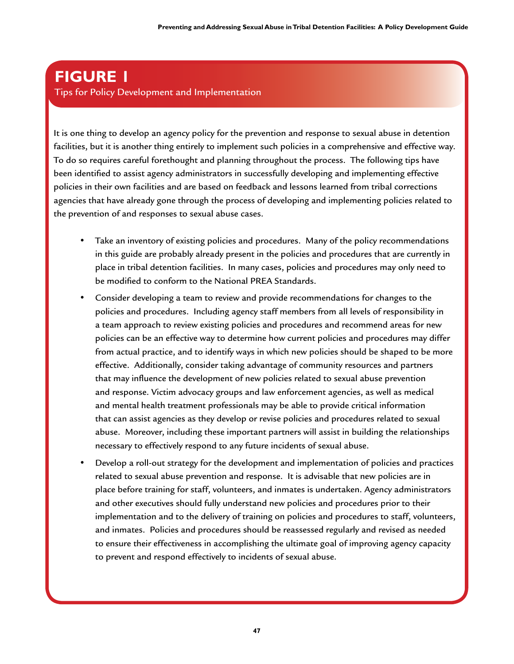# **FIGURE 1**

### Tips for Policy Development and Implementation

It is one thing to develop an agency policy for the prevention and response to sexual abuse in detention facilities, but it is another thing entirely to implement such policies in a comprehensive and effective way. To do so requires careful forethought and planning throughout the process. The following tips have been identified to assist agency administrators in successfully developing and implementing effective policies in their own facilities and are based on feedback and lessons learned from tribal corrections agencies that have already gone through the process of developing and implementing policies related to the prevention of and responses to sexual abuse cases.

- Take an inventory of existing policies and procedures. Many of the policy recommendations in this guide are probably already present in the policies and procedures that are currently in place in tribal detention facilities. In many cases, policies and procedures may only need to be modified to conform to the National PREA Standards.
- Consider developing a team to review and provide recommendations for changes to the policies and procedures. Including agency staff members from all levels of responsibility in a team approach to review existing policies and procedures and recommend areas for new policies can be an effective way to determine how current policies and procedures may differ from actual practice, and to identify ways in which new policies should be shaped to be more effective. Additionally, consider taking advantage of community resources and partners that may influence the development of new policies related to sexual abuse prevention and response. Victim advocacy groups and law enforcement agencies, as well as medical and mental health treatment professionals may be able to provide critical information that can assist agencies as they develop or revise policies and procedures related to sexual abuse. Moreover, including these important partners will assist in building the relationships necessary to effectively respond to any future incidents of sexual abuse.
- Develop a roll-out strategy for the development and implementation of policies and practices related to sexual abuse prevention and response. It is advisable that new policies are in place before training for staff, volunteers, and inmates is undertaken. Agency administrators and other executives should fully understand new policies and procedures prior to their implementation and to the delivery of training on policies and procedures to staff, volunteers, and inmates. Policies and procedures should be reassessed regularly and revised as needed to ensure their effectiveness in accomplishing the ultimate goal of improving agency capacity to prevent and respond effectively to incidents of sexual abuse.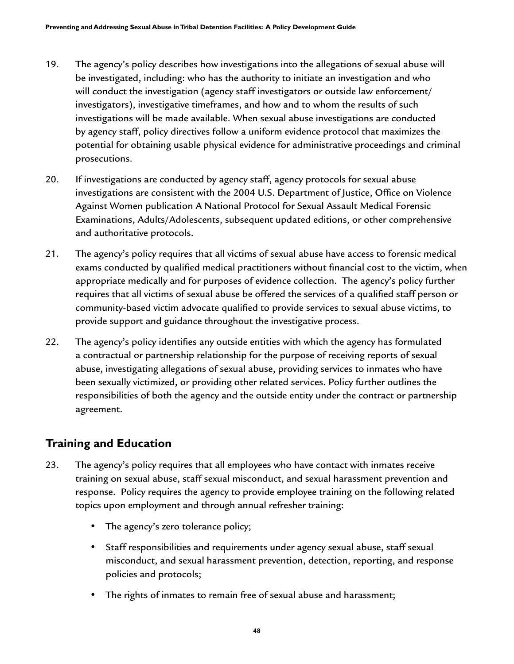- 19. The agency's policy describes how investigations into the allegations of sexual abuse will be investigated, including: who has the authority to initiate an investigation and who will conduct the investigation (agency staff investigators or outside law enforcement/ investigators), investigative timeframes, and how and to whom the results of such investigations will be made available. When sexual abuse investigations are conducted by agency staff, policy directives follow a uniform evidence protocol that maximizes the potential for obtaining usable physical evidence for administrative proceedings and criminal prosecutions.
- 20. If investigations are conducted by agency staff, agency protocols for sexual abuse investigations are consistent with the 2004 U.S. Department of Justice, Office on Violence Against Women publication A National Protocol for Sexual Assault Medical Forensic Examinations, Adults/Adolescents, subsequent updated editions, or other comprehensive and authoritative protocols.
- 21. The agency's policy requires that all victims of sexual abuse have access to forensic medical exams conducted by qualified medical practitioners without financial cost to the victim, when appropriate medically and for purposes of evidence collection. The agency's policy further requires that all victims of sexual abuse be offered the services of a qualified staff person or community-based victim advocate qualified to provide services to sexual abuse victims, to provide support and guidance throughout the investigative process.
- 22. The agency's policy identifies any outside entities with which the agency has formulated a contractual or partnership relationship for the purpose of receiving reports of sexual abuse, investigating allegations of sexual abuse, providing services to inmates who have been sexually victimized, or providing other related services. Policy further outlines the responsibilities of both the agency and the outside entity under the contract or partnership agreement.

## **Training and Education**

- 23. The agency's policy requires that all employees who have contact with inmates receive training on sexual abuse, staff sexual misconduct, and sexual harassment prevention and response. Policy requires the agency to provide employee training on the following related topics upon employment and through annual refresher training:
	- The agency's zero tolerance policy;
	- Staff responsibilities and requirements under agency sexual abuse, staff sexual misconduct, and sexual harassment prevention, detection, reporting, and response policies and protocols;
	- The rights of inmates to remain free of sexual abuse and harassment;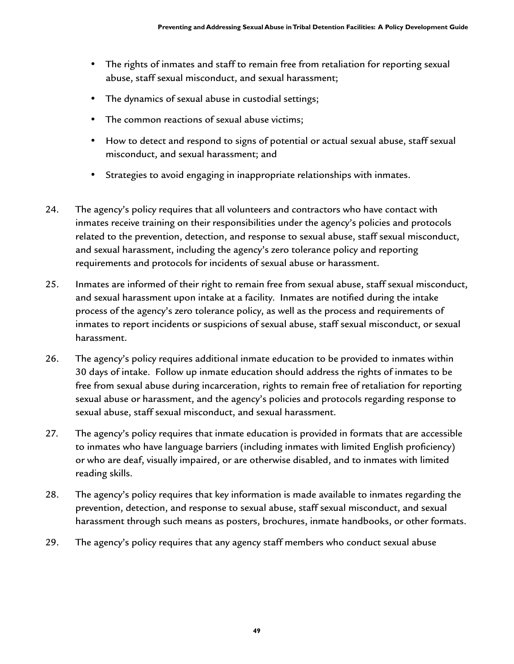- The rights of inmates and staff to remain free from retaliation for reporting sexual abuse, staff sexual misconduct, and sexual harassment;
- The dynamics of sexual abuse in custodial settings;
- The common reactions of sexual abuse victims;
- How to detect and respond to signs of potential or actual sexual abuse, staff sexual misconduct, and sexual harassment; and
- Strategies to avoid engaging in inappropriate relationships with inmates.
- 24. The agency's policy requires that all volunteers and contractors who have contact with inmates receive training on their responsibilities under the agency's policies and protocols related to the prevention, detection, and response to sexual abuse, staff sexual misconduct, and sexual harassment, including the agency's zero tolerance policy and reporting requirements and protocols for incidents of sexual abuse or harassment.
- 25. Inmates are informed of their right to remain free from sexual abuse, staff sexual misconduct, and sexual harassment upon intake at a facility. Inmates are notified during the intake process of the agency's zero tolerance policy, as well as the process and requirements of inmates to report incidents or suspicions of sexual abuse, staff sexual misconduct, or sexual harassment.
- 26. The agency's policy requires additional inmate education to be provided to inmates within 30 days of intake. Follow up inmate education should address the rights of inmates to be free from sexual abuse during incarceration, rights to remain free of retaliation for reporting sexual abuse or harassment, and the agency's policies and protocols regarding response to sexual abuse, staff sexual misconduct, and sexual harassment.
- 27. The agency's policy requires that inmate education is provided in formats that are accessible to inmates who have language barriers (including inmates with limited English proficiency) or who are deaf, visually impaired, or are otherwise disabled, and to inmates with limited reading skills.
- 28. The agency's policy requires that key information is made available to inmates regarding the prevention, detection, and response to sexual abuse, staff sexual misconduct, and sexual harassment through such means as posters, brochures, inmate handbooks, or other formats.
- 29. The agency's policy requires that any agency staff members who conduct sexual abuse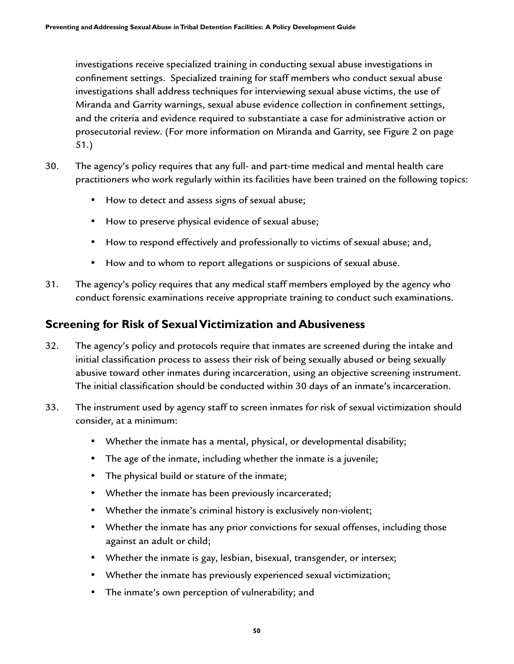investigations receive specialized training in conducting sexual abuse investigations in confinement settings. Specialized training for staff members who conduct sexual abuse investigations shall address techniques for interviewing sexual abuse victims, the use of Miranda and Garrity warnings, sexual abuse evidence collection in confinement settings, and the criteria and evidence required to substantiate a case for administrative action or prosecutorial review. (For more information on Miranda and Garrity, see Figure 2 on page 51.)

- 30. The agency's policy requires that any full- and part-time medical and mental health care practitioners who work regularly within its facilities have been trained on the following topics:
	- How to detect and assess signs of sexual abuse;
	- How to preserve physical evidence of sexual abuse;
	- How to respond effectively and professionally to victims of sexual abuse; and,
	- How and to whom to report allegations or suspicions of sexual abuse.
- 31. The agency's policy requires that any medical staff members employed by the agency who conduct forensic examinations receive appropriate training to conduct such examinations.

### **Screening for Risk of Sexual Victimization and Abusiveness**

- 32. The agency's policy and protocols require that inmates are screened during the intake and initial classification process to assess their risk of being sexually abused or being sexually abusive toward other inmates during incarceration, using an objective screening instrument. The initial classification should be conducted within 30 days of an inmate's incarceration.
- 33. The instrument used by agency staff to screen inmates for risk of sexual victimization should consider, at a minimum:
	- Whether the inmate has a mental, physical, or developmental disability;
	- The age of the inmate, including whether the inmate is a juvenile;
	- The physical build or stature of the inmate;
	- Whether the inmate has been previously incarcerated;
	- Whether the inmate's criminal history is exclusively non-violent;
	- Whether the inmate has any prior convictions for sexual offenses, including those against an adult or child;
	- Whether the inmate is gay, lesbian, bisexual, transgender, or intersex;
	- Whether the inmate has previously experienced sexual victimization;
	- The inmate's own perception of vulnerability; and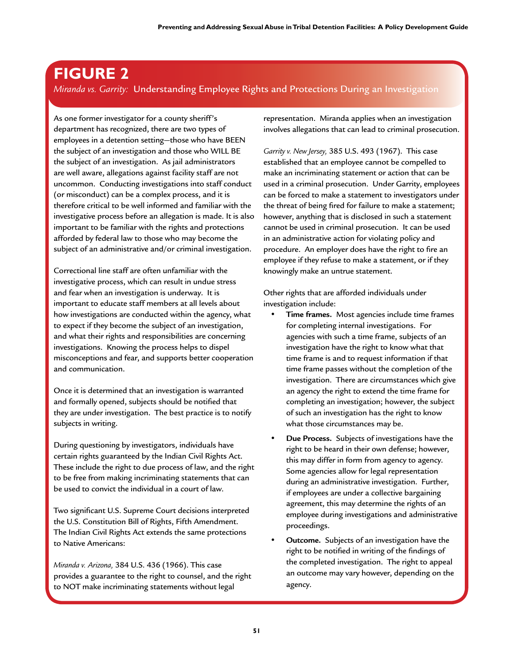# **FIGURE 2**

### *Miranda vs. Garrity:* Understanding Employee Rights and Protections During an Investigation

As one former investigator for a county sheriff's department has recognized, there are two types of employees in a detention setting—those who have BEEN the subject of an investigation and those who WILL BE the subject of an investigation. As jail administrators are well aware, allegations against facility staff are not uncommon. Conducting investigations into staff conduct (or misconduct) can be a complex process, and it is therefore critical to be well informed and familiar with the investigative process before an allegation is made. It is also important to be familiar with the rights and protections afforded by federal law to those who may become the subject of an administrative and/or criminal investigation.

Correctional line staff are often unfamiliar with the investigative process, which can result in undue stress and fear when an investigation is underway. It is important to educate staff members at all levels about how investigations are conducted within the agency, what to expect if they become the subject of an investigation, and what their rights and responsibilities are concerning investigations. Knowing the process helps to dispel misconceptions and fear, and supports better cooperation and communication.

Once it is determined that an investigation is warranted and formally opened, subjects should be notified that they are under investigation. The best practice is to notify subjects in writing.

During questioning by investigators, individuals have certain rights guaranteed by the Indian Civil Rights Act. These include the right to due process of law, and the right to be free from making incriminating statements that can be used to convict the individual in a court of law.

Two significant U.S. Supreme Court decisions interpreted the U.S. Constitution Bill of Rights, Fifth Amendment. The Indian Civil Rights Act extends the same protections to Native Americans:

*Miranda v. Arizona,* 384 U.S. 436 (1966). This case provides a guarantee to the right to counsel, and the right to NOT make incriminating statements without legal

representation. Miranda applies when an investigation involves allegations that can lead to criminal prosecution.

*Garrity v. New Jersey,* 385 U.S. 493 (1967). This case established that an employee cannot be compelled to make an incriminating statement or action that can be used in a criminal prosecution. Under Garrity, employees can be forced to make a statement to investigators under the threat of being fired for failure to make a statement; however, anything that is disclosed in such a statement cannot be used in criminal prosecution. It can be used in an administrative action for violating policy and procedure. An employer does have the right to fire an employee if they refuse to make a statement, or if they knowingly make an untrue statement.

Other rights that are afforded individuals under investigation include:

- Time frames. Most agencies include time frames for completing internal investigations. For agencies with such a time frame, subjects of an investigation have the right to know what that time frame is and to request information if that time frame passes without the completion of the investigation. There are circumstances which give an agency the right to extend the time frame for completing an investigation; however, the subject of such an investigation has the right to know what those circumstances may be.
- Due Process. Subjects of investigations have the right to be heard in their own defense; however, this may differ in form from agency to agency. Some agencies allow for legal representation during an administrative investigation. Further, if employees are under a collective bargaining agreement, this may determine the rights of an employee during investigations and administrative proceedings.
- **Outcome.** Subjects of an investigation have the right to be notified in writing of the findings of the completed investigation. The right to appeal an outcome may vary however, depending on the agency.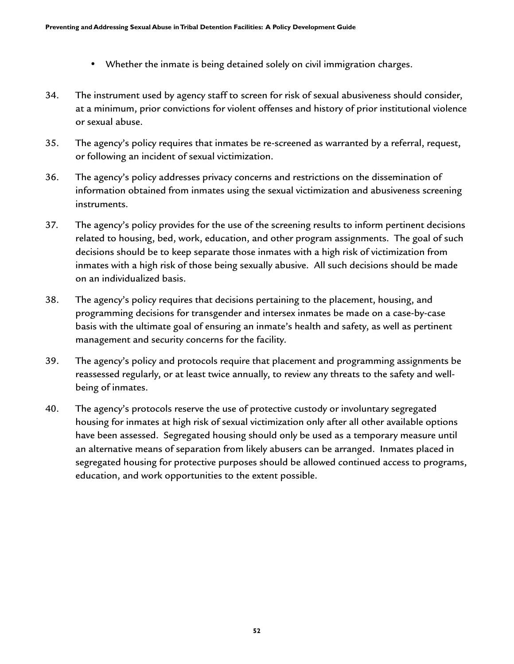- Whether the inmate is being detained solely on civil immigration charges.
- 34. The instrument used by agency staff to screen for risk of sexual abusiveness should consider, at a minimum, prior convictions for violent offenses and history of prior institutional violence or sexual abuse.
- 35. The agency's policy requires that inmates be re-screened as warranted by a referral, request, or following an incident of sexual victimization.
- 36. The agency's policy addresses privacy concerns and restrictions on the dissemination of information obtained from inmates using the sexual victimization and abusiveness screening instruments.
- 37. The agency's policy provides for the use of the screening results to inform pertinent decisions related to housing, bed, work, education, and other program assignments. The goal of such decisions should be to keep separate those inmates with a high risk of victimization from inmates with a high risk of those being sexually abusive. All such decisions should be made on an individualized basis.
- 38. The agency's policy requires that decisions pertaining to the placement, housing, and programming decisions for transgender and intersex inmates be made on a case-by-case basis with the ultimate goal of ensuring an inmate's health and safety, as well as pertinent management and security concerns for the facility.
- 39. The agency's policy and protocols require that placement and programming assignments be reassessed regularly, or at least twice annually, to review any threats to the safety and wellbeing of inmates.
- 40. The agency's protocols reserve the use of protective custody or involuntary segregated housing for inmates at high risk of sexual victimization only after all other available options have been assessed. Segregated housing should only be used as a temporary measure until an alternative means of separation from likely abusers can be arranged. Inmates placed in segregated housing for protective purposes should be allowed continued access to programs, education, and work opportunities to the extent possible.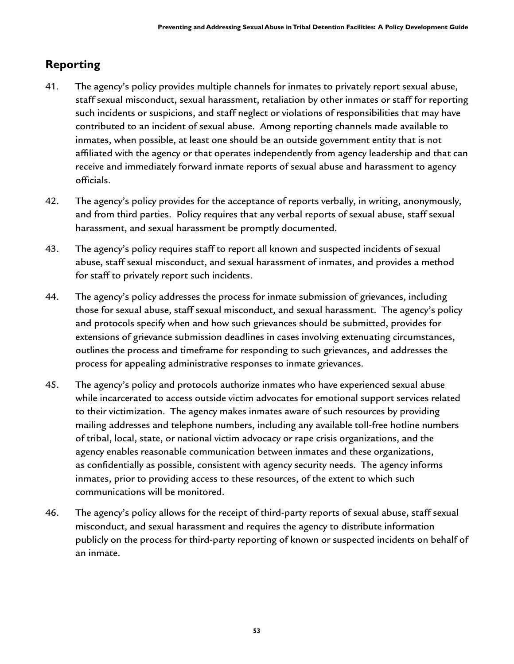# **Reporting**

- 41. The agency's policy provides multiple channels for inmates to privately report sexual abuse, staff sexual misconduct, sexual harassment, retaliation by other inmates or staff for reporting such incidents or suspicions, and staff neglect or violations of responsibilities that may have contributed to an incident of sexual abuse. Among reporting channels made available to inmates, when possible, at least one should be an outside government entity that is not affiliated with the agency or that operates independently from agency leadership and that can receive and immediately forward inmate reports of sexual abuse and harassment to agency officials.
- 42. The agency's policy provides for the acceptance of reports verbally, in writing, anonymously, and from third parties. Policy requires that any verbal reports of sexual abuse, staff sexual harassment, and sexual harassment be promptly documented.
- 43. The agency's policy requires staff to report all known and suspected incidents of sexual abuse, staff sexual misconduct, and sexual harassment of inmates, and provides a method for staff to privately report such incidents.
- 44. The agency's policy addresses the process for inmate submission of grievances, including those for sexual abuse, staff sexual misconduct, and sexual harassment. The agency's policy and protocols specify when and how such grievances should be submitted, provides for extensions of grievance submission deadlines in cases involving extenuating circumstances, outlines the process and timeframe for responding to such grievances, and addresses the process for appealing administrative responses to inmate grievances.
- 45. The agency's policy and protocols authorize inmates who have experienced sexual abuse while incarcerated to access outside victim advocates for emotional support services related to their victimization. The agency makes inmates aware of such resources by providing mailing addresses and telephone numbers, including any available toll-free hotline numbers of tribal, local, state, or national victim advocacy or rape crisis organizations, and the agency enables reasonable communication between inmates and these organizations, as confidentially as possible, consistent with agency security needs. The agency informs inmates, prior to providing access to these resources, of the extent to which such communications will be monitored.
- 46. The agency's policy allows for the receipt of third-party reports of sexual abuse, staff sexual misconduct, and sexual harassment and requires the agency to distribute information publicly on the process for third-party reporting of known or suspected incidents on behalf of an inmate.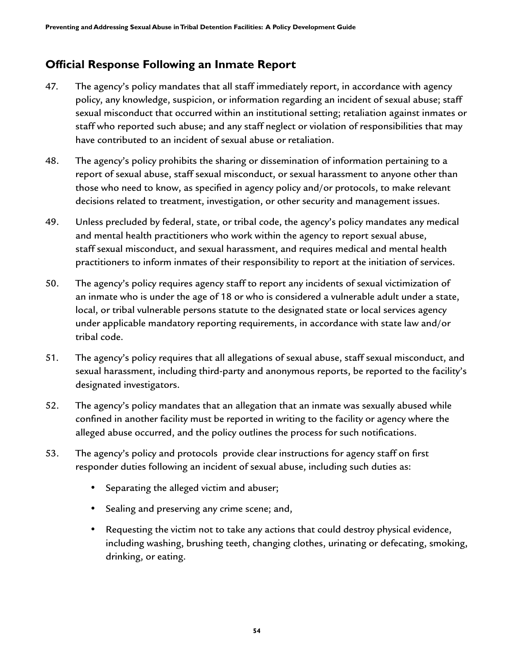## **Official Response Following an Inmate Report**

- 47. The agency's policy mandates that all staff immediately report, in accordance with agency policy, any knowledge, suspicion, or information regarding an incident of sexual abuse; staff sexual misconduct that occurred within an institutional setting; retaliation against inmates or staff who reported such abuse; and any staff neglect or violation of responsibilities that may have contributed to an incident of sexual abuse or retaliation.
- 48. The agency's policy prohibits the sharing or dissemination of information pertaining to a report of sexual abuse, staff sexual misconduct, or sexual harassment to anyone other than those who need to know, as specified in agency policy and/or protocols, to make relevant decisions related to treatment, investigation, or other security and management issues.
- 49. Unless precluded by federal, state, or tribal code, the agency's policy mandates any medical and mental health practitioners who work within the agency to report sexual abuse, staff sexual misconduct, and sexual harassment, and requires medical and mental health practitioners to inform inmates of their responsibility to report at the initiation of services.
- 50. The agency's policy requires agency staff to report any incidents of sexual victimization of an inmate who is under the age of 18 or who is considered a vulnerable adult under a state, local, or tribal vulnerable persons statute to the designated state or local services agency under applicable mandatory reporting requirements, in accordance with state law and/or tribal code.
- 51. The agency's policy requires that all allegations of sexual abuse, staff sexual misconduct, and sexual harassment, including third-party and anonymous reports, be reported to the facility's designated investigators.
- 52. The agency's policy mandates that an allegation that an inmate was sexually abused while confined in another facility must be reported in writing to the facility or agency where the alleged abuse occurred, and the policy outlines the process for such notifications.
- 53. The agency's policy and protocols provide clear instructions for agency staff on first responder duties following an incident of sexual abuse, including such duties as:
	- Separating the alleged victim and abuser;
	- Sealing and preserving any crime scene; and,
	- Requesting the victim not to take any actions that could destroy physical evidence, including washing, brushing teeth, changing clothes, urinating or defecating, smoking, drinking, or eating.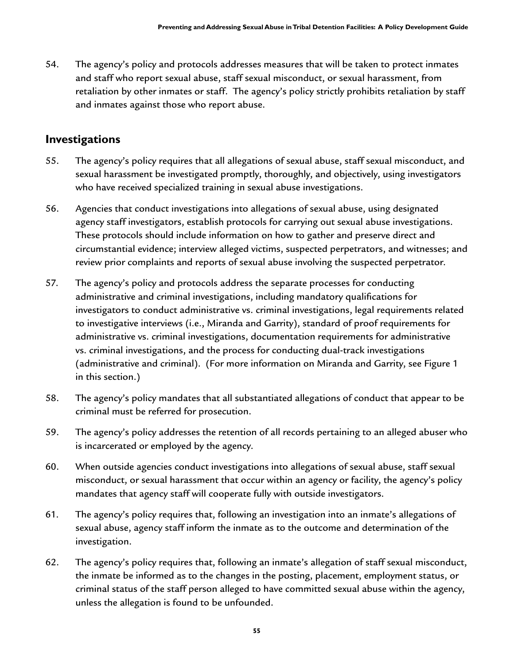54. The agency's policy and protocols addresses measures that will be taken to protect inmates and staff who report sexual abuse, staff sexual misconduct, or sexual harassment, from retaliation by other inmates or staff. The agency's policy strictly prohibits retaliation by staff and inmates against those who report abuse.

### **Investigations**

- 55. The agency's policy requires that all allegations of sexual abuse, staff sexual misconduct, and sexual harassment be investigated promptly, thoroughly, and objectively, using investigators who have received specialized training in sexual abuse investigations.
- 56. Agencies that conduct investigations into allegations of sexual abuse, using designated agency staff investigators, establish protocols for carrying out sexual abuse investigations. These protocols should include information on how to gather and preserve direct and circumstantial evidence; interview alleged victims, suspected perpetrators, and witnesses; and review prior complaints and reports of sexual abuse involving the suspected perpetrator.
- 57. The agency's policy and protocols address the separate processes for conducting administrative and criminal investigations, including mandatory qualifications for investigators to conduct administrative vs. criminal investigations, legal requirements related to investigative interviews (i.e., Miranda and Garrity), standard of proof requirements for administrative vs. criminal investigations, documentation requirements for administrative vs. criminal investigations, and the process for conducting dual-track investigations (administrative and criminal). (For more information on Miranda and Garrity, see Figure 1 in this section.)
- 58. The agency's policy mandates that all substantiated allegations of conduct that appear to be criminal must be referred for prosecution.
- 59. The agency's policy addresses the retention of all records pertaining to an alleged abuser who is incarcerated or employed by the agency.
- 60. When outside agencies conduct investigations into allegations of sexual abuse, staff sexual misconduct, or sexual harassment that occur within an agency or facility, the agency's policy mandates that agency staff will cooperate fully with outside investigators.
- 61. The agency's policy requires that, following an investigation into an inmate's allegations of sexual abuse, agency staff inform the inmate as to the outcome and determination of the investigation.
- 62. The agency's policy requires that, following an inmate's allegation of staff sexual misconduct, the inmate be informed as to the changes in the posting, placement, employment status, or criminal status of the staff person alleged to have committed sexual abuse within the agency, unless the allegation is found to be unfounded.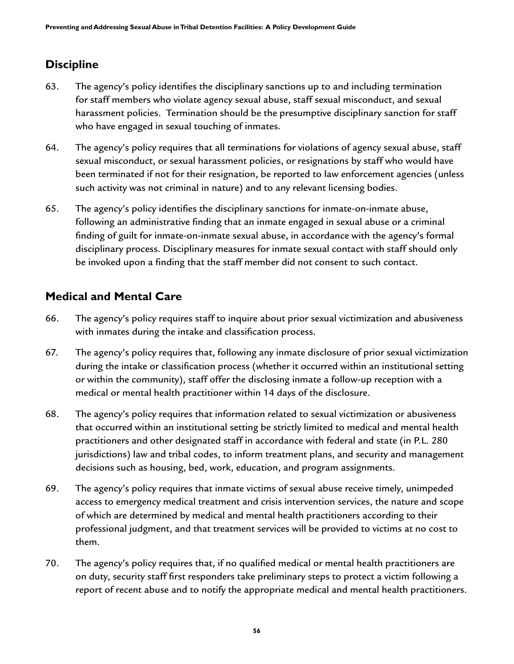# **Discipline**

- 63. The agency's policy identifies the disciplinary sanctions up to and including termination for staff members who violate agency sexual abuse, staff sexual misconduct, and sexual harassment policies. Termination should be the presumptive disciplinary sanction for staff who have engaged in sexual touching of inmates.
- 64. The agency's policy requires that all terminations for violations of agency sexual abuse, staff sexual misconduct, or sexual harassment policies, or resignations by staff who would have been terminated if not for their resignation, be reported to law enforcement agencies (unless such activity was not criminal in nature) and to any relevant licensing bodies.
- 65. The agency's policy identifies the disciplinary sanctions for inmate-on-inmate abuse, following an administrative finding that an inmate engaged in sexual abuse or a criminal finding of guilt for inmate-on-inmate sexual abuse, in accordance with the agency's formal disciplinary process. Disciplinary measures for inmate sexual contact with staff should only be invoked upon a finding that the staff member did not consent to such contact.

### **Medical and Mental Care**

- 66. The agency's policy requires staff to inquire about prior sexual victimization and abusiveness with inmates during the intake and classification process.
- 67. The agency's policy requires that, following any inmate disclosure of prior sexual victimization during the intake or classification process (whether it occurred within an institutional setting or within the community), staff offer the disclosing inmate a follow-up reception with a medical or mental health practitioner within 14 days of the disclosure.
- 68. The agency's policy requires that information related to sexual victimization or abusiveness that occurred within an institutional setting be strictly limited to medical and mental health practitioners and other designated staff in accordance with federal and state (in P.L. 280 jurisdictions) law and tribal codes, to inform treatment plans, and security and management decisions such as housing, bed, work, education, and program assignments.
- 69. The agency's policy requires that inmate victims of sexual abuse receive timely, unimpeded access to emergency medical treatment and crisis intervention services, the nature and scope of which are determined by medical and mental health practitioners according to their professional judgment, and that treatment services will be provided to victims at no cost to them.
- 70. The agency's policy requires that, if no qualified medical or mental health practitioners are on duty, security staff first responders take preliminary steps to protect a victim following a report of recent abuse and to notify the appropriate medical and mental health practitioners.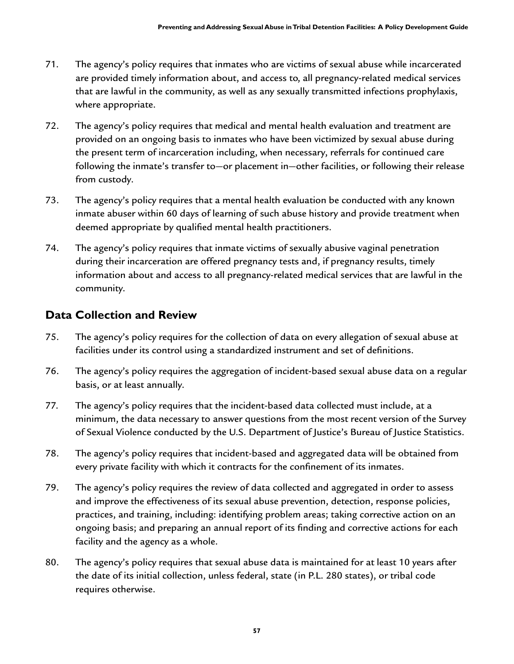- 71. The agency's policy requires that inmates who are victims of sexual abuse while incarcerated are provided timely information about, and access to, all pregnancy-related medical services that are lawful in the community, as well as any sexually transmitted infections prophylaxis, where appropriate.
- 72. The agency's policy requires that medical and mental health evaluation and treatment are provided on an ongoing basis to inmates who have been victimized by sexual abuse during the present term of incarceration including, when necessary, referrals for continued care following the inmate's transfer to—or placement in—other facilities, or following their release from custody.
- 73. The agency's policy requires that a mental health evaluation be conducted with any known inmate abuser within 60 days of learning of such abuse history and provide treatment when deemed appropriate by qualified mental health practitioners.
- 74. The agency's policy requires that inmate victims of sexually abusive vaginal penetration during their incarceration are offered pregnancy tests and, if pregnancy results, timely information about and access to all pregnancy-related medical services that are lawful in the community.

# **Data Collection and Review**

- 75. The agency's policy requires for the collection of data on every allegation of sexual abuse at facilities under its control using a standardized instrument and set of definitions.
- 76. The agency's policy requires the aggregation of incident-based sexual abuse data on a regular basis, or at least annually.
- 77. The agency's policy requires that the incident-based data collected must include, at a minimum, the data necessary to answer questions from the most recent version of the Survey of Sexual Violence conducted by the U.S. Department of Justice's Bureau of Justice Statistics.
- 78. The agency's policy requires that incident-based and aggregated data will be obtained from every private facility with which it contracts for the confinement of its inmates.
- 79. The agency's policy requires the review of data collected and aggregated in order to assess and improve the effectiveness of its sexual abuse prevention, detection, response policies, practices, and training, including: identifying problem areas; taking corrective action on an ongoing basis; and preparing an annual report of its finding and corrective actions for each facility and the agency as a whole.
- 80. The agency's policy requires that sexual abuse data is maintained for at least 10 years after the date of its initial collection, unless federal, state (in P.L. 280 states), or tribal code requires otherwise.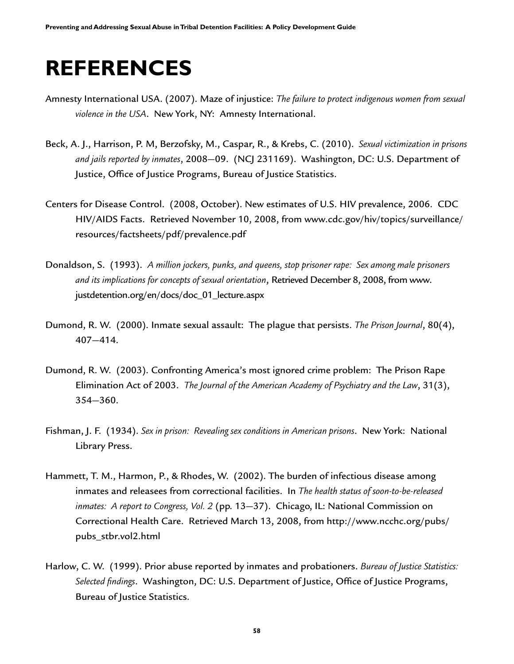# **References**

- Amnesty International USA. (2007). Maze of injustice: *The failure to protect indigenous women from sexual violence in the USA*. New York, NY: Amnesty International.
- Beck, A. J., Harrison, P. M, Berzofsky, M., Caspar, R., & Krebs, C. (2010). *Sexual victimization in prisons and jails reported by inmates*, 2008—09. (NCJ 231169). Washington, DC: U.S. Department of Justice, Office of Justice Programs, Bureau of Justice Statistics.
- Centers for Disease Control. (2008, October). New estimates of U.S. HIV prevalence, 2006. CDC HIV/AIDS Facts. Retrieved November 10, 2008, from www.cdc.gov/hiv/topics/surveillance/ resources/factsheets/pdf/prevalence.pdf
- Donaldson, S. (1993). *A million jockers, punks, and queens, stop prisoner rape: Sex among male prisoners and its implications for concepts of sexual orientation*, Retrieved December 8, 2008, from www. justdetention.org/en/docs/doc\_01\_lecture.aspx
- Dumond, R. W. (2000). Inmate sexual assault: The plague that persists. *The Prison Journal*, 80(4), 407—414.
- Dumond, R. W. (2003). Confronting America's most ignored crime problem: The Prison Rape Elimination Act of 2003. *The Journal of the American Academy of Psychiatry and the Law*, 31(3), 354—360.
- Fishman, J. F. (1934). *Sex in prison: Revealing sex conditions in American prisons*. New York: National Library Press.
- Hammett, T. M., Harmon, P., & Rhodes, W. (2002). The burden of infectious disease among inmates and releasees from correctional facilities. In *The health status of soon-to-be-released inmates: A report to Congress, Vol. 2* (pp. 13—37). Chicago, IL: National Commission on Correctional Health Care. Retrieved March 13, 2008, from http://www.ncchc.org/pubs/ pubs\_stbr.vol2.html
- Harlow, C. W. (1999). Prior abuse reported by inmates and probationers. *Bureau of Justice Statistics: Selected findings*. Washington, DC: U.S. Department of Justice, Office of Justice Programs, Bureau of Justice Statistics.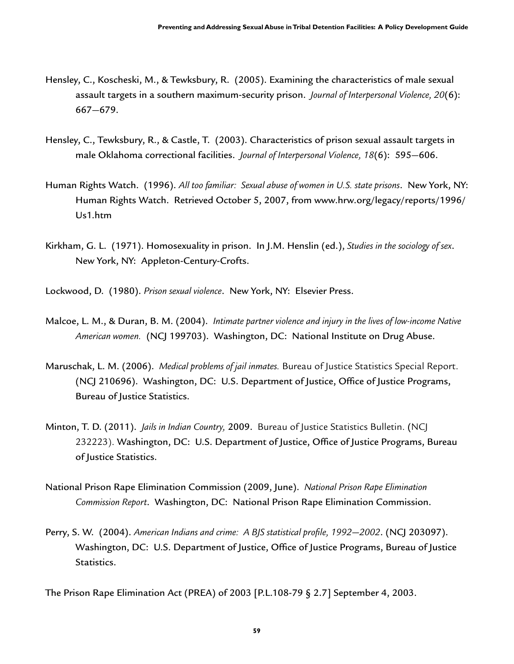- Hensley, C., Koscheski, M., & Tewksbury, R. (2005). Examining the characteristics of male sexual assault targets in a southern maximum-security prison. *Journal of Interpersonal Violence, 20*(6): 667—679.
- Hensley, C., Tewksbury, R., & Castle, T. (2003). Characteristics of prison sexual assault targets in male Oklahoma correctional facilities. *Journal of Interpersonal Violence, 18*(6): 595—606.
- Human Rights Watch. (1996). *All too familiar: Sexual abuse of women in U.S. state prisons*. New York, NY: Human Rights Watch. Retrieved October 5, 2007, from www.hrw.org/legacy/reports/1996/ Us1.htm
- Kirkham, G. L. (1971). Homosexuality in prison. In J.M. Henslin (ed.), *Studies in the sociology of sex*. New York, NY: Appleton-Century-Crofts.
- Lockwood, D. (1980). *Prison sexual violence*. New York, NY: Elsevier Press.
- Malcoe, L. M., & Duran, B. M. (2004). *Intimate partner violence and injury in the lives of low-income Native American women.* (NCJ 199703). Washington, DC: National Institute on Drug Abuse.
- Maruschak, L. M. (2006). *Medical problems of jail inmates.* Bureau of Justice Statistics Special Report. (NCJ 210696). Washington, DC: U.S. Department of Justice, Office of Justice Programs, Bureau of Justice Statistics.
- Minton, T. D. (2011). *Jails in Indian Country,* 2009. Bureau of Justice Statistics Bulletin. (NCJ 232223). Washington, DC: U.S. Department of Justice, Office of Justice Programs, Bureau of Justice Statistics.
- National Prison Rape Elimination Commission (2009, June). *National Prison Rape Elimination Commission Report*. Washington, DC: National Prison Rape Elimination Commission.
- Perry, S. W. (2004). *American Indians and crime: A BJS statistical profile, 1992–2002.* (NCJ 203097). Washington, DC: U.S. Department of Justice, Office of Justice Programs, Bureau of Justice Statistics.
- The Prison Rape Elimination Act (PREA) of 2003 [P.L.108-79 § 2.7] September 4, 2003.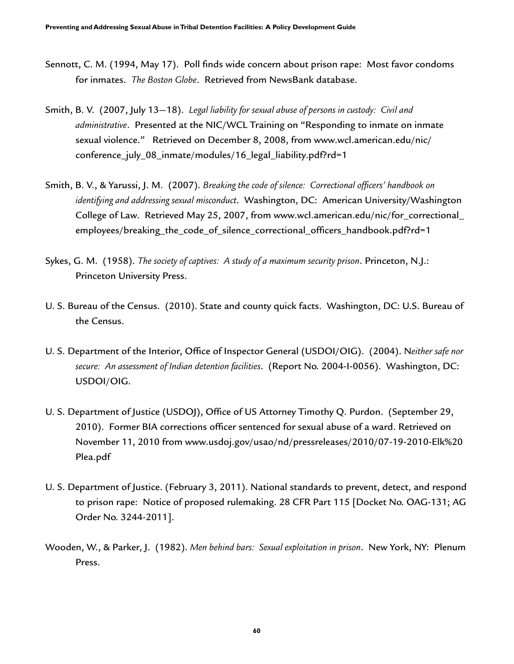- Sennott, C. M. (1994, May 17). Poll finds wide concern about prison rape: Most favor condoms for inmates. *The Boston Globe*. Retrieved from NewsBank database.
- Smith, B. V. (2007, July 13—18). *Legal liability for sexual abuse of persons in custody: Civil and administrative*. Presented at the NIC/WCL Training on "Responding to inmate on inmate sexual violence." Retrieved on December 8, 2008, from www.wcl.american.edu/nic/ conference\_july\_08\_inmate/modules/16\_legal\_liability.pdf?rd=1
- Smith, B. V., & Yarussi, J. M. (2007). *Breaking the code of silence: Correctional officers' handbook on identifying and addressing sexual misconduct*. Washington, DC: American University/Washington College of Law. Retrieved May 25, 2007, from www.wcl.american.edu/nic/for\_correctional\_ employees/breaking\_the\_code\_of\_silence\_correctional\_officers\_handbook.pdf?rd=1
- Sykes, G. M. (1958). *The society of captives: A study of a maximum security prison*. Princeton, N.J.: Princeton University Press.
- U. S. Bureau of the Census. (2010). State and county quick facts. Washington, DC: U.S. Bureau of the Census.
- U. S. Department of the Interior, Office of Inspector General (USDOI/OIG). (2004). N*either safe nor secure: An assessment of Indian detention facilities*. (Report No. 2004-I-0056). Washington, DC: USDOI/OIG.
- U. S. Department of Justice (USDOJ), Office of US Attorney Timothy Q. Purdon. (September 29, 2010). Former BIA corrections officer sentenced for sexual abuse of a ward. Retrieved on November 11, 2010 from www.usdoj.gov/usao/nd/pressreleases/2010/07-19-2010-Elk%20 Plea.pdf
- U. S. Department of Justice. (February 3, 2011). National standards to prevent, detect, and respond to prison rape: Notice of proposed rulemaking. 28 CFR Part 115 [Docket No. OAG-131; AG Order No. 3244-2011].
- Wooden, W., & Parker, J. (1982). *Men behind bars: Sexual exploitation in prison*. New York, NY: Plenum Press.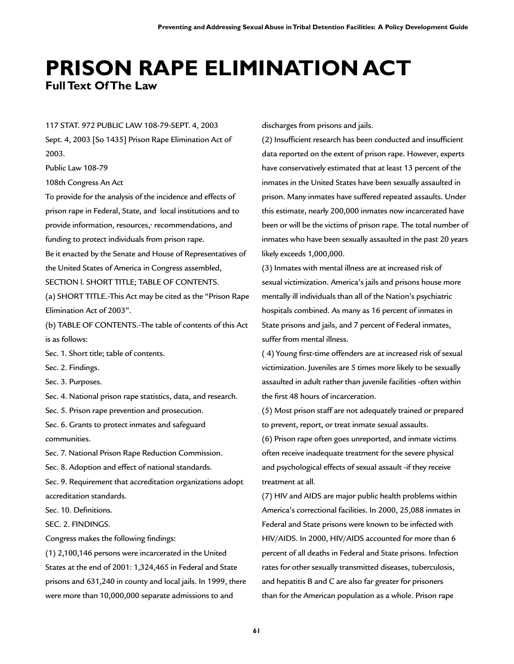# **prison rape elimination act**

**Full Text Of The Law**

#### 117 STAT. 972 PUBLIC LAW 108-79-SEPT. 4, 2003

Sept. 4, 2003 [So 1435] Prison Rape Elimination Act of 2003.

Public Law 108-79

108th Congress An Act

To provide for the analysis of the incidence and effects of prison rape in Federal, State, and local institutions and to provide information, resources,• recommendations, and funding to protect individuals from prison rape.

Be it enacted by the Senate and House of Representatives of the United States of America in Congress assembled,

SECTION l. SHORT TITLE; TABLE OF CONTENTS.

(a) SHORT TITLE.-This Act may be cited as the "Prison Rape Elimination Act of 2003".

(b) TABLE OF CONTENTS.-The table of contents of this Act is as follows:

Sec. 1. Short title; table of contents.

Sec. 2. Findings.

Sec. 3. Purposes.

Sec. 4. National prison rape statistics, data, and research.

Sec. 5. Prison rape prevention and prosecution.

Sec. 6. Grants to protect inmates and safeguard communities.

Sec. 7. National Prison Rape Reduction Commission.

Sec. 8. Adoption and effect of national standards.

Sec. 9. Requirement that accreditation organizations adopt accreditation standards.

Sec. 10. Definitions.

SEC. 2. FINDINGS.

Congress makes the following findings:

(1) 2,100,146 persons were incarcerated in the United States at the end of 2001: 1,324,465 in Federal and State prisons and 631,240 in county and local jails. In 1999, there were more than 10,000,000 separate admissions to and

discharges from prisons and jails.

(2) Insufficient research has been conducted and insufficient data reported on the extent of prison rape. However, experts have conservatively estimated that at least 13 percent of the inmates in the United States have been sexually assaulted in prison. Many inmates have suffered repeated assaults. Under this estimate, nearly 200,000 inmates now incarcerated have been or will be the victims of prison rape. The total number of inmates who have been sexually assaulted in the past 20 years likely exceeds 1,000,000.

(3) Inmates with mental illness are at increased risk of sexual victimization. America's jails and prisons house more mentally ill individuals than all of the Nation's psychiatric hospitals combined. As many as 16 percent of inmates in State prisons and jails, and 7 percent of Federal inmates, suffer from mental illness.

( 4) Young first-time offenders are at increased risk of sexual victimization. Juveniles are 5 times more likely to be sexually assaulted in adult rather than juvenile facilities -often within the first 48 hours of incarceration.

(5) Most prison staff are not adequately trained or prepared to prevent, report, or treat inmate sexual assaults.

(6) Prison rape often goes unreported, and inmate victims often receive inadequate treatment for the severe physical and psychological effects of sexual assault -if they receive treatment at all.

(7) HIV and AIDS are major public health problems within America's correctional facilities. In 2000, 25,088 inmates in Federal and State prisons were known to be infected with HIV/AIDS. In 2000, HIV/AIDS accounted for more than 6 percent of all deaths in Federal and State prisons. Infection rates for other sexually transmitted diseases, tuberculosis, and hepatitis B and C are also far greater for prisoners than for the American population as a whole. Prison rape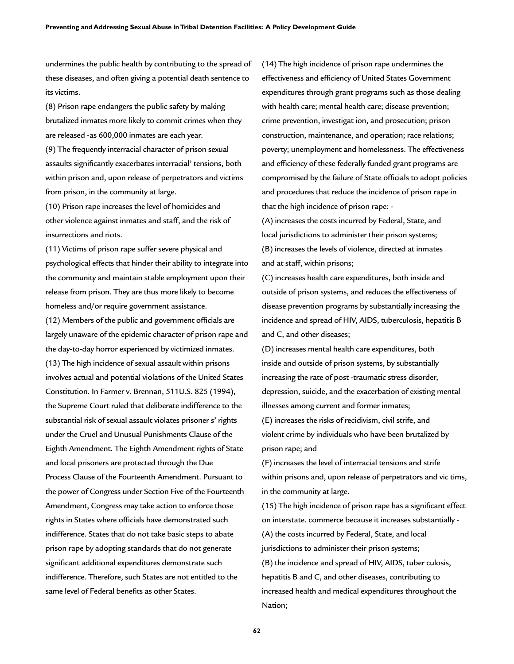undermines the public health by contributing to the spread of these diseases, and often giving a potential death sentence to its victims.

(8) Prison rape endangers the public safety by making brutalized inmates more likely to commit crimes when they are released -as 600,000 inmates are each year.

(9) The frequently interracial character of prison sexual assaults significantly exacerbates interracial' tensions, both within prison and, upon release of perpetrators and victims from prison, in the community at large.

(10) Prison rape increases the level of homicides and other violence against inmates and staff, and the risk of insurrections and riots.

(11) Victims of prison rape suffer severe physical and psychological effects that hinder their ability to integrate into the community and maintain stable employment upon their release from prison. They are thus more likely to become homeless and/or require government assistance.

(12) Members of the public and government officials are largely unaware of the epidemic character of prison rape and the day-to-day horror experienced by victimized inmates. (13) The high incidence of sexual assault within prisons involves actual and potential violations of the United States Constitution. In Farmer v. Brennan, 511U.S. 825 (1994), the Supreme Court ruled that deliberate indifference to the substantial risk of sexual assault violates prisoner s' rights under the Cruel and Unusual Punishments Clause of the Eighth Amendment. The Eighth Amendment rights of State and local prisoners are protected through the Due Process Clause of the Fourteenth Amendment. Pursuant to the power of Congress under Section Five of the Fourteenth Amendment, Congress may take action to enforce those rights in States where officials have demonstrated such indifference. States that do not take basic steps to abate prison rape by adopting standards that do not generate significant additional expenditures demonstrate such indifference. Therefore, such States are not entitled to the same level of Federal benefits as other States.

(14) The high incidence of prison rape undermines the effectiveness and efficiency of United States Government expenditures through grant programs such as those dealing with health care; mental health care; disease prevention; crime prevention, investigat ion, and prosecution; prison construction, maintenance, and operation; race relations; poverty; unemployment and homelessness. The effectiveness and efficiency of these federally funded grant programs are compromised by the failure of State officials to adopt policies and procedures that reduce the incidence of prison rape in that the high incidence of prison rape: -

(A) increases the costs incurred by Federal, State, and local jurisdictions to administer their prison systems; (B) increases the levels of violence, directed at inmates and at staff, within prisons;

(C) increases health care expenditures, both inside and outside of prison systems, and reduces the effectiveness of disease prevention programs by substantially increasing the incidence and spread of HIV, AIDS, tuberculosis, hepatitis B and C, and other diseases;

(D) increases mental health care expenditures, both inside and outside of prison systems, by substantially increasing the rate of post -traumatic stress disorder, depression, suicide, and the exacerbation of existing mental illnesses among current and former inmates; (E) increases the risks of recidivism, civil strife, and

violent crime by individuals who have been brutalized by prison rape; and

(F) increases the level of interracial tensions and strife within prisons and, upon release of perpetrators and vic tims, in the community at large.

(15) The high incidence of prison rape has a significant effect on interstate. commerce because it increases substantially - (A) the costs incurred by Federal, State, and local jurisdictions to administer their prison systems; (B) the incidence and spread of HIV, AIDS, tuber culosis, hepatitis B and C, and other diseases, contributing to increased health and medical expenditures throughout the

Nation;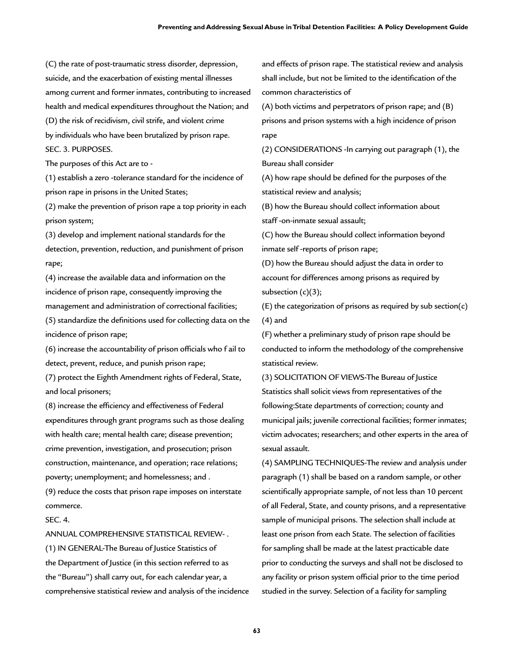(C) the rate of post-traumatic stress disorder, depression, suicide, and the exacerbation of existing mental illnesses among current and former inmates, contributing to increased health and medical expenditures throughout the Nation; and (D) the risk of recidivism, civil strife, and violent crime by individuals who have been brutalized by prison rape.

SEC. 3. PURPOSES.

The purposes of this Act are to -

(1) establish a zero -tolerance standard for the incidence of prison rape in prisons in the United States;

(2) make the prevention of prison rape a top priority in each prison system;

(3) develop and implement national standards for the detection, prevention, reduction, and punishment of prison rape;

(4) increase the available data and information on the incidence of prison rape, consequently improving the management and administration of correctional facilities;

(5) standardize the definitions used for collecting data on the incidence of prison rape;

(6) increase the accountability of prison officials who f ail to detect, prevent, reduce, and punish prison rape;

(7) protect the Eighth Amendment rights of Federal, State, and local prisoners;

(8) increase the efficiency and effectiveness of Federal expenditures through grant programs such as those dealing with health care; mental health care; disease prevention; crime prevention, investigation, and prosecution; prison construction, maintenance, and operation; race relations; poverty; unemployment; and homelessness; and .

(9) reduce the costs that prison rape imposes on interstate commerce.

SEC. 4.

ANNUAL COMPREHENSIVE STATISTICAL REVIEW- . (1) IN GENERAL-The Bureau of Justice Statistics of the Department of Justice (in this section referred to as the "Bureau") shall carry out, for each calendar year, a comprehensive statistical review and analysis of the incidence and effects of prison rape. The statistical review and analysis shall include, but not be limited to the identification of the common characteristics of

(A) both victims and perpetrators of prison rape; and (B) prisons and prison systems with a high incidence of prison rape

(2) CONSIDERATIONS -In carrying out paragraph (1), the Bureau shall consider

(A) how rape should be defined for the purposes of the statistical review and analysis;

(B) how the Bureau should collect information about staff -on-inmate sexual assault;

(C) how the Bureau should collect information beyond inmate self -reports of prison rape;

(D) how the Bureau should adjust the data in order to account for differences among prisons as required by subsection (c)(3);

 $(E)$  the categorization of prisons as required by sub section(c) (4) and

(F) whether a preliminary study of prison rape should be conducted to inform the methodology of the comprehensive statistical review.

(3) SOLICITATION OF VIEWS-The Bureau of Justice Statistics shall solicit views from representatives of the following:State departments of correction; county and municipal jails; juvenile correctional facilities; former inmates; victim advocates; researchers; and other experts in the area of sexual assault.

(4) SAMPLING TECHNIQUES-The review and analysis under paragraph (1) shall be based on a random sample, or other scientifically appropriate sample, of not less than 10 percent of all Federal, State, and county prisons, and a representative sample of municipal prisons. The selection shall include at least one prison from each State. The selection of facilities for sampling shall be made at the latest practicable date prior to conducting the surveys and shall not be disclosed to any facility or prison system official prior to the time period studied in the survey. Selection of a facility for sampling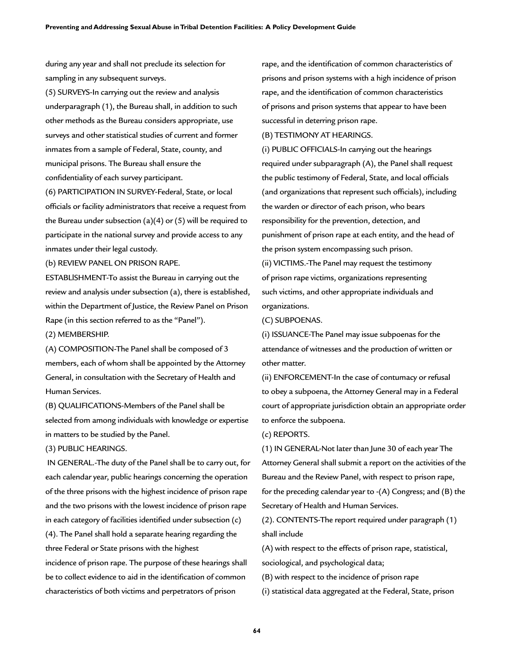during any year and shall not preclude its selection for sampling in any subsequent surveys.

(5) SURVEYS-In carrying out the review and analysis underparagraph (1), the Bureau shall, in addition to such other methods as the Bureau considers appropriate, use surveys and other statistical studies of current and former inmates from a sample of Federal, State, county, and municipal prisons. The Bureau shall ensure the confidentiality of each survey participant.

(6) PARTICIPATION IN SURVEY-Federal, State, or local officials or facility administrators that receive a request from the Bureau under subsection (a)(4) or (5) will be required to participate in the national survey and provide access to any inmates under their legal custody.

(b) REVIEW PANEL ON PRISON RAPE.

ESTABLlSHMENT-To assist the Bureau in carrying out the review and analysis under subsection (a), there is established, within the Department of Justice, the Review Panel on Prison Rape (in this section referred to as the "Panel").

(2) MEMBERSHIP.

(A) COMPOSITION-The Panel shall be composed of 3 members, each of whom shall be appointed by the Attorney General, in consultation with the Secretary of Health and Human Services.

(B) QUALIFICATIONS-Members of the Panel shall be selected from among individuals with knowledge or expertise in matters to be studied by the Panel.

(3) PUBLIC HEARINGS.

 IN GENERAL.-The duty of the Panel shall be to carry out, for each calendar year, public hearings concerning the operation of the three prisons with the highest incidence of prison rape and the two prisons with the lowest incidence of prison rape in each category of facilities identified under subsection (c) (4). The Panel shall hold a separate hearing regarding the

three Federal or State prisons with the highest

incidence of prison rape. The purpose of these hearings shall be to collect evidence to aid in the identification of common characteristics of both victims and perpetrators of prison

rape, and the identification of common characteristics of prisons and prison systems with a high incidence of prison rape, and the identification of common characteristics of prisons and prison systems that appear to have been successful in deterring prison rape.

(B) TESTIMONY AT HEARINGS.

(i) PUBLIC OFFICIALS-In carrying out the hearings required under subparagraph (A), the Panel shall request the public testimony of Federal, State, and local officials (and organizations that represent such officials), including the warden or director of each prison, who bears responsibility for the prevention, detection, and punishment of prison rape at each entity, and the head of the prison system encompassing such prison.

(ii) VICTIMS.-The Panel may request the testimony of prison rape victims, organizations representing such victims, and other appropriate individuals and organizations.

(C) SUBPOENAS.

(i) ISSUANCE-The Panel may issue subpoenas for the attendance of witnesses and the production of written or other matter.

(ii) ENFORCEMENT-In the case of contumacy or refusal to obey a subpoena, the Attorney General may in a Federal court of appropriate jurisdiction obtain an appropriate order to enforce the subpoena.

(c) REPORTS.

(1) IN GENERAL-Not later than June 30 of each year The Attorney General shall submit a report on the activities of the Bureau and the Review Panel, with respect to prison rape, for the preceding calendar year to -(A) Congress; and (B) the Secretary of Health and Human Services.

(2). CONTENTS-The report required under paragraph (1) shall include

(A) with respect to the effects of prison rape, statistical, sociological, and psychological data;

(B) with respect to the incidence of prison rape

(i) statistical data aggregated at the Federal, State, prison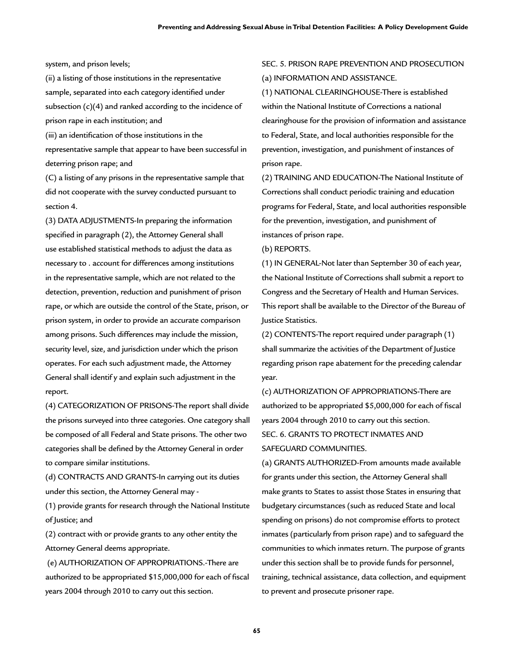system, and prison levels;

(ii) a listing of those institutions in the representative sample, separated into each category identified under subsection (c)(4) and ranked according to the incidence of prison rape in each institution; and

(iii) an identification of those institutions in the

representative sample that appear to have been successful in deterring prison rape; and

(C) a listing of any prisons in the representative sample that did not cooperate with the survey conducted pursuant to section 4.

(3) DATA ADJUSTMENTS-In preparing the information specified in paragraph (2), the Attorney General shall use established statistical methods to adjust the data as necessary to . account for differences among institutions in the representative sample, which are not related to the detection, prevention, reduction and punishment of prison rape, or which are outside the control of the State, prison, or prison system, in order to provide an accurate comparison among prisons. Such differences may include the mission, security level, size, and jurisdiction under which the prison operates. For each such adjustment made, the Attorney General shall identif y and explain such adjustment in the report.

(4) CATEGORIZATION OF PRISONS-The report shall divide the prisons surveyed into three categories. One category shall be composed of all Federal and State prisons. The other two categories shall be defined by the Attorney General in order to compare similar institutions.

(d) CONTRACTS AND GRANTS-In carrying out its duties under this section, the Attorney General may -

(1) provide grants for research through the National Institute of Justice; and

(2) contract with or provide grants to any other entity the Attorney General deems appropriate.

 (e) AUTHORIZATION OF APPROPRIATIONS.-There are authorized to be appropriated \$15,000,000 for each of fiscal years 2004 through 2010 to carry out this section.

### SEC. 5. PRISON RAPE PREVENTION AND PROSECUTION (a) INFORMATION AND ASSISTANCE.

(1) NATIONAL CLEARINGHOUSE-There is established within the National Institute of Corrections a national clearinghouse for the provision of information and assistance to Federal, State, and local authorities responsible for the prevention, investigation, and punishment of instances of prison rape.

(2) TRAINING AND EDUCATION-The National Institute of Corrections shall conduct periodic training and education programs for Federal, State, and local authorities responsible for the prevention, investigation, and punishment of instances of prison rape.

(b) REPORTS.

(1) IN GENERAL-Not later than September 30 of each year, the National Institute of Corrections shall submit a report to Congress and the Secretary of Health and Human Services. This report shall be available to the Director of the Bureau of Justice Statistics.

(2) CONTENTS-The report required under paragraph (1) shall summarize the activities of the Department of Justice regarding prison rape abatement for the preceding calendar year.

(c) AUTHORIZATION OF APPROPRIATIONS-There are authorized to be appropriated \$5,000,000 for each of fiscal years 2004 through 2010 to carry out this section. SEC. 6. GRANTS TO PROTECT INMATES AND SAFEGUARD COMMUNITIES.

(a) GRANTS AUTHORIZED-From amounts made available for grants under this section, the Attorney General shall make grants to States to assist those States in ensuring that budgetary circumstances (such as reduced State and local spending on prisons) do not compromise efforts to protect inmates (particularly from prison rape) and to safeguard the communities to which inmates return. The purpose of grants under this section shall be to provide funds for personnel, training, technical assistance, data collection, and equipment to prevent and prosecute prisoner rape.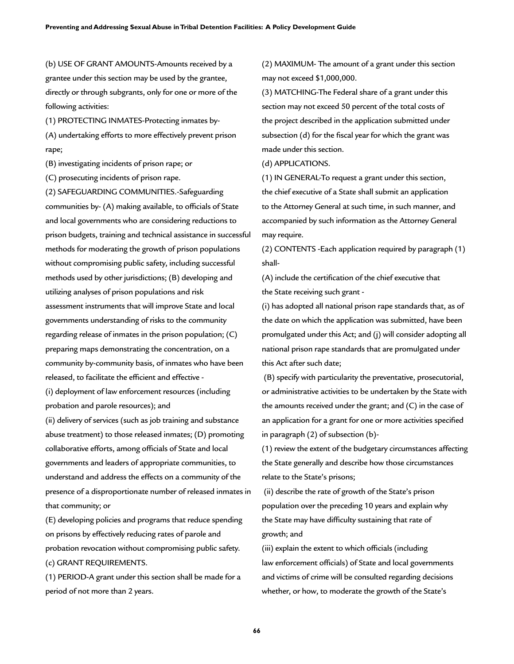(b) USE OF GRANT AMOUNTS-Amounts received by a grantee under this section may be used by the grantee, directly or through subgrants, only for one or more of the following activities:

(1) PROTECTING INMATES-Protecting inmates by-

(A) undertaking efforts to more effectively prevent prison rape;

(B) investigating incidents of prison rape; or

(C) prosecuting incidents of prison rape.

(2) SAFEGUARDING COMMUNITIES.-Safeguarding communities by- (A) making available, to officials of State and local governments who are considering reductions to prison budgets, training and technical assistance in successful methods for moderating the growth of prison populations without compromising public safety, including successful methods used by other jurisdictions; (B) developing and utilizing analyses of prison populations and risk assessment instruments that will improve State and local governments understanding of risks to the community regarding release of inmates in the prison population; (C) preparing maps demonstrating the concentration, on a community by-community basis, of inmates who have been released, to facilitate the efficient and effective -

(i) deployment of law enforcement resources (including probation and parole resources); and

(ii) delivery of services (such as job training and substance abuse treatment) to those released inmates; (D) promoting collaborative efforts, among officials of State and local governments and leaders of appropriate communities, to understand and address the effects on a community of the presence of a disproportionate number of released inmates in that community; or

(E) developing policies and programs that reduce spending on prisons by effectively reducing rates of parole and probation revocation without compromising public safety. (c) GRANT REQUIREMENTS.

(1) PERIOD-A grant under this section shall be made for a period of not more than 2 years.

(2) MAXIMUM- The amount of a grant under this section may not exceed \$1,000,000.

(3) MATCHING-The Federal share of a grant under this section may not exceed 50 percent of the total costs of the project described in the application submitted under subsection (d) for the fiscal year for which the grant was made under this section.

(d) APPLICATIONS.

(1) IN GENERAL-To request a grant under this section, the chief executive of a State shall submit an application to the Attorney General at such time, in such manner, and accompanied by such information as the Attorney General may require.

(2) CONTENTS -Each application required by paragraph (1) shall-

(A) include the certification of the chief executive that the State receiving such grant -

(i) has adopted all national prison rape standards that, as of the date on which the application was submitted, have been promulgated under this Act; and (j) will consider adopting all national prison rape standards that are promulgated under this Act after such date;

 (B) specify with particularity the preventative, prosecutorial, or administrative activities to be undertaken by the State with the amounts received under the grant; and (C) in the case of an application for a grant for one or more activities specified in paragraph (2) of subsection (b)-

(1) review the extent of the budgetary circumstances affecting the State generally and describe how those circumstances relate to the State's prisons;

 (ii) describe the rate of growth of the State's prison population over the preceding 10 years and explain why the State may have difficulty sustaining that rate of growth; and

(iii) explain the extent to which officials (including law enforcement officials) of State and local governments and victims of crime will be consulted regarding decisions whether, or how, to moderate the growth of the State's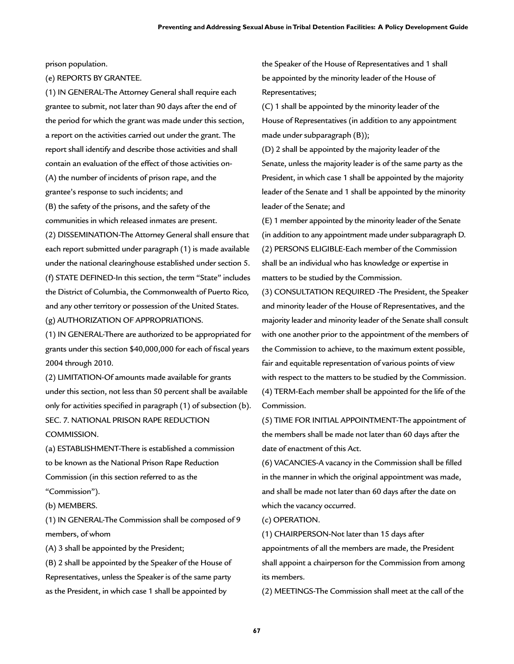prison population.

(e) REPORTS BY GRANTEE.

(1) IN GENERAL-The Attorney General shall require each grantee to submit, not later than 90 days after the end of the period for which the grant was made under this section, a report on the activities carried out under the grant. The report shall identify and describe those activities and shall contain an evaluation of the effect of those activities on-

(A) the number of incidents of prison rape, and the

grantee's response to such incidents; and

(B) the safety of the prisons, and the safety of the

communities in which released inmates are present.

(2) DISSEMINATION-The Attorney General shall ensure that each report submitted under paragraph (1) is made available under the national clearinghouse established under section 5. (f) STATE DEFINED-In this section, the term "State" includes the District of Columbia, the Commonwealth of Puerto Rico, and any other territory or possession of the United States.

(g) AUTHORIZATION OF APPROPRIATIONS.

(1) IN GENERAL-There are authorized to be appropriated for grants under this section \$40,000,000 for each of fiscal years 2004 through 2010.

(2) LIMITATION-Of amounts made available for grants under this section, not less than 50 percent shall be available only for activities specified in paragraph (1) of subsection (b). SEC. 7. NATIONAL PRISON RAPE REDUCTION COMMISSION.

(a) ESTABLISHMENT-There is established a commission to be known as the National Prison Rape Reduction Commission (in this section referred to as the "Commission").

(b) MEMBERS.

(1) IN GENERAL-The Commission shall be composed of 9 members, of whom

(A) 3 shall be appointed by the President;

(B) 2 shall be appointed by the Speaker of the House of Representatives, unless the Speaker is of the same party as the President, in which case 1 shall be appointed by

the Speaker of the House of Representatives and 1 shall be appointed by the minority leader of the House of Representatives;

(C) 1 shall be appointed by the minority leader of the House of Representatives (in addition to any appointment made under subparagraph (B));

(D) 2 shall be appointed by the majority leader of the Senate, unless the majority leader is of the same party as the President, in which case 1 shall be appointed by the majority leader of the Senate and 1 shall be appointed by the minority leader of the Senate; and

(E) 1 member appointed by the minority leader of the Senate (in addition to any appointment made under subparagraph D. (2) PERSONS ELIGIBLE-Each member of the Commission shall be an individual who has knowledge or expertise in matters to be studied by the Commission.

(3) CONSULTATION REQUIRED -The President, the Speaker and minority leader of the House of Representatives, and the majority leader and minority leader of the Senate shall consult with one another prior to the appointment of the members of the Commission to achieve, to the maximum extent possible, fair and equitable representation of various points of view with respect to the matters to be studied by the Commission. (4) TERM-Each member shall be appointed for the life of the Commission.

(5) TIME FOR INITIAL APPOINTMENT-The appointment of the members shall be made not later than 60 days after the date of enactment of this Act.

(6) VACANCIES-A vacancy in the Commission shall be filled in the manner in which the original appointment was made, and shall be made not later than 60 days after the date on which the vacancy occurred.

(c) OPERATION.

(1) CHAIRPERSON-Not later than 15 days after appointments of all the members are made, the President shall appoint a chairperson for the Commission from among its members.

(2) MEETINGS-The Commission shall meet at the call of the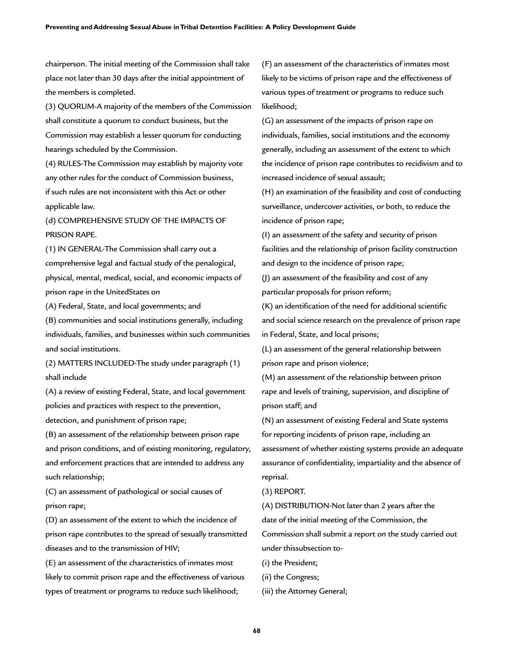chairperson. The initial meeting of the Commission shall take place not later than 30 days after the initial appointment of the members is completed.

(3) QUORUM-A majority of the members of the Commission shall constitute a quorum to conduct business, but the Commission may establish a lesser quorum for conducting hearings scheduled by the Commission.

(4) RULES-The Commission may establish by majority vote any other rules for the conduct of Commission business, if such rules are not inconsistent with this Act or other applicable law.

(d) COMPREHENSIVE STUDY OF THE IMPACTS OF PRISON RAPE.

(1) IN GENERAL-The Commission shall carry out a comprehensive legal and factual study of the penalogical, physical, mental, medical, social, and economic impacts of prison rape in the UnitedStates on

(A) Federal, State, and local governments; and

(B) communities and social institutions generally, including individuals, families, and businesses within such communities and social institutions.

(2) MATTERS INCLUDED-The study under paragraph (1) shall include

(A) a review of existing Federal, State, and local government policies and practices with respect to the prevention, detection, and punishment of prison rape;

(B) an assessment of the relationship between prison rape and prison conditions, and of existing monitoring, regulatory, and enforcement practices that are intended to address any such relationship;

(C) an assessment of pathological or social causes of prison rape;

(D) an assessment of the extent to which the incidence of prison rape contributes to the spread of sexually transmitted diseases and to the transmission of HIV;

(E) an assessment of the characteristics of inmates most likely to commit prison rape and the effectiveness of various types of treatment or programs to reduce such likelihood;

(F) an assessment of the characteristics of inmates most likely to be victims of prison rape and the effectiveness of various types of treatment or programs to reduce such likelihood;

(G) an assessment of the impacts of prison rape on individuals, families, social institutions and the economy generally, including an assessment of the extent to which the incidence of prison rape contributes to recidivism and to increased incidence of sexual assault;

(H) an examination of the feasibility and cost of conducting surveillance, undercover activities, or both, to reduce the incidence of prison rape;

(I) an assessment of the safety and security of prison facilities and the relationship of prison facility construction and design to the incidence of prison rape;

(J) an assessment of the feasibility and cost of any particular proposals for prison reform;

(K) an identification of the need for additional scientific and social science research on the prevalence of prison rape in Federal, State, and local prisons;

(L) an assessment of the general relationship between prison rape and prison violence;

(M) an assessment of the relationship between prison rape and levels of training, supervision, and discipline of prison staff; and

(N) an assessment of existing Federal and State systems for reporting incidents of prison rape, including an assessment of whether existing systems provide an adequate assurance of confidentiality, impartiality and the absence of reprisal.

(3) REPORT.

(A) DISTRIBUTION-Not later than 2 years after the date of the initial meeting of the Commission, the Commission shall submit a report on the study carried out under thissubsection to-

(i) the President;

(ii) the Congress;

(iii) the Attorney General;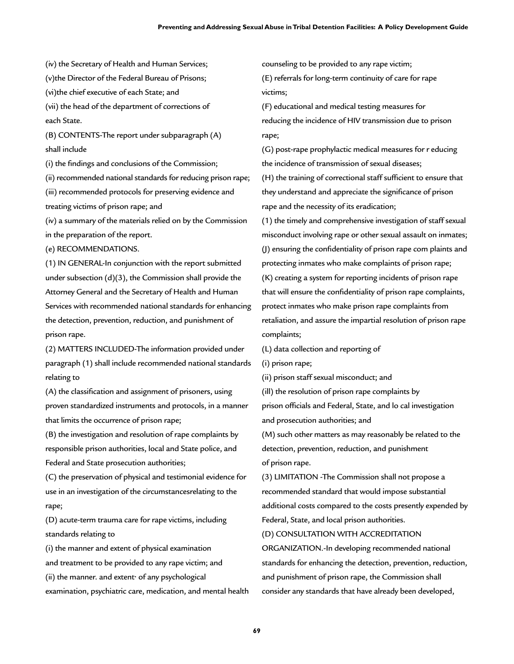(iv) the Secretary of Health and Human Services;

(v)the Director of the Federal Bureau of Prisons; (vi)the chief executive of each State; and

(vii) the head of the department of corrections of each State.

(B) CONTENTS-The report under subparagraph (A) shall include

(i) the findings and conclusions of the Commission;

(ii) recommended national standards for reducing prison rape;

(iii) recommended protocols for preserving evidence and treating victims of prison rape; and

(iv) a summary of the materials relied on by the Commission in the preparation of the report.

(e) RECOMMENDATIONS.

(1) IN GENERAL-In conjunction with the report submitted under subsection (d)(3), the Commission shall provide the Attorney General and the Secretary of Health and Human Services with recommended national standards for enhancing the detection, prevention, reduction, and punishment of prison rape.

(2) MATTERS INCLUDED-The information provided under paragraph (1) shall include recommended national standards relating to

(A) the classification and assignment of prisoners, using proven standardized instruments and protocols, in a manner that limits the occurrence of prison rape;

(B) the investigation and resolution of rape complaints by responsible prison authorities, local and State police, and Federal and State prosecution authorities;

(C) the preservation of physical and testimonial evidence for use in an investigation of the circumstancesrelating to the rape;

(D) acute-term trauma care for rape victims, including standards relating to

(i) the manner and extent of physical examination

and treatment to be provided to any rape victim; and

(ii) the manner. and extent• of any psychological

examination, psychiatric care, medication, and mental health

counseling to be provided to any rape victim;

(E) referrals for long-term continuity of care for rape victims;

(F) educational and medical testing measures for reducing the incidence of HIV transmission due to prison rape;

(G) post-rape prophylactic medical measures for r educing the incidence of transmission of sexual diseases;

(H) the training of correctional staff sufficient to ensure that they understand and appreciate the significance of prison rape and the necessity of its eradication;

(1) the timely and comprehensive investigation of staff sexual misconduct involving rape or other sexual assault on inmates; (J) ensuring the confidentiality of prison rape com plaints and protecting inmates who make complaints of prison rape; (K) creating a system for reporting incidents of prison rape that will ensure the confidentiality of prison rape complaints, protect inmates who make prison rape complaints from retaliation, and assure the impartial resolution of prison rape complaints;

(L) data collection and reporting of

(i) prison rape;

(ii) prison staff sexual misconduct; and

(ill) the resolution of prison rape complaints by prison officials and Federal, State, and lo cal investigation and prosecution authorities; and

(M) such other matters as may reasonably be related to the detection, prevention, reduction, and punishment of prison rape.

(3) LIMITATION -The Commission shall not propose a recommended standard that would impose substantial additional costs compared to the costs presently expended by Federal, State, and local prison authorities.

(D) CONSULTATION WITH ACCREDITATION

ORGANIZATION.-In developing recommended national standards for enhancing the detection, prevention, reduction, and punishment of prison rape, the Commission shall consider any standards that have already been developed,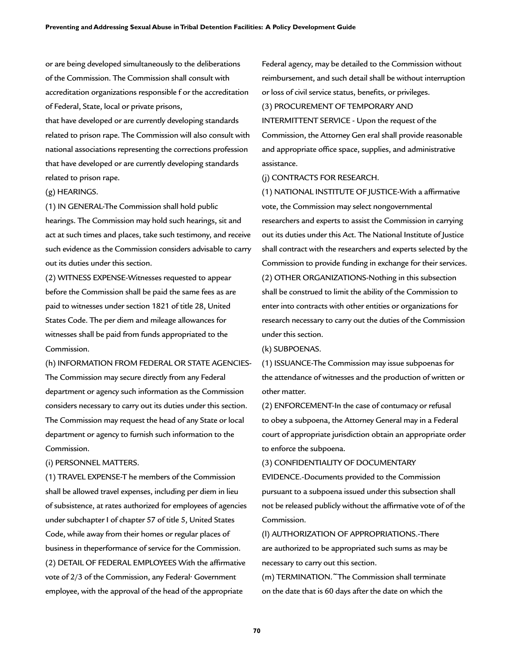or are being developed simultaneously to the deliberations of the Commission. The Commission shall consult with accreditation organizations responsible f or the accreditation of Federal, State, local or private prisons,

that have developed or are currently developing standards related to prison rape. The Commission will also consult with national associations representing the corrections profession that have developed or are currently developing standards related to prison rape.

(g) HEARINGS.

(1) IN GENERAL-The Commission shall hold public

hearings. The Commission may hold such hearings, sit and act at such times and places, take such testimony, and receive such evidence as the Commission considers advisable to carry out its duties under this section.

(2) WITNESS EXPENSE-Witnesses requested to appear before the Commission shall be paid the same fees as are paid to witnesses under section 1821 of title 28, United States Code. The per diem and mileage allowances for witnesses shall be paid from funds appropriated to the Commission.

(h) INFORMATION FROM FEDERAL OR STATE AGENCIES-The Commission may secure directly from any Federal department or agency such information as the Commission considers necessary to carry out its duties under this section. The Commission may request the head of any State or local department or agency to furnish such information to the Commission.

(i) PERSONNEL MATTERS.

(1) TRAVEL EXPENSE-T he members of the Commission shall be allowed travel expenses, including per diem in lieu of subsistence, at rates authorized for employees of agencies under subchapter I of chapter 57 of title 5, United States Code, while away from their homes or regular places of business in theperformance of service for the Commission. (2) DETAIL OF FEDERAL EMPLOYEES With the affirmative vote of 2/3 of the Commission, any Federal• Government employee, with the approval of the head of the appropriate

Federal agency, may be detailed to the Commission without reimbursement, and such detail shall be without interruption or loss of civil service status, benefits, or privileges.

(3) PROCUREMENT OF TEMPORARY AND INTERMITTENT SERVICE - Upon the request of the Commission, the Attorney Gen eral shall provide reasonable and appropriate office space, supplies, and administrative assistance.

#### (j) CONTRACTS FOR RESEARCH.

(1) NATIONAL INSTITUTE OF JUSTICE-With a affirmative vote, the Commission may select nongovernmental researchers and experts to assist the Commission in carrying out its duties under this Act. The National Institute of Justice shall contract with the researchers and experts selected by the Commission to provide funding in exchange for their services. (2) OTHER ORGANIZATIONS-Nothing in this subsection shall be construed to limit the ability of the Commission to enter into contracts with other entities or organizations for research necessary to carry out the duties of the Commission under this section.

(k) SUBPOENAS.

(1) ISSUANCE-The Commission may issue subpoenas for the attendance of witnesses and the production of written or other matter.

(2) ENFORCEMENT-In the case of contumacy or refusal to obey a subpoena, the Attorney General may in a Federal court of appropriate jurisdiction obtain an appropriate order to enforce the subpoena.

#### (3) CONFIDENTIALITY OF DOCUMENTARY

EVIDENCE.-Documents provided to the Commission pursuant to a subpoena issued under this subsection shall not be released publicly without the affirmative vote of of the Commission.

### (l) AUTHORIZATION OF APPROPRIATIONS.-There are authorized to be appropriated such sums as may be necessary to carry out this section.

(m) TERMINATION.<sup>~</sup>The Commission shall terminate on the date that is 60 days after the date on which the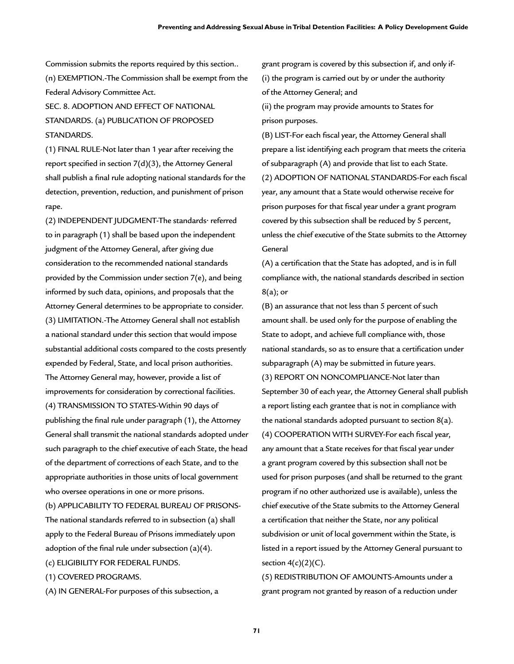Commission submits the reports required by this section.. (n) EXEMPTION.-The Commission shall be exempt from the Federal Advisory Committee Act.

SEC. 8. ADOPTION AND EFFECT OF NATIONAL STANDARDS. (a) PUBLICATION OF PROPOSED STANDARDS.

(1) FINAL RULE-Not later than 1 year after receiving the report specified in section 7(d)(3), the Attorney General shall publish a final rule adopting national standards for the detection, prevention, reduction, and punishment of prison rape.

(2) INDEPENDENT JUDGMENT-The standards• referred to in paragraph (1) shall be based upon the independent judgment of the Attorney General, after giving due consideration to the recommended national standards provided by the Commission under section 7(e), and being informed by such data, opinions, and proposals that the Attorney General determines to be appropriate to consider. (3) LIMITATION.-The Attorney General shall not establish a national standard under this section that would impose substantial additional costs compared to the costs presently expended by Federal, State, and local prison authorities. The Attorney General may, however, provide a list of improvements for consideration by correctional facilities. (4) TRANSMISSION TO STATES-Within 90 days of publishing the final rule under paragraph (1), the Attorney General shall transmit the national standards adopted under such paragraph to the chief executive of each State, the head of the department of corrections of each State, and to the appropriate authorities in those units of local government who oversee operations in one or more prisons.

(b) APPLICABILITY TO FEDERAL BUREAU OF PRISONS-The national standards referred to in subsection (a) shall apply to the Federal Bureau of Prisons immediately upon adoption of the final rule under subsection (a)(4).

(c) ELIGIBILITY FOR FEDERAL FUNDS.

(1) COVERED PROGRAMS.

(A) IN GENERAL-For purposes of this subsection, a

grant program is covered by this subsection if, and only if- (i) the program is carried out by or under the authority of the Attorney General; and

(ii) the program may provide amounts to States for prison purposes.

(B) LIST-For each fiscal year, the Attorney General shall prepare a list identifying each program that meets the criteria of subparagraph (A) and provide that list to each State. (2) ADOPTION OF NATIONAL STANDARDS-For each fiscal year, any amount that a State would otherwise receive for prison purposes for that fiscal year under a grant program covered by this subsection shall be reduced by 5 percent, unless the chief executive of the State submits to the Attorney General

(A) a certification that the State has adopted, and is in full compliance with, the national standards described in section 8(a); or

(B) an assurance that not less than 5 percent of such amount shall. be used only for the purpose of enabling the State to adopt, and achieve full compliance with, those national standards, so as to ensure that a certification under subparagraph (A) may be submitted in future years. (3) REPORT ON NONCOMPLIANCE-Not later than September 30 of each year, the Attorney General shall publish a report listing each grantee that is not in compliance with the national standards adopted pursuant to section 8(a). (4) COOPERATION WITH SURVEY-For each fiscal year, any amount that a State receives for that fiscal year under a grant program covered by this subsection shall not be used for prison purposes (and shall be returned to the grant program if no other authorized use is available), unless the chief executive of the State submits to the Attorney General a certification that neither the State, nor any political subdivision or unit of local government within the State, is listed in a report issued by the Attorney General pursuant to section  $4(c)(2)(C)$ .

(5) REDISTRIBUTION OF AMOUNTS-Amounts under a grant program not granted by reason of a reduction under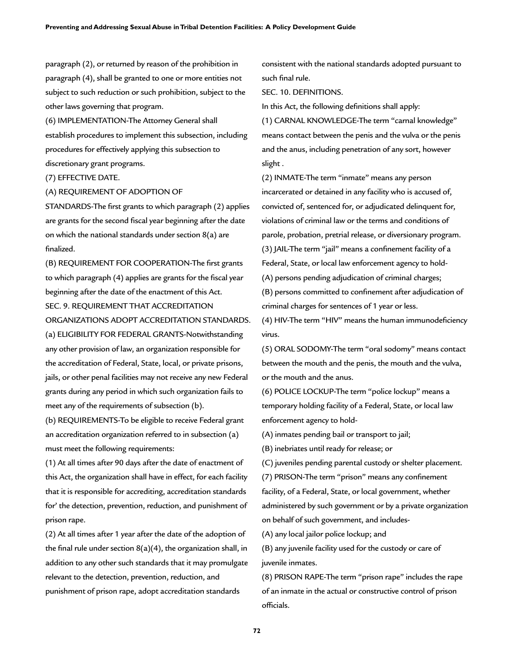paragraph (2), or returned by reason of the prohibition in paragraph (4), shall be granted to one or more entities not subject to such reduction or such prohibition, subject to the other laws governing that program.

(6) IMPLEMENTATION-The Attorney General shall establish procedures to implement this subsection, including procedures for effectively applying this subsection to discretionary grant programs.

(7) EFFECTIVE DATE.

(A) REQUIREMENT OF ADOPTION OF

STANDARDS-The first grants to which paragraph (2) applies are grants for the second fiscal year beginning after the date on which the national standards under section 8(a) are finalized.

(B) REQUIREMENT FOR COOPERATION-The first grants to which paragraph (4) applies are grants for the fiscal year beginning after the date of the enactment of this Act. SEC. 9. REQUIREMENT THAT ACCREDITATION

ORGANIZATIONS ADOPT ACCREDITATION STANDARDS.

(a) ELIGIBILITY FOR FEDERAL GRANTS-Notwithstanding any other provision of law, an organization responsible for the accreditation of Federal, State, local, or private prisons, jails, or other penal facilities may not receive any new Federal grants during any period in which such organization fails to meet any of the requirements of subsection (b).

(b) REQUIREMENTS-To be eligible to receive Federal grant an accreditation organization referred to in subsection (a) must meet the following requirements:

(1) At all times after 90 days after the date of enactment of this Act, the organization shall have in effect, for each facility that it is responsible for accrediting, accreditation standards for' the detection, prevention, reduction, and punishment of prison rape.

(2) At all times after 1 year after the date of the adoption of the final rule under section 8(a)(4), the organization shall, in addition to any other such standards that it may promulgate relevant to the detection, prevention, reduction, and punishment of prison rape, adopt accreditation standards

consistent with the national standards adopted pursuant to such final rule.

SEC. 10. DEFINITIONS.

In this Act, the following definitions shall apply:

(1) CARNAL KNOWLEDGE-The term "carnal knowledge" means contact between the penis and the vulva or the penis and the anus, including penetration of any sort, however slight .

(2) INMATE-The term "inmate" means any person incarcerated or detained in any facility who is accused of, convicted of, sentenced for, or adjudicated delinquent for, violations of criminal law or the terms and conditions of parole, probation, pretrial release, or diversionary program. (3) JAIL-The term "jail" means a confinement facility of a Federal, State, or local law enforcement agency to hold-

(A) persons pending adjudication of criminal charges;

(B) persons committed to confinement after adjudication of criminal charges for sentences of 1 year or less.

(4) HIV-The term "HIV" means the human immunodeficiency virus.

(5) ORAL SODOMY-The term "oral sodomy" means contact between the mouth and the penis, the mouth and the vulva, or the mouth and the anus.

(6) POLICE LOCKUP-The term "police lockup" means a temporary holding facility of a Federal, State, or local law enforcement agency to hold-

(A) inmates pending bail or transport to jail;

(B) inebriates until ready for release; or

(C) juveniles pending parental custody or shelter placement.

(7) PRISON-The term "prison" means any confinement facility, of a Federal, State, or local government, whether administered by such government or by a private organization on behalf of such government, and includes-

(A) any local jailor police lockup; and

(B) any juvenile facility used for the custody or care of juvenile inmates.

(8) PRISON RAPE-The term "prison rape" includes the rape of an inmate in the actual or constructive control of prison officials.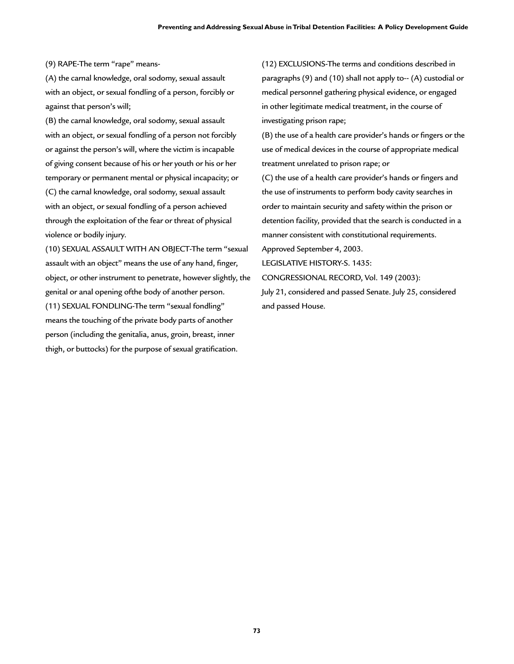(9) RAPE-The term "rape" means-

(A) the carnal knowledge, oral sodomy, sexual assault with an object, or sexual fondling of a person, forcibly or against that person's will;

(B) the carnal knowledge, oral sodomy, sexual assault with an object, or sexual fondling of a person not forcibly or against the person's will, where the victim is incapable of giving consent because of his or her youth or his or her temporary or permanent mental or physical incapacity; or (C) the carnal knowledge, oral sodomy, sexual assault with an object, or sexual fondling of a person achieved through the exploitation of the fear or threat of physical violence or bodily injury.

(10) SEXUAL ASSAULT WITH AN OBJECT-The term "sexual assault with an object" means the use of any hand, finger, object, or other instrument to penetrate, however slightly, the genital or anal opening ofthe body of another person. (11) SEXUAL FONDLING-The term "sexual fondling" means the touching of the private body parts of another person (including the genitalia, anus, groin, breast, inner thigh, or buttocks) for the purpose of sexual gratification.

(12) EXCLUSIONS-The terms and conditions described in paragraphs (9) and (10) shall not apply to-- (A) custodial or medical personnel gathering physical evidence, or engaged in other legitimate medical treatment, in the course of investigating prison rape;

(B) the use of a health care provider's hands or fingers or the use of medical devices in the course of appropriate medical treatment unrelated to prison rape; or

(C) the use of a health care provider's hands or fingers and the use of instruments to perform body cavity searches in order to maintain security and safety within the prison or detention facility, provided that the search is conducted in a manner consistent with constitutional requirements. Approved September 4, 2003.

LEGISLATIVE HISTORY-S. 1435:

CONGRESSIONAL RECORD, Vol. 149 (2003): July 21, considered and passed Senate. July 25, considered and passed House.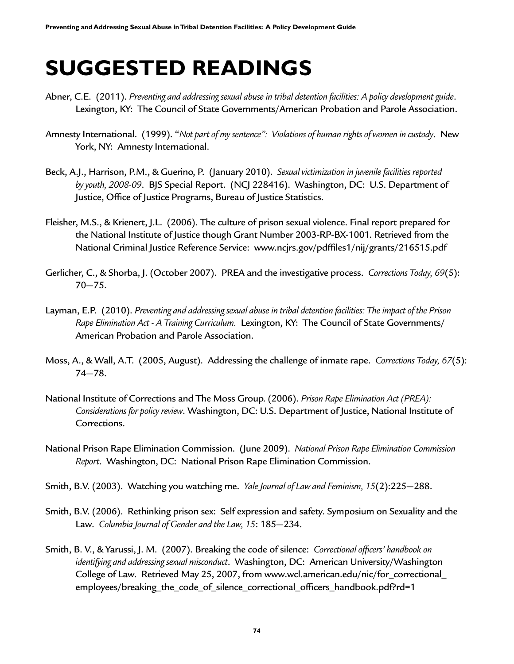## **Suggested Readings**

- Abner, C.E. (2011). *Preventing and addressing sexual abuse in tribal detention facilities: A policy development guide*. Lexington, KY: The Council of State Governments/American Probation and Parole Association.
- Amnesty International. (1999). "*Not part of my sentence": Violations of human rights of women in custody*. New York, NY: Amnesty International.
- Beck, A.J., Harrison, P.M., & Guerino, P. (January 2010). *Sexual victimization in juvenile facilities reported by youth, 2008-09*. BJS Special Report. (NCJ 228416). Washington, DC: U.S. Department of Justice, Office of Justice Programs, Bureau of Justice Statistics.
- Fleisher, M.S., & Krienert, J.L. (2006). The culture of prison sexual violence. Final report prepared for the National Institute of Justice though Grant Number 2003-RP-BX-1001. Retrieved from the National Criminal Justice Reference Service: www.ncjrs.gov/pdffiles1/nij/grants/216515.pdf
- Gerlicher, C., & Shorba, J. (October 2007). PREA and the investigative process. *Corrections Today, 69*(5): 70—75.
- Layman, E.P. (2010). *Preventing and addressing sexual abuse in tribal detention facilities: The impact of the Prison Rape Elimination Act - A Training Curriculum.* Lexington, KY: The Council of State Governments/ American Probation and Parole Association.
- Moss, A., & Wall, A.T. (2005, August). Addressing the challenge of inmate rape. *Corrections Today, 67*(5): 74—78.
- National Institute of Corrections and The Moss Group. (2006). *Prison Rape Elimination Act (PREA): Considerations for policy review*. Washington, DC: U.S. Department of Justice, National Institute of Corrections.
- National Prison Rape Elimination Commission. (June 2009). *National Prison Rape Elimination Commission Report*. Washington, DC: National Prison Rape Elimination Commission.
- Smith, B.V. (2003). Watching you watching me. *Yale Journal of Law and Feminism, 15*(2):225—288.
- Smith, B.V. (2006). Rethinking prison sex: Self expression and safety. Symposium on Sexuality and the Law. *Columbia Journal of Gender and the Law, 15*: 185—234.
- Smith, B. V., & Yarussi, J. M. (2007). Breaking the code of silence: *Correctional officers' handbook on identifying and addressing sexual misconduct*. Washington, DC: American University/Washington College of Law. Retrieved May 25, 2007, from www.wcl.american.edu/nic/for\_correctional\_ employees/breaking\_the\_code\_of\_silence\_correctional\_officers\_handbook.pdf?rd=1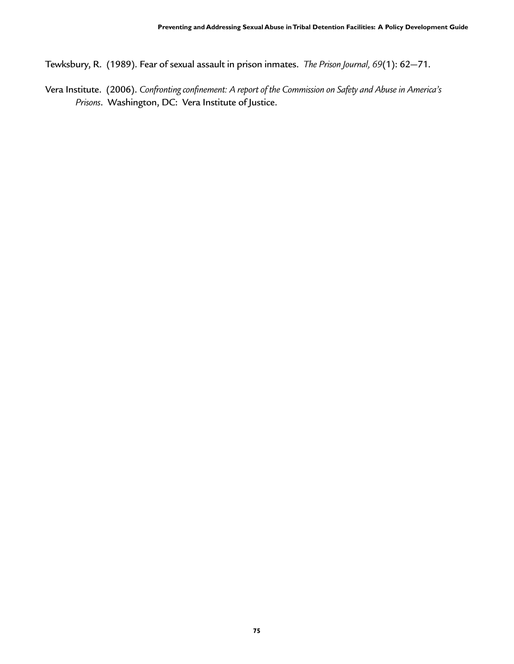Tewksbury, R. (1989). Fear of sexual assault in prison inmates. *The Prison Journal, 69*(1): 62—71.

Vera Institute. (2006). *Confronting confinement: A report of the Commission on Safety and Abuse in America's Prisons*. Washington, DC: Vera Institute of Justice.